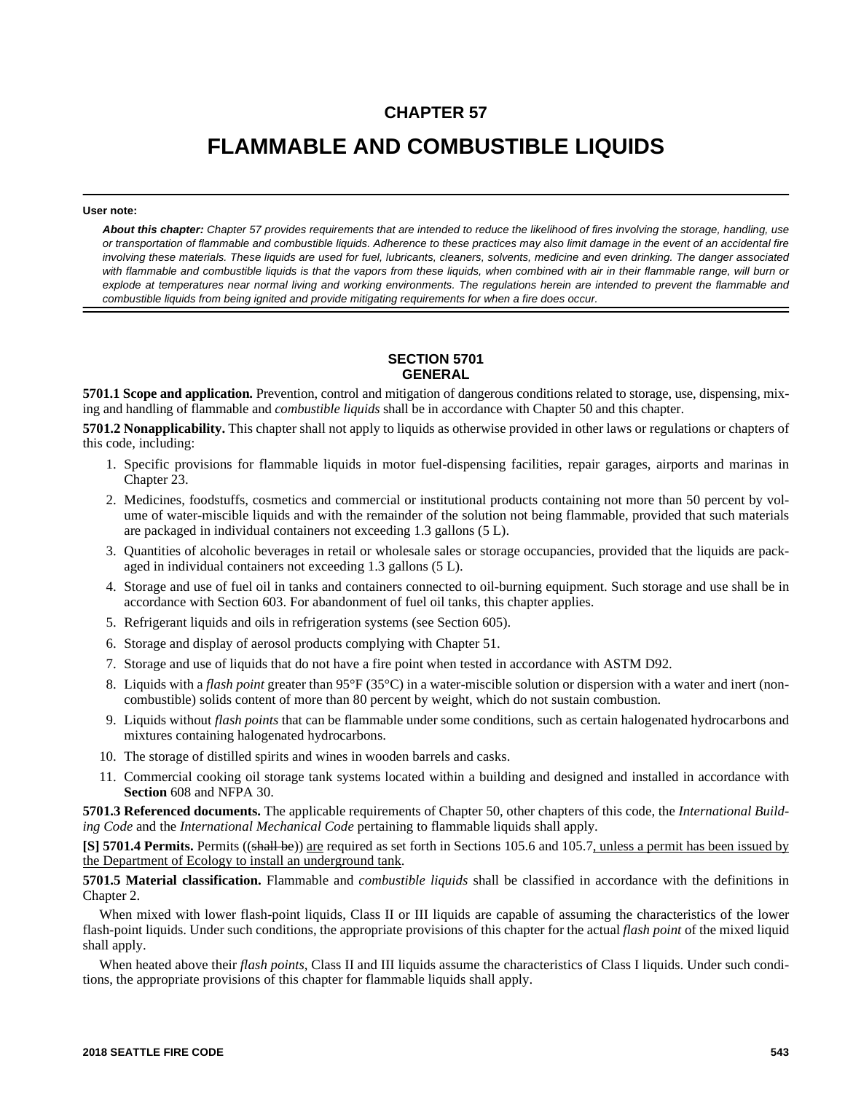## **CHAPTER 57**

# **FLAMMABLE AND COMBUSTIBLE LIQUIDS**

#### **User note:**

*About this chapter: Chapter 57 provides requirements that are intended to reduce the likelihood of fires involving the storage, handling, use or transportation of flammable and combustible liquids. Adherence to these practices may also limit damage in the event of an accidental fire involving these materials. These liquids are used for fuel, lubricants, cleaners, solvents, medicine and even drinking. The danger associated with flammable and combustible liquids is that the vapors from these liquids, when combined with air in their flammable range, will burn or explode at temperatures near normal living and working environments. The regulations herein are intended to prevent the flammable and combustible liquids from being ignited and provide mitigating requirements for when a fire does occur.*

### **SECTION 5701 GENERAL**

**5701.1 Scope and application.** Prevention, control and mitigation of dangerous conditions related to storage, use, dispensing, mixing and handling of flammable and *combustible liquids* shall be in accordance with Chapter 50 and this chapter.

**5701.2 Nonapplicability.** This chapter shall not apply to liquids as otherwise provided in other laws or regulations or chapters of this code, including:

- 1. Specific provisions for flammable liquids in motor fuel-dispensing facilities, repair garages, airports and marinas in Chapter 23.
- 2. Medicines, foodstuffs, cosmetics and commercial or institutional products containing not more than 50 percent by volume of water-miscible liquids and with the remainder of the solution not being flammable, provided that such materials are packaged in individual containers not exceeding 1.3 gallons (5 L).
- 3. Quantities of alcoholic beverages in retail or wholesale sales or storage occupancies, provided that the liquids are packaged in individual containers not exceeding 1.3 gallons (5 L).
- 4. Storage and use of fuel oil in tanks and containers connected to oil-burning equipment. Such storage and use shall be in accordance with Section 603. For abandonment of fuel oil tanks, this chapter applies.
- 5. Refrigerant liquids and oils in refrigeration systems (see Section 605).
- 6. Storage and display of aerosol products complying with Chapter 51.
- 7. Storage and use of liquids that do not have a fire point when tested in accordance with ASTM D92.
- 8. Liquids with a *flash point* greater than 95°F (35°C) in a water-miscible solution or dispersion with a water and inert (noncombustible) solids content of more than 80 percent by weight, which do not sustain combustion.
- 9. Liquids without *flash points* that can be flammable under some conditions, such as certain halogenated hydrocarbons and mixtures containing halogenated hydrocarbons.
- 10. The storage of distilled spirits and wines in wooden barrels and casks.
- 11. Commercial cooking oil storage tank systems located within a building and designed and installed in accordance with **Section** 608 and NFPA 30.

**5701.3 Referenced documents.** The applicable requirements of Chapter 50, other chapters of this code, the *International Building Code* and the *International Mechanical Code* pertaining to flammable liquids shall apply.

**[S] 5701.4 Permits.** Permits ((shall be)) are required as set forth in Sections 105.6 and 105.7, unless a permit has been issued by the Department of Ecology to install an underground tank.

**5701.5 Material classification.** Flammable and *combustible liquids* shall be classified in accordance with the definitions in Chapter 2.

When mixed with lower flash-point liquids, Class II or III liquids are capable of assuming the characteristics of the lower flash-point liquids. Under such conditions, the appropriate provisions of this chapter for the actual *flash point* of the mixed liquid shall apply.

When heated above their *flash points*, Class II and III liquids assume the characteristics of Class I liquids. Under such conditions, the appropriate provisions of this chapter for flammable liquids shall apply.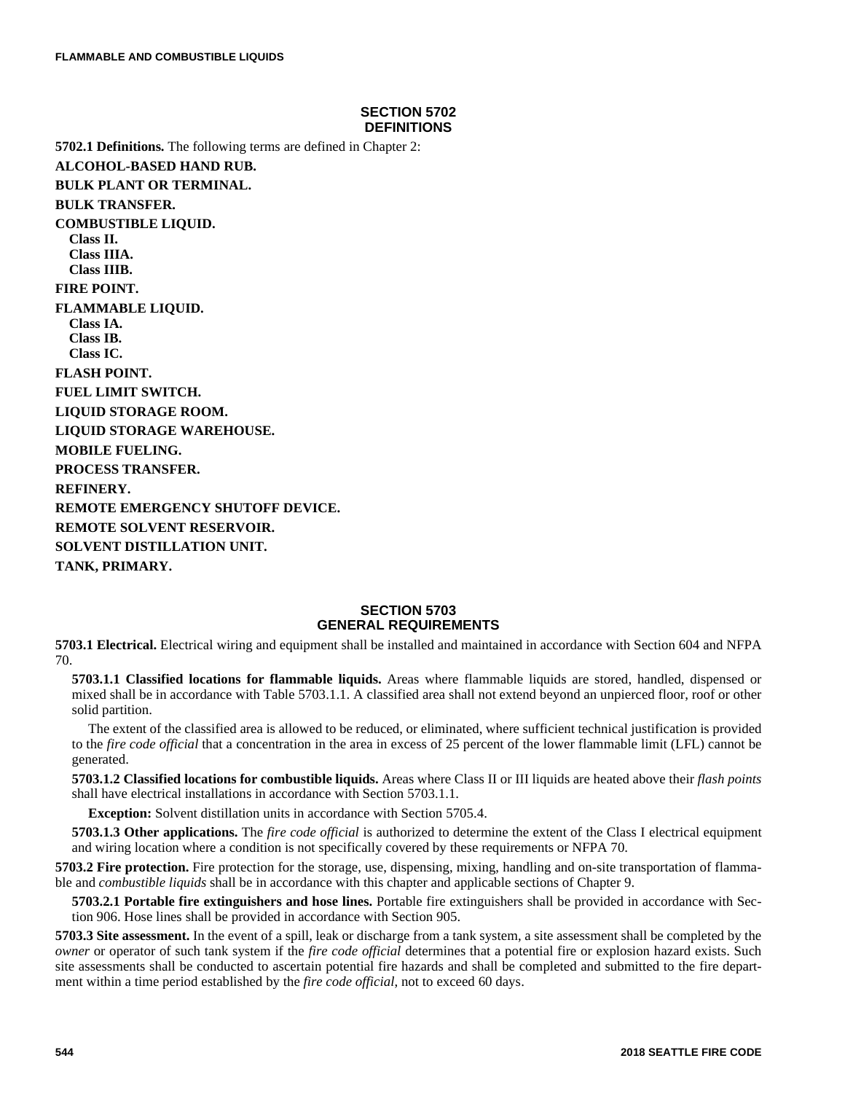### **SECTION 5702 DEFINITIONS**

**5702.1 Definitions.** The following terms are defined in Chapter 2: **ALCOHOL-BASED HAND RUB.**

**BULK PLANT OR TERMINAL. BULK TRANSFER. COMBUSTIBLE LIQUID. Class II. Class IIIA. Class IIIB. FIRE POINT. FLAMMABLE LIQUID. Class IA. Class IB. Class IC. FLASH POINT. FUEL LIMIT SWITCH. LIQUID STORAGE ROOM. LIQUID STORAGE WAREHOUSE. MOBILE FUELING. PROCESS TRANSFER. REFINERY. REMOTE EMERGENCY SHUTOFF DEVICE. REMOTE SOLVENT RESERVOIR. SOLVENT DISTILLATION UNIT. TANK, PRIMARY.**

### **SECTION 5703 GENERAL REQUIREMENTS**

**5703.1 Electrical.** Electrical wiring and equipment shall be installed and maintained in accordance with Section 604 and NFPA 70.

**5703.1.1 Classified locations for flammable liquids.** Areas where flammable liquids are stored, handled, dispensed or mixed shall be in accordance with Table 5703.1.1. A classified area shall not extend beyond an unpierced floor, roof or other solid partition.

The extent of the classified area is allowed to be reduced, or eliminated, where sufficient technical justification is provided to the *fire code official* that a concentration in the area in excess of 25 percent of the lower flammable limit (LFL) cannot be generated.

**5703.1.2 Classified locations for combustible liquids.** Areas where Class II or III liquids are heated above their *flash points* shall have electrical installations in accordance with Section 5703.1.1.

**Exception:** Solvent distillation units in accordance with Section 5705.4.

**5703.1.3 Other applications.** The *fire code official* is authorized to determine the extent of the Class I electrical equipment and wiring location where a condition is not specifically covered by these requirements or NFPA 70.

**5703.2 Fire protection.** Fire protection for the storage, use, dispensing, mixing, handling and on-site transportation of flammable and *combustible liquids* shall be in accordance with this chapter and applicable sections of Chapter 9.

**5703.2.1 Portable fire extinguishers and hose lines.** Portable fire extinguishers shall be provided in accordance with Section 906. Hose lines shall be provided in accordance with Section 905.

**5703.3 Site assessment.** In the event of a spill, leak or discharge from a tank system, a site assessment shall be completed by the *owner* or operator of such tank system if the *fire code official* determines that a potential fire or explosion hazard exists. Such site assessments shall be conducted to ascertain potential fire hazards and shall be completed and submitted to the fire department within a time period established by the *fire code official*, not to exceed 60 days.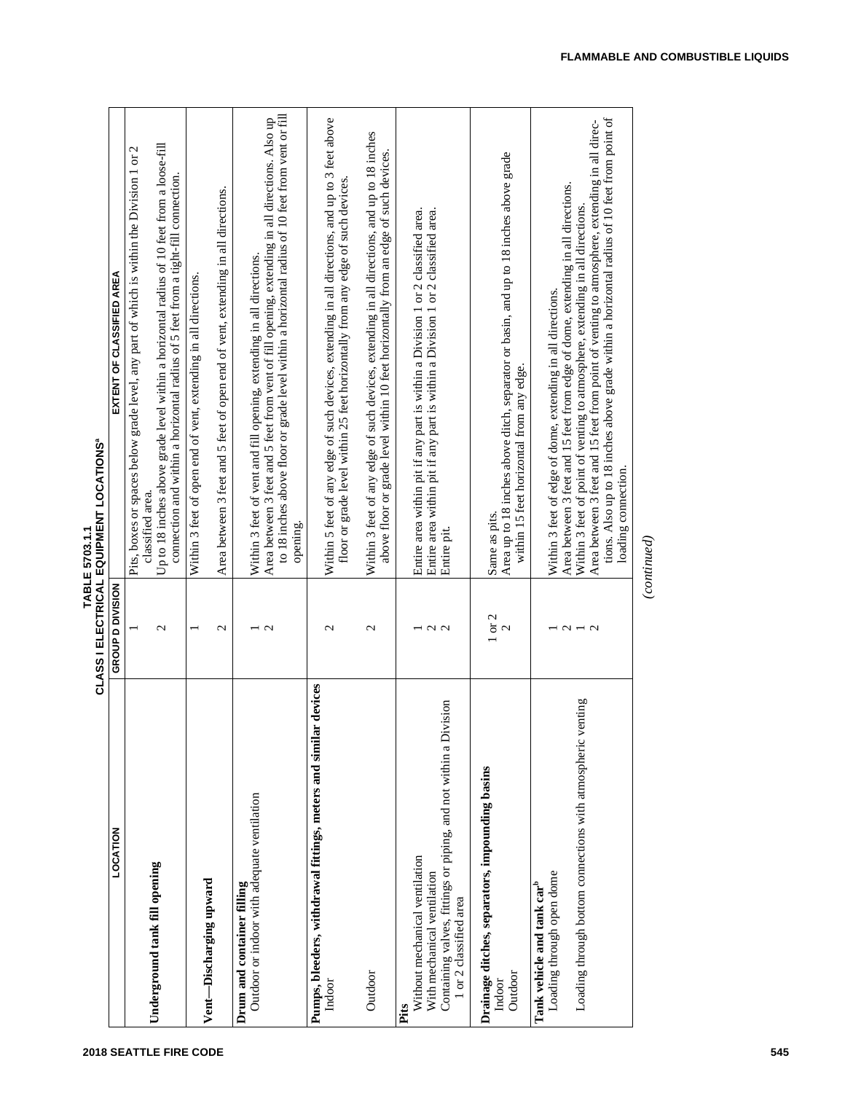|                                                                                                                                                             |                                 | <b>CLASS I ELECTRICAL EQUIPMENT LOCATIONS®</b>                                                                                                                                                                     |
|-------------------------------------------------------------------------------------------------------------------------------------------------------------|---------------------------------|--------------------------------------------------------------------------------------------------------------------------------------------------------------------------------------------------------------------|
| LOCATION                                                                                                                                                    | GROUP D DIVISION                | EXTENT OF CLASSIFIED AREA                                                                                                                                                                                          |
|                                                                                                                                                             |                                 | Pits, boxes or spaces below grade level, any part of which is within the Division 1 or 2                                                                                                                           |
| Underground tank fill opening                                                                                                                               |                                 | classified area.                                                                                                                                                                                                   |
|                                                                                                                                                             | $\mathbf{\sim}$                 | Up to 18 inches above grade level within a horizontal radius of 10 feet from a loose-fill<br>connection and within a horizontal radius of 5 feet from a tight-fill connection.                                     |
|                                                                                                                                                             |                                 |                                                                                                                                                                                                                    |
| Vent-Discharging upward                                                                                                                                     |                                 | Within 3 feet of open end of vent, extending in all directions.                                                                                                                                                    |
|                                                                                                                                                             | $\mathcal{L}$                   | Area between 3 feet and 5 feet of open end of vent, extending in all directions.                                                                                                                                   |
| Outdoor or indoor with adequate ventilation<br>Drum and container filling                                                                                   | $\overline{\phantom{0}}$        | Within 3 feet of vent and fill opening, extending in all directions.                                                                                                                                               |
|                                                                                                                                                             | $\mathbf{C}$                    | to 18 inches above floor or grade level within a horizontal radius of 10 feet from vent or fill<br>Area between 3 feet and 5 feet from vent of fill opening, extending in all directions. Also up                  |
|                                                                                                                                                             |                                 | opening.                                                                                                                                                                                                           |
| Pumps, bleeders, withdrawal fittings, meters and similar devices<br>Indoor                                                                                  | $\mathbf{\Omega}$               | Within 5 feet of any edge of such devices, extending in all directions, and up to 3 feet above<br>floor or grade level within 25 feet horizontally from any edge of such devices.                                  |
| Outdoor                                                                                                                                                     | $\mathbf{c}$                    | Within 3 feet of any edge of such devices, extending in all directions, and up to 18 inches<br>above floor or grade level within 10 feet horizontally from an edge of such devices.                                |
| Pits                                                                                                                                                        |                                 |                                                                                                                                                                                                                    |
| Containing valves, fittings or piping, and not within a Division<br>Without mechanical ventilation<br>With mechanical ventilation<br>1 or 2 classified area | 120                             | Entire area within pit if any part is within a Division 1 or 2 classified area.<br>Entire area within pit if any part is within a Division 1 or 2 classified area.<br>Entire pit.                                  |
| Drainage ditches, separators, impounding basins                                                                                                             |                                 |                                                                                                                                                                                                                    |
| Outdoor<br>Indoor                                                                                                                                           | $1$ or $2$<br>$\mathbf{\Omega}$ | Area up to 18 inches above ditch, separator or basin, and up to 18 inches above grade<br>within 15 feet horizontal from any edge.<br>Same as pits.                                                                 |
| Loading through open dome<br>Tank vehicle and tank car <sup>b</sup>                                                                                         |                                 | Within 3 feet of edge of dome, extending in all directions.                                                                                                                                                        |
| Loading through bottom connections with atmospheric venting                                                                                                 | $a - a$                         | Area between 3 feet and 15 feet from edge of dome, extending in all directions.<br>Within 3 feet of point of venting to atmosphere, extending in all directions.                                                   |
|                                                                                                                                                             |                                 | tions. Also up to 18 inches above grade within a horizontal radius of 10 feet from point of<br>Area between 3 feet and 15 feet from point of venting to atmosphere, extending in all direc-<br>loading connection. |

**TABLE 5703.1.1**

*(continued)*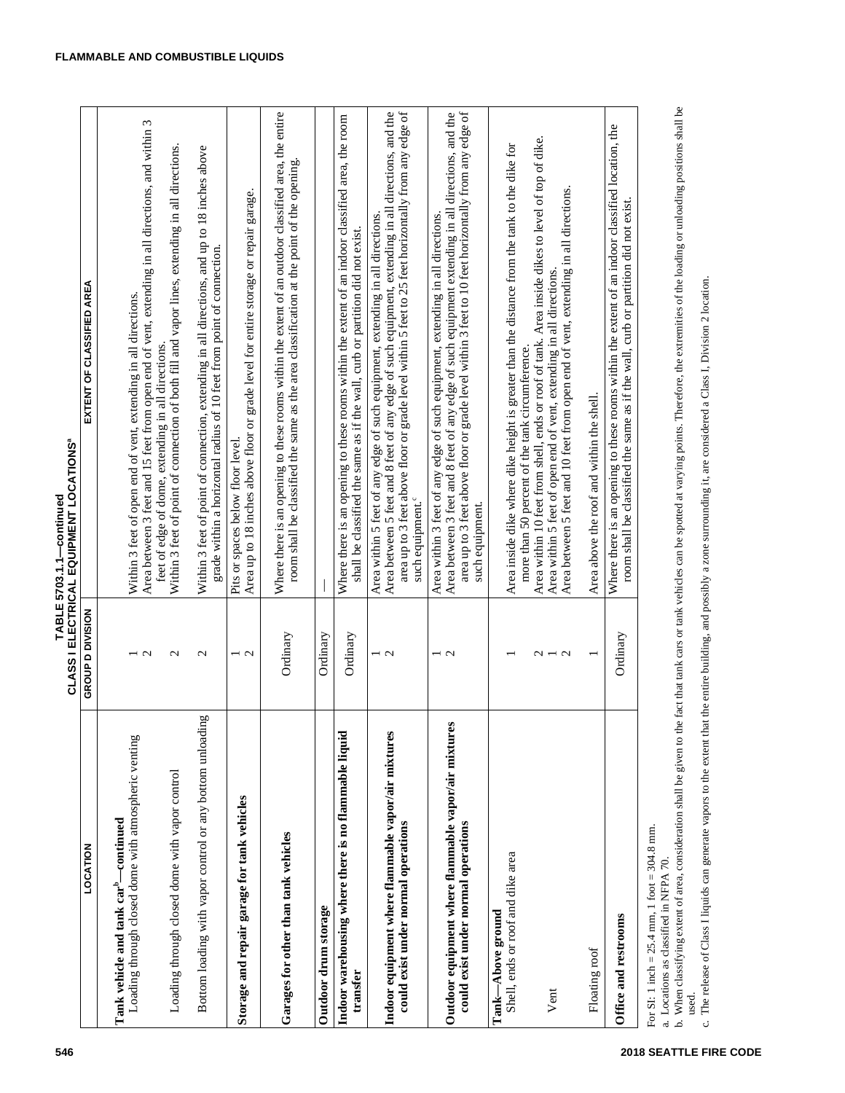**In**

**In**

**Tan k**

For SI: 1 inch =  $25.4 \text{ m}$ m, 1 foot =  $304.8$  m For SI: 1 inch =  $25.4$  mm, 1 foot =  $304.8$  mm.

a. Locations as classified in NFPA 70.

b. When classifying extent of area, consideration shall be given to the fact that tank cars or tank vehicles can be spotted at varying points. Therefore, the extremities of the loading or unloading positions shall be b. When classifying extent of area, consideration shall be given to the fact that tank cars or tank vehicles can be spotted at varying points. Therefore, the extremities of the loading or unloading positions shall be a. Locations as classified in NFPA 70. used.

room shall be classified the same as if the wall, curb or partition did not exist.

The release of Class I liquids can generate vapors to the extent that the entire building, and possibly a zone surrounding it, are considered a Class I, Division 2 location c. The release of Class I liquids can generate vapors to the extent that the entire building, and possibly a zone surrounding it, are considered a Class I, Division 2 location. c.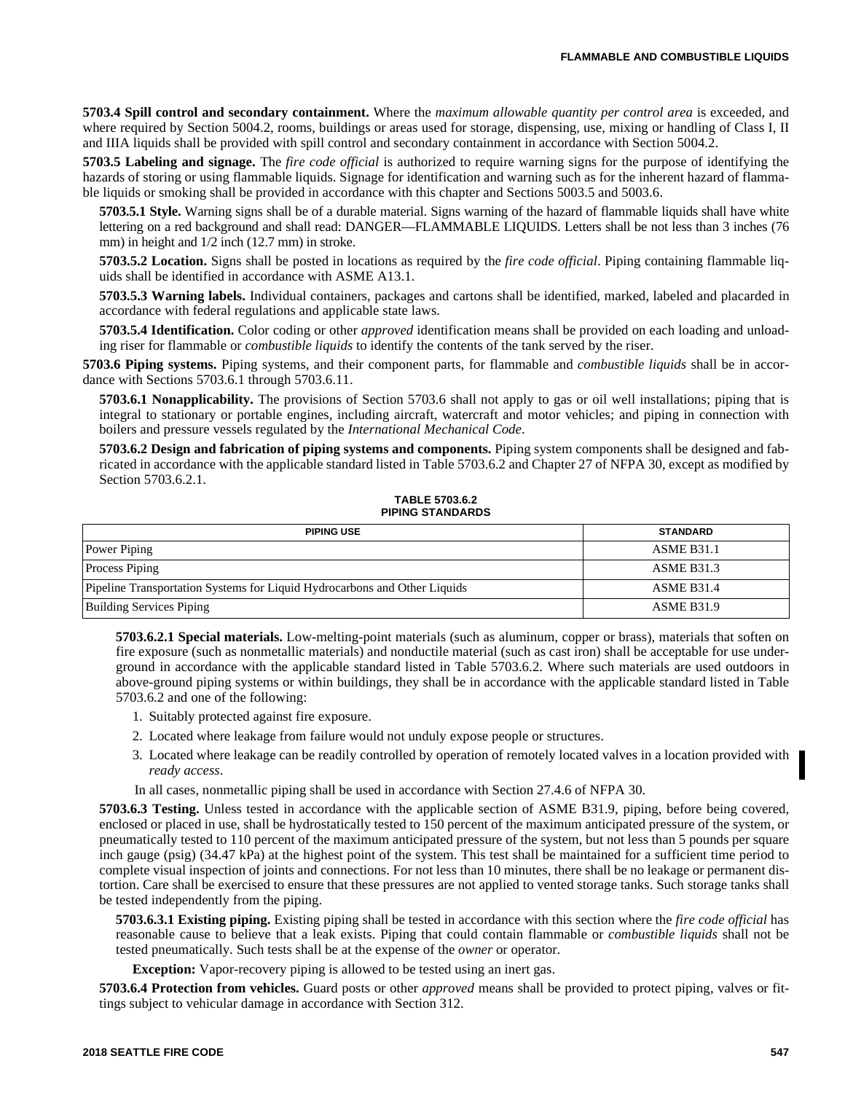**5703.4 Spill control and secondary containment.** Where the *maximum allowable quantity per control area* is exceeded, and where required by Section 5004.2, rooms, buildings or areas used for storage, dispensing, use, mixing or handling of Class I, II and IIIA liquids shall be provided with spill control and secondary containment in accordance with Section 5004.2.

**5703.5 Labeling and signage.** The *fire code official* is authorized to require warning signs for the purpose of identifying the hazards of storing or using flammable liquids. Signage for identification and warning such as for the inherent hazard of flammable liquids or smoking shall be provided in accordance with this chapter and Sections 5003.5 and 5003.6.

**5703.5.1 Style.** Warning signs shall be of a durable material. Signs warning of the hazard of flammable liquids shall have white lettering on a red background and shall read: DANGER—FLAMMABLE LIQUIDS. Letters shall be not less than 3 inches (76 mm) in height and 1/2 inch (12.7 mm) in stroke.

**5703.5.2 Location.** Signs shall be posted in locations as required by the *fire code official*. Piping containing flammable liquids shall be identified in accordance with ASME A13.1.

**5703.5.3 Warning labels.** Individual containers, packages and cartons shall be identified, marked, labeled and placarded in accordance with federal regulations and applicable state laws.

**5703.5.4 Identification.** Color coding or other *approved* identification means shall be provided on each loading and unloading riser for flammable or *combustible liquids* to identify the contents of the tank served by the riser.

**5703.6 Piping systems.** Piping systems, and their component parts, for flammable and *combustible liquids* shall be in accordance with Sections 5703.6.1 through 5703.6.11.

**5703.6.1 Nonapplicability.** The provisions of Section 5703.6 shall not apply to gas or oil well installations; piping that is integral to stationary or portable engines, including aircraft, watercraft and motor vehicles; and piping in connection with boilers and pressure vessels regulated by the *International Mechanical Code*.

**5703.6.2 Design and fabrication of piping systems and components.** Piping system components shall be designed and fabricated in accordance with the applicable standard listed in Table 5703.6.2 and Chapter 27 of NFPA 30, except as modified by Section 5703.6.2.1.

#### **TABLE 5703.6.2 PIPING STANDARDS**

| <b>PIPING USE</b>                                                         | <b>STANDARD</b>   |
|---------------------------------------------------------------------------|-------------------|
| Power Piping                                                              | <b>ASME B31.1</b> |
| Process Piping                                                            | <b>ASME B31.3</b> |
| Pipeline Transportation Systems for Liquid Hydrocarbons and Other Liquids | ASME B31.4        |
| <b>Building Services Piping</b>                                           | <b>ASME B31.9</b> |

**5703.6.2.1 Special materials.** Low-melting-point materials (such as aluminum, copper or brass), materials that soften on fire exposure (such as nonmetallic materials) and nonductile material (such as cast iron) shall be acceptable for use underground in accordance with the applicable standard listed in Table 5703.6.2. Where such materials are used outdoors in above-ground piping systems or within buildings, they shall be in accordance with the applicable standard listed in Table 5703.6.2 and one of the following:

- 1. Suitably protected against fire exposure.
- 2. Located where leakage from failure would not unduly expose people or structures.
- 3. Located where leakage can be readily controlled by operation of remotely located valves in a location provided with *ready access*.

In all cases, nonmetallic piping shall be used in accordance with Section 27.4.6 of NFPA 30.

**5703.6.3 Testing.** Unless tested in accordance with the applicable section of ASME B31.9, piping, before being covered, enclosed or placed in use, shall be hydrostatically tested to 150 percent of the maximum anticipated pressure of the system, or pneumatically tested to 110 percent of the maximum anticipated pressure of the system, but not less than 5 pounds per square inch gauge (psig) (34.47 kPa) at the highest point of the system. This test shall be maintained for a sufficient time period to complete visual inspection of joints and connections. For not less than 10 minutes, there shall be no leakage or permanent distortion. Care shall be exercised to ensure that these pressures are not applied to vented storage tanks. Such storage tanks shall be tested independently from the piping.

**5703.6.3.1 Existing piping.** Existing piping shall be tested in accordance with this section where the *fire code official* has reasonable cause to believe that a leak exists. Piping that could contain flammable or *combustible liquids* shall not be tested pneumatically. Such tests shall be at the expense of the *owner* or operator.

**Exception:** Vapor-recovery piping is allowed to be tested using an inert gas.

**5703.6.4 Protection from vehicles.** Guard posts or other *approved* means shall be provided to protect piping, valves or fittings subject to vehicular damage in accordance with Section 312.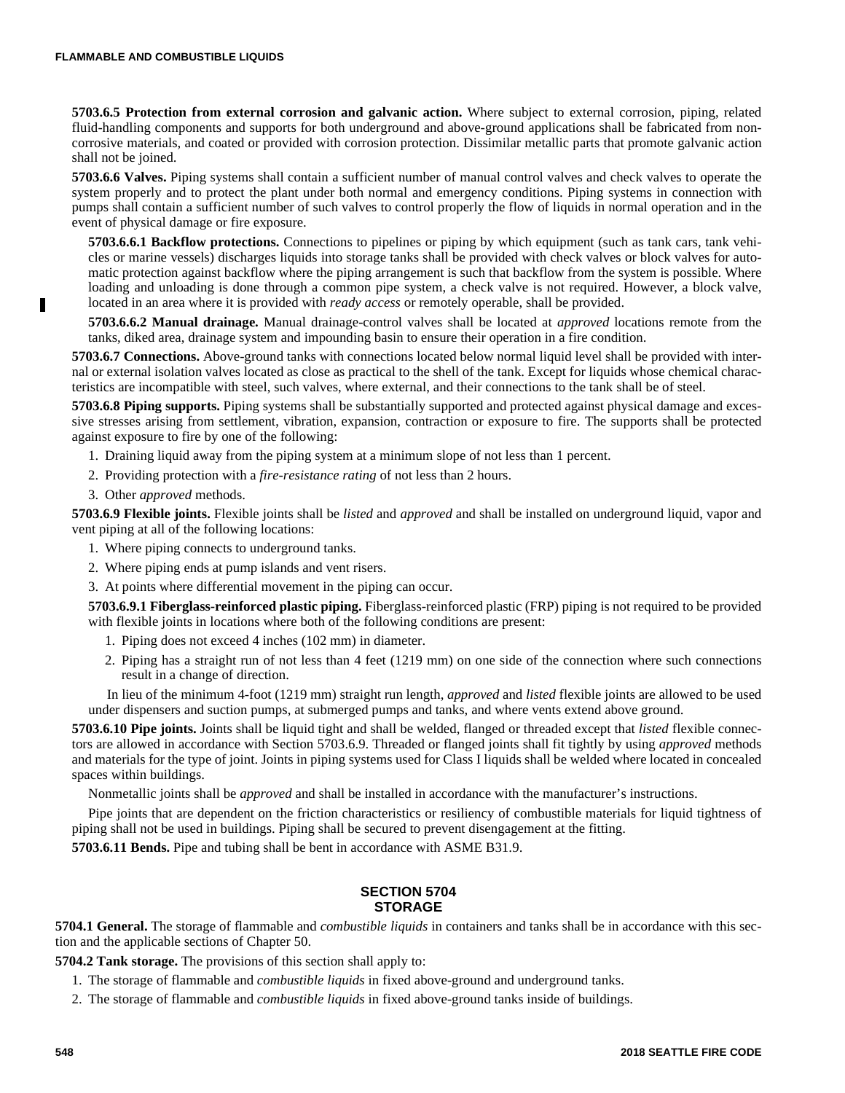**5703.6.5 Protection from external corrosion and galvanic action.** Where subject to external corrosion, piping, related fluid-handling components and supports for both underground and above-ground applications shall be fabricated from noncorrosive materials, and coated or provided with corrosion protection. Dissimilar metallic parts that promote galvanic action shall not be joined.

**5703.6.6 Valves.** Piping systems shall contain a sufficient number of manual control valves and check valves to operate the system properly and to protect the plant under both normal and emergency conditions. Piping systems in connection with pumps shall contain a sufficient number of such valves to control properly the flow of liquids in normal operation and in the event of physical damage or fire exposure.

**5703.6.6.1 Backflow protections.** Connections to pipelines or piping by which equipment (such as tank cars, tank vehicles or marine vessels) discharges liquids into storage tanks shall be provided with check valves or block valves for automatic protection against backflow where the piping arrangement is such that backflow from the system is possible. Where loading and unloading is done through a common pipe system, a check valve is not required. However, a block valve, located in an area where it is provided with *ready access* or remotely operable, shall be provided.

**5703.6.6.2 Manual drainage.** Manual drainage-control valves shall be located at *approved* locations remote from the tanks, diked area, drainage system and impounding basin to ensure their operation in a fire condition.

**5703.6.7 Connections.** Above-ground tanks with connections located below normal liquid level shall be provided with internal or external isolation valves located as close as practical to the shell of the tank. Except for liquids whose chemical characteristics are incompatible with steel, such valves, where external, and their connections to the tank shall be of steel.

**5703.6.8 Piping supports.** Piping systems shall be substantially supported and protected against physical damage and excessive stresses arising from settlement, vibration, expansion, contraction or exposure to fire. The supports shall be protected against exposure to fire by one of the following:

- 1. Draining liquid away from the piping system at a minimum slope of not less than 1 percent.
- 2. Providing protection with a *fire-resistance rating* of not less than 2 hours.
- 3. Other *approved* methods.

**5703.6.9 Flexible joints.** Flexible joints shall be *listed* and *approved* and shall be installed on underground liquid, vapor and vent piping at all of the following locations:

- 1. Where piping connects to underground tanks.
- 2. Where piping ends at pump islands and vent risers.
- 3. At points where differential movement in the piping can occur.

**5703.6.9.1 Fiberglass-reinforced plastic piping.** Fiberglass-reinforced plastic (FRP) piping is not required to be provided with flexible joints in locations where both of the following conditions are present:

- 1. Piping does not exceed 4 inches (102 mm) in diameter.
- 2. Piping has a straight run of not less than 4 feet (1219 mm) on one side of the connection where such connections result in a change of direction.

In lieu of the minimum 4-foot (1219 mm) straight run length, *approved* and *listed* flexible joints are allowed to be used under dispensers and suction pumps, at submerged pumps and tanks, and where vents extend above ground.

**5703.6.10 Pipe joints.** Joints shall be liquid tight and shall be welded, flanged or threaded except that *listed* flexible connectors are allowed in accordance with Section 5703.6.9. Threaded or flanged joints shall fit tightly by using *approved* methods and materials for the type of joint. Joints in piping systems used for Class I liquids shall be welded where located in concealed spaces within buildings.

Nonmetallic joints shall be *approved* and shall be installed in accordance with the manufacturer's instructions.

Pipe joints that are dependent on the friction characteristics or resiliency of combustible materials for liquid tightness of piping shall not be used in buildings. Piping shall be secured to prevent disengagement at the fitting.

**5703.6.11 Bends.** Pipe and tubing shall be bent in accordance with ASME B31.9.

### **SECTION 5704 STORAGE**

**5704.1 General.** The storage of flammable and *combustible liquids* in containers and tanks shall be in accordance with this section and the applicable sections of Chapter 50.

**5704.2 Tank storage.** The provisions of this section shall apply to:

- 1. The storage of flammable and *combustible liquids* in fixed above-ground and underground tanks.
- 2. The storage of flammable and *combustible liquids* in fixed above-ground tanks inside of buildings.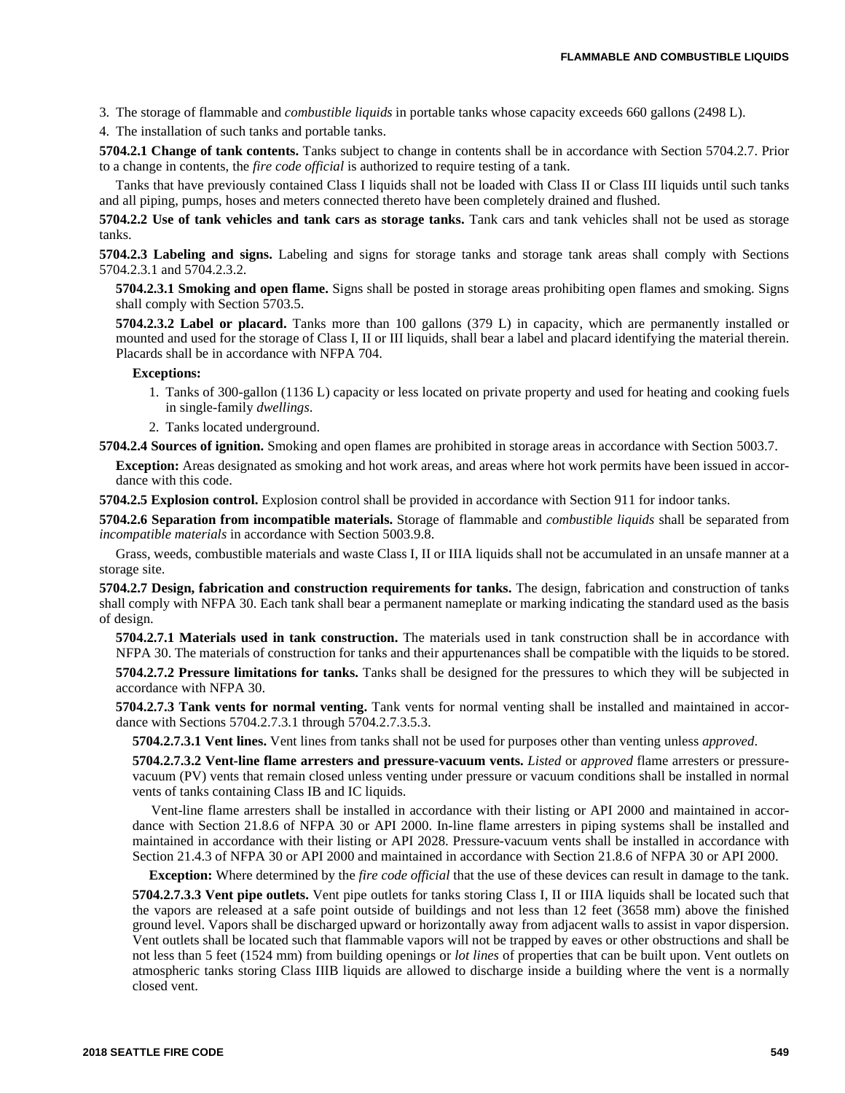3. The storage of flammable and *combustible liquids* in portable tanks whose capacity exceeds 660 gallons (2498 L).

4. The installation of such tanks and portable tanks.

**5704.2.1 Change of tank contents.** Tanks subject to change in contents shall be in accordance with Section 5704.2.7. Prior to a change in contents, the *fire code official* is authorized to require testing of a tank.

Tanks that have previously contained Class I liquids shall not be loaded with Class II or Class III liquids until such tanks and all piping, pumps, hoses and meters connected thereto have been completely drained and flushed.

**5704.2.2 Use of tank vehicles and tank cars as storage tanks.** Tank cars and tank vehicles shall not be used as storage tanks.

**5704.2.3 Labeling and signs.** Labeling and signs for storage tanks and storage tank areas shall comply with Sections 5704.2.3.1 and 5704.2.3.2.

**5704.2.3.1 Smoking and open flame.** Signs shall be posted in storage areas prohibiting open flames and smoking. Signs shall comply with Section 5703.5.

**5704.2.3.2 Label or placard.** Tanks more than 100 gallons (379 L) in capacity, which are permanently installed or mounted and used for the storage of Class I, II or III liquids, shall bear a label and placard identifying the material therein. Placards shall be in accordance with NFPA 704.

### **Exceptions:**

- 1. Tanks of 300-gallon (1136 L) capacity or less located on private property and used for heating and cooking fuels in single-family *dwellings*.
- 2. Tanks located underground.

**5704.2.4 Sources of ignition.** Smoking and open flames are prohibited in storage areas in accordance with Section 5003.7.

**Exception:** Areas designated as smoking and hot work areas, and areas where hot work permits have been issued in accordance with this code.

**5704.2.5 Explosion control.** Explosion control shall be provided in accordance with Section 911 for indoor tanks.

**5704.2.6 Separation from incompatible materials.** Storage of flammable and *combustible liquids* shall be separated from *incompatible materials* in accordance with Section 5003.9.8.

Grass, weeds, combustible materials and waste Class I, II or IIIA liquids shall not be accumulated in an unsafe manner at a storage site.

**5704.2.7 Design, fabrication and construction requirements for tanks.** The design, fabrication and construction of tanks shall comply with NFPA 30. Each tank shall bear a permanent nameplate or marking indicating the standard used as the basis of design.

**5704.2.7.1 Materials used in tank construction.** The materials used in tank construction shall be in accordance with NFPA 30. The materials of construction for tanks and their appurtenances shall be compatible with the liquids to be stored.

**5704.2.7.2 Pressure limitations for tanks.** Tanks shall be designed for the pressures to which they will be subjected in accordance with NFPA 30.

**5704.2.7.3 Tank vents for normal venting.** Tank vents for normal venting shall be installed and maintained in accordance with Sections 5704.2.7.3.1 through 5704.2.7.3.5.3.

**5704.2.7.3.1 Vent lines.** Vent lines from tanks shall not be used for purposes other than venting unless *approved*.

**5704.2.7.3.2 Vent-line flame arresters and pressure-vacuum vents.** *Listed* or *approved* flame arresters or pressurevacuum (PV) vents that remain closed unless venting under pressure or vacuum conditions shall be installed in normal vents of tanks containing Class IB and IC liquids.

Vent-line flame arresters shall be installed in accordance with their listing or API 2000 and maintained in accordance with Section 21.8.6 of NFPA 30 or API 2000. In-line flame arresters in piping systems shall be installed and maintained in accordance with their listing or API 2028. Pressure-vacuum vents shall be installed in accordance with Section 21.4.3 of NFPA 30 or API 2000 and maintained in accordance with Section 21.8.6 of NFPA 30 or API 2000.

**Exception:** Where determined by the *fire code official* that the use of these devices can result in damage to the tank.

**5704.2.7.3.3 Vent pipe outlets.** Vent pipe outlets for tanks storing Class I, II or IIIA liquids shall be located such that the vapors are released at a safe point outside of buildings and not less than 12 feet (3658 mm) above the finished ground level. Vapors shall be discharged upward or horizontally away from adjacent walls to assist in vapor dispersion. Vent outlets shall be located such that flammable vapors will not be trapped by eaves or other obstructions and shall be not less than 5 feet (1524 mm) from building openings or *lot lines* of properties that can be built upon. Vent outlets on atmospheric tanks storing Class IIIB liquids are allowed to discharge inside a building where the vent is a normally closed vent.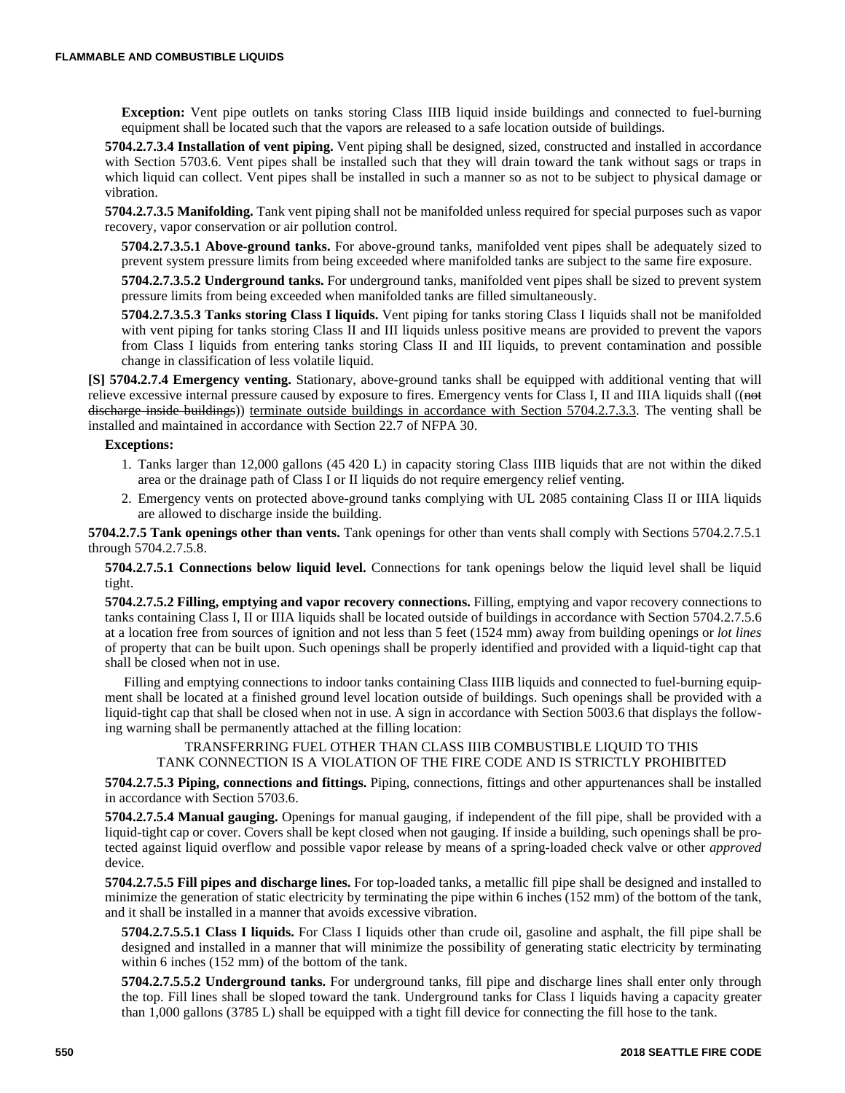**Exception:** Vent pipe outlets on tanks storing Class IIIB liquid inside buildings and connected to fuel-burning equipment shall be located such that the vapors are released to a safe location outside of buildings.

**5704.2.7.3.4 Installation of vent piping.** Vent piping shall be designed, sized, constructed and installed in accordance with Section 5703.6. Vent pipes shall be installed such that they will drain toward the tank without sags or traps in which liquid can collect. Vent pipes shall be installed in such a manner so as not to be subject to physical damage or vibration.

**5704.2.7.3.5 Manifolding.** Tank vent piping shall not be manifolded unless required for special purposes such as vapor recovery, vapor conservation or air pollution control.

**5704.2.7.3.5.1 Above-ground tanks.** For above-ground tanks, manifolded vent pipes shall be adequately sized to prevent system pressure limits from being exceeded where manifolded tanks are subject to the same fire exposure.

**5704.2.7.3.5.2 Underground tanks.** For underground tanks, manifolded vent pipes shall be sized to prevent system pressure limits from being exceeded when manifolded tanks are filled simultaneously.

**5704.2.7.3.5.3 Tanks storing Class I liquids.** Vent piping for tanks storing Class I liquids shall not be manifolded with vent piping for tanks storing Class II and III liquids unless positive means are provided to prevent the vapors from Class I liquids from entering tanks storing Class II and III liquids, to prevent contamination and possible change in classification of less volatile liquid.

**[S] 5704.2.7.4 Emergency venting.** Stationary, above-ground tanks shall be equipped with additional venting that will relieve excessive internal pressure caused by exposure to fires. Emergency vents for Class I, II and IIIA liquids shall ((not discharge inside buildings)) terminate outside buildings in accordance with Section 5704.2.7.3.3. The venting shall be installed and maintained in accordance with Section 22.7 of NFPA 30.

### **Exceptions:**

- 1. Tanks larger than 12,000 gallons (45 420 L) in capacity storing Class IIIB liquids that are not within the diked area or the drainage path of Class I or II liquids do not require emergency relief venting.
- 2. Emergency vents on protected above-ground tanks complying with UL 2085 containing Class II or IIIA liquids are allowed to discharge inside the building.

**5704.2.7.5 Tank openings other than vents.** Tank openings for other than vents shall comply with Sections 5704.2.7.5.1 through 5704.2.7.5.8.

**5704.2.7.5.1 Connections below liquid level.** Connections for tank openings below the liquid level shall be liquid tight.

**5704.2.7.5.2 Filling, emptying and vapor recovery connections.** Filling, emptying and vapor recovery connections to tanks containing Class I, II or IIIA liquids shall be located outside of buildings in accordance with Section 5704.2.7.5.6 at a location free from sources of ignition and not less than 5 feet (1524 mm) away from building openings or *lot lines* of property that can be built upon. Such openings shall be properly identified and provided with a liquid-tight cap that shall be closed when not in use.

Filling and emptying connections to indoor tanks containing Class IIIB liquids and connected to fuel-burning equipment shall be located at a finished ground level location outside of buildings. Such openings shall be provided with a liquid-tight cap that shall be closed when not in use. A sign in accordance with Section 5003.6 that displays the following warning shall be permanently attached at the filling location:

### TRANSFERRING FUEL OTHER THAN CLASS IIIB COMBUSTIBLE LIQUID TO THIS TANK CONNECTION IS A VIOLATION OF THE FIRE CODE AND IS STRICTLY PROHIBITED

**5704.2.7.5.3 Piping, connections and fittings.** Piping, connections, fittings and other appurtenances shall be installed in accordance with Section 5703.6.

**5704.2.7.5.4 Manual gauging.** Openings for manual gauging, if independent of the fill pipe, shall be provided with a liquid-tight cap or cover. Covers shall be kept closed when not gauging. If inside a building, such openings shall be protected against liquid overflow and possible vapor release by means of a spring-loaded check valve or other *approved* device.

**5704.2.7.5.5 Fill pipes and discharge lines.** For top-loaded tanks, a metallic fill pipe shall be designed and installed to minimize the generation of static electricity by terminating the pipe within 6 inches (152 mm) of the bottom of the tank, and it shall be installed in a manner that avoids excessive vibration.

**5704.2.7.5.5.1 Class I liquids.** For Class I liquids other than crude oil, gasoline and asphalt, the fill pipe shall be designed and installed in a manner that will minimize the possibility of generating static electricity by terminating within 6 inches (152 mm) of the bottom of the tank.

**5704.2.7.5.5.2 Underground tanks.** For underground tanks, fill pipe and discharge lines shall enter only through the top. Fill lines shall be sloped toward the tank. Underground tanks for Class I liquids having a capacity greater than 1,000 gallons (3785 L) shall be equipped with a tight fill device for connecting the fill hose to the tank.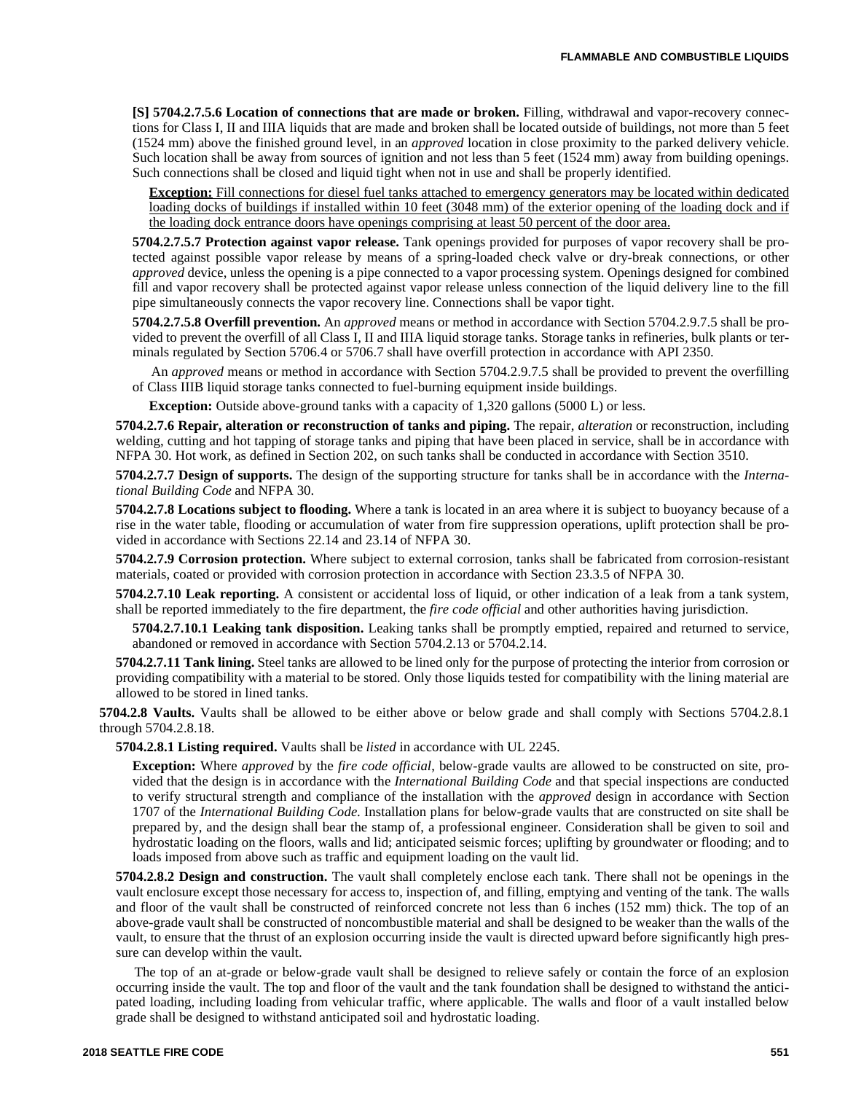**[S] 5704.2.7.5.6 Location of connections that are made or broken.** Filling, withdrawal and vapor-recovery connections for Class I, II and IIIA liquids that are made and broken shall be located outside of buildings, not more than 5 feet (1524 mm) above the finished ground level, in an *approved* location in close proximity to the parked delivery vehicle. Such location shall be away from sources of ignition and not less than 5 feet (1524 mm) away from building openings. Such connections shall be closed and liquid tight when not in use and shall be properly identified.

**Exception:** Fill connections for diesel fuel tanks attached to emergency generators may be located within dedicated loading docks of buildings if installed within 10 feet (3048 mm) of the exterior opening of the loading dock and if the loading dock entrance doors have openings comprising at least 50 percent of the door area.

**5704.2.7.5.7 Protection against vapor release.** Tank openings provided for purposes of vapor recovery shall be protected against possible vapor release by means of a spring-loaded check valve or dry-break connections, or other *approved* device, unless the opening is a pipe connected to a vapor processing system. Openings designed for combined fill and vapor recovery shall be protected against vapor release unless connection of the liquid delivery line to the fill pipe simultaneously connects the vapor recovery line. Connections shall be vapor tight.

**5704.2.7.5.8 Overfill prevention.** An *approved* means or method in accordance with Section 5704.2.9.7.5 shall be provided to prevent the overfill of all Class I, II and IIIA liquid storage tanks. Storage tanks in refineries, bulk plants or terminals regulated by Section 5706.4 or 5706.7 shall have overfill protection in accordance with API 2350.

An *approved* means or method in accordance with Section 5704.2.9.7.5 shall be provided to prevent the overfilling of Class IIIB liquid storage tanks connected to fuel-burning equipment inside buildings.

**Exception:** Outside above-ground tanks with a capacity of 1,320 gallons (5000 L) or less.

**5704.2.7.6 Repair, alteration or reconstruction of tanks and piping.** The repair, *alteration* or reconstruction, including welding, cutting and hot tapping of storage tanks and piping that have been placed in service, shall be in accordance with NFPA 30. Hot work, as defined in Section 202, on such tanks shall be conducted in accordance with Section 3510.

**5704.2.7.7 Design of supports.** The design of the supporting structure for tanks shall be in accordance with the *International Building Code* and NFPA 30.

**5704.2.7.8 Locations subject to flooding.** Where a tank is located in an area where it is subject to buoyancy because of a rise in the water table, flooding or accumulation of water from fire suppression operations, uplift protection shall be provided in accordance with Sections 22.14 and 23.14 of NFPA 30.

**5704.2.7.9 Corrosion protection.** Where subject to external corrosion, tanks shall be fabricated from corrosion-resistant materials, coated or provided with corrosion protection in accordance with Section 23.3.5 of NFPA 30.

**5704.2.7.10 Leak reporting.** A consistent or accidental loss of liquid, or other indication of a leak from a tank system, shall be reported immediately to the fire department, the *fire code official* and other authorities having jurisdiction.

**5704.2.7.10.1 Leaking tank disposition.** Leaking tanks shall be promptly emptied, repaired and returned to service, abandoned or removed in accordance with Section 5704.2.13 or 5704.2.14.

**5704.2.7.11 Tank lining.** Steel tanks are allowed to be lined only for the purpose of protecting the interior from corrosion or providing compatibility with a material to be stored. Only those liquids tested for compatibility with the lining material are allowed to be stored in lined tanks.

**5704.2.8 Vaults.** Vaults shall be allowed to be either above or below grade and shall comply with Sections 5704.2.8.1 through 5704.2.8.18.

**5704.2.8.1 Listing required.** Vaults shall be *listed* in accordance with UL 2245.

**Exception:** Where *approved* by the *fire code official*, below-grade vaults are allowed to be constructed on site, provided that the design is in accordance with the *International Building Code* and that special inspections are conducted to verify structural strength and compliance of the installation with the *approved* design in accordance with Section 1707 of the *International Building Code*. Installation plans for below-grade vaults that are constructed on site shall be prepared by, and the design shall bear the stamp of, a professional engineer. Consideration shall be given to soil and hydrostatic loading on the floors, walls and lid; anticipated seismic forces; uplifting by groundwater or flooding; and to loads imposed from above such as traffic and equipment loading on the vault lid.

**5704.2.8.2 Design and construction.** The vault shall completely enclose each tank. There shall not be openings in the vault enclosure except those necessary for access to, inspection of, and filling, emptying and venting of the tank. The walls and floor of the vault shall be constructed of reinforced concrete not less than 6 inches (152 mm) thick. The top of an above-grade vault shall be constructed of noncombustible material and shall be designed to be weaker than the walls of the vault, to ensure that the thrust of an explosion occurring inside the vault is directed upward before significantly high pressure can develop within the vault.

The top of an at-grade or below-grade vault shall be designed to relieve safely or contain the force of an explosion occurring inside the vault. The top and floor of the vault and the tank foundation shall be designed to withstand the anticipated loading, including loading from vehicular traffic, where applicable. The walls and floor of a vault installed below grade shall be designed to withstand anticipated soil and hydrostatic loading.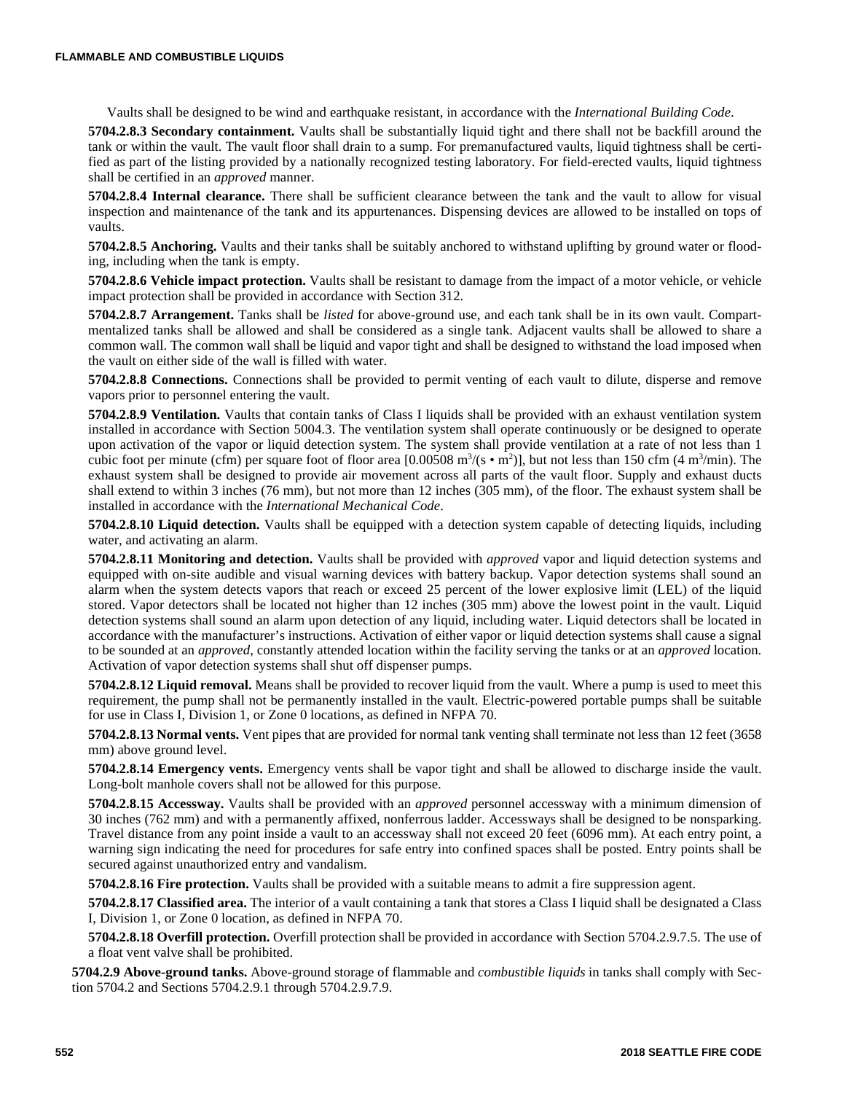Vaults shall be designed to be wind and earthquake resistant, in accordance with the *International Building Code*.

**5704.2.8.3 Secondary containment.** Vaults shall be substantially liquid tight and there shall not be backfill around the tank or within the vault. The vault floor shall drain to a sump. For premanufactured vaults, liquid tightness shall be certified as part of the listing provided by a nationally recognized testing laboratory. For field-erected vaults, liquid tightness shall be certified in an *approved* manner.

**5704.2.8.4 Internal clearance.** There shall be sufficient clearance between the tank and the vault to allow for visual inspection and maintenance of the tank and its appurtenances. Dispensing devices are allowed to be installed on tops of vaults.

**5704.2.8.5 Anchoring.** Vaults and their tanks shall be suitably anchored to withstand uplifting by ground water or flooding, including when the tank is empty.

**5704.2.8.6 Vehicle impact protection.** Vaults shall be resistant to damage from the impact of a motor vehicle, or vehicle impact protection shall be provided in accordance with Section 312.

**5704.2.8.7 Arrangement.** Tanks shall be *listed* for above-ground use, and each tank shall be in its own vault. Compartmentalized tanks shall be allowed and shall be considered as a single tank. Adjacent vaults shall be allowed to share a common wall. The common wall shall be liquid and vapor tight and shall be designed to withstand the load imposed when the vault on either side of the wall is filled with water.

**5704.2.8.8 Connections.** Connections shall be provided to permit venting of each vault to dilute, disperse and remove vapors prior to personnel entering the vault.

**5704.2.8.9 Ventilation.** Vaults that contain tanks of Class I liquids shall be provided with an exhaust ventilation system installed in accordance with Section 5004.3. The ventilation system shall operate continuously or be designed to operate upon activation of the vapor or liquid detection system. The system shall provide ventilation at a rate of not less than 1 cubic foot per minute (cfm) per square foot of floor area  $[0.00508 \text{ m}^3/(s \cdot \text{m}^2)]$ , but not less than 150 cfm  $(4 \text{ m}^3/\text{min})$ . The exhaust system shall be designed to provide air movement across all parts of the vault floor. Supply and exhaust ducts shall extend to within 3 inches (76 mm), but not more than 12 inches (305 mm), of the floor. The exhaust system shall be installed in accordance with the *International Mechanical Code*.

**5704.2.8.10 Liquid detection.** Vaults shall be equipped with a detection system capable of detecting liquids, including water, and activating an alarm.

**5704.2.8.11 Monitoring and detection.** Vaults shall be provided with *approved* vapor and liquid detection systems and equipped with on-site audible and visual warning devices with battery backup. Vapor detection systems shall sound an alarm when the system detects vapors that reach or exceed 25 percent of the lower explosive limit (LEL) of the liquid stored. Vapor detectors shall be located not higher than 12 inches (305 mm) above the lowest point in the vault. Liquid detection systems shall sound an alarm upon detection of any liquid, including water. Liquid detectors shall be located in accordance with the manufacturer's instructions. Activation of either vapor or liquid detection systems shall cause a signal to be sounded at an *approved*, constantly attended location within the facility serving the tanks or at an *approved* location. Activation of vapor detection systems shall shut off dispenser pumps.

**5704.2.8.12 Liquid removal.** Means shall be provided to recover liquid from the vault. Where a pump is used to meet this requirement, the pump shall not be permanently installed in the vault. Electric-powered portable pumps shall be suitable for use in Class I, Division 1, or Zone 0 locations, as defined in NFPA 70.

**5704.2.8.13 Normal vents.** Vent pipes that are provided for normal tank venting shall terminate not less than 12 feet (3658 mm) above ground level.

**5704.2.8.14 Emergency vents.** Emergency vents shall be vapor tight and shall be allowed to discharge inside the vault. Long-bolt manhole covers shall not be allowed for this purpose.

**5704.2.8.15 Accessway.** Vaults shall be provided with an *approved* personnel accessway with a minimum dimension of 30 inches (762 mm) and with a permanently affixed, nonferrous ladder. Accessways shall be designed to be nonsparking. Travel distance from any point inside a vault to an accessway shall not exceed 20 feet (6096 mm). At each entry point, a warning sign indicating the need for procedures for safe entry into confined spaces shall be posted. Entry points shall be secured against unauthorized entry and vandalism.

**5704.2.8.16 Fire protection.** Vaults shall be provided with a suitable means to admit a fire suppression agent.

**5704.2.8.17 Classified area.** The interior of a vault containing a tank that stores a Class I liquid shall be designated a Class I, Division 1, or Zone 0 location, as defined in NFPA 70.

**5704.2.8.18 Overfill protection.** Overfill protection shall be provided in accordance with Section 5704.2.9.7.5. The use of a float vent valve shall be prohibited.

**5704.2.9 Above-ground tanks.** Above-ground storage of flammable and *combustible liquids* in tanks shall comply with Section 5704.2 and Sections 5704.2.9.1 through 5704.2.9.7.9.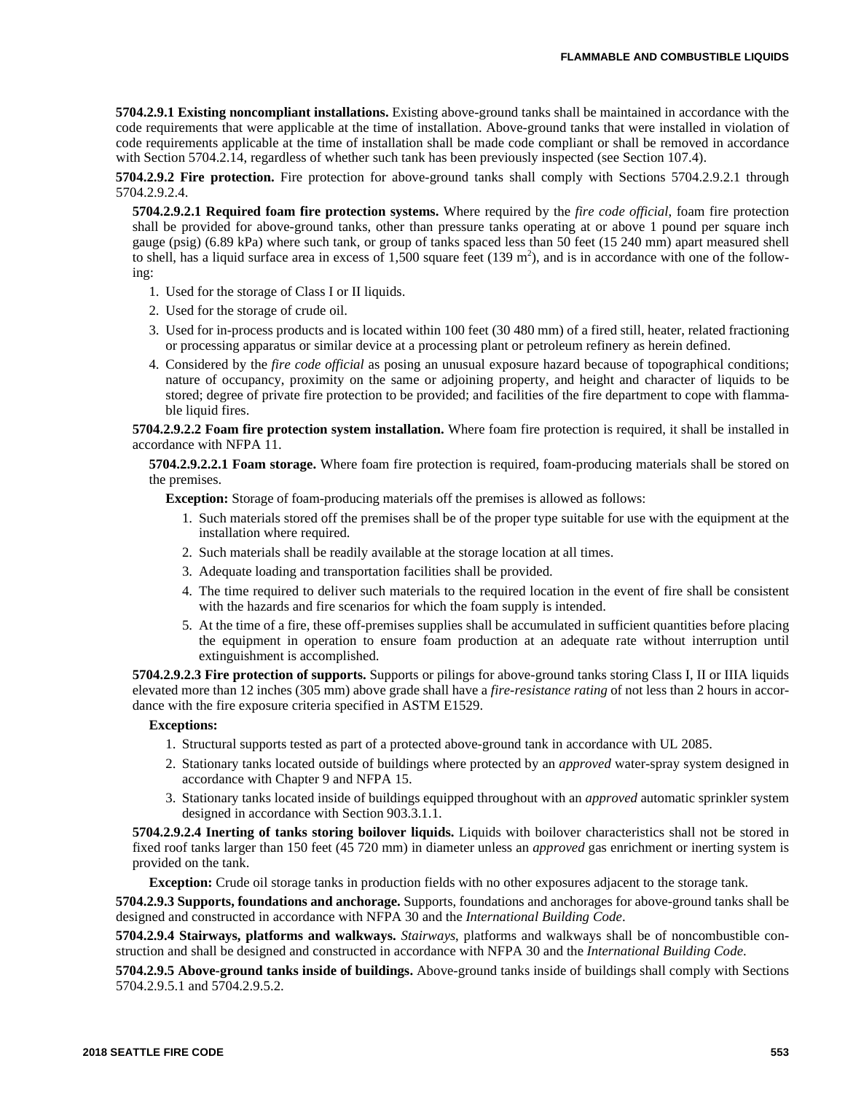**5704.2.9.1 Existing noncompliant installations.** Existing above-ground tanks shall be maintained in accordance with the code requirements that were applicable at the time of installation. Above-ground tanks that were installed in violation of code requirements applicable at the time of installation shall be made code compliant or shall be removed in accordance with Section 5704.2.14, regardless of whether such tank has been previously inspected (see Section 107.4).

**5704.2.9.2 Fire protection.** Fire protection for above-ground tanks shall comply with Sections 5704.2.9.2.1 through 5704.2.9.2.4.

**5704.2.9.2.1 Required foam fire protection systems.** Where required by the *fire code official*, foam fire protection shall be provided for above-ground tanks, other than pressure tanks operating at or above 1 pound per square inch gauge (psig) (6.89 kPa) where such tank, or group of tanks spaced less than 50 feet (15 240 mm) apart measured shell to shell, has a liquid surface area in excess of 1,500 square feet  $(139 \text{ m}^2)$ , and is in accordance with one of the following:

- 1. Used for the storage of Class I or II liquids.
- 2. Used for the storage of crude oil.
- 3. Used for in-process products and is located within 100 feet (30 480 mm) of a fired still, heater, related fractioning or processing apparatus or similar device at a processing plant or petroleum refinery as herein defined.
- 4. Considered by the *fire code official* as posing an unusual exposure hazard because of topographical conditions; nature of occupancy, proximity on the same or adjoining property, and height and character of liquids to be stored; degree of private fire protection to be provided; and facilities of the fire department to cope with flammable liquid fires.

**5704.2.9.2.2 Foam fire protection system installation.** Where foam fire protection is required, it shall be installed in accordance with NFPA 11.

**5704.2.9.2.2.1 Foam storage.** Where foam fire protection is required, foam-producing materials shall be stored on the premises.

**Exception:** Storage of foam-producing materials off the premises is allowed as follows:

- 1. Such materials stored off the premises shall be of the proper type suitable for use with the equipment at the installation where required.
- 2. Such materials shall be readily available at the storage location at all times.
- 3. Adequate loading and transportation facilities shall be provided.
- 4. The time required to deliver such materials to the required location in the event of fire shall be consistent with the hazards and fire scenarios for which the foam supply is intended.
- 5. At the time of a fire, these off-premises supplies shall be accumulated in sufficient quantities before placing the equipment in operation to ensure foam production at an adequate rate without interruption until extinguishment is accomplished.

**5704.2.9.2.3 Fire protection of supports.** Supports or pilings for above-ground tanks storing Class I, II or IIIA liquids elevated more than 12 inches (305 mm) above grade shall have a *fire-resistance rating* of not less than 2 hours in accordance with the fire exposure criteria specified in ASTM E1529.

#### **Exceptions:**

- 1. Structural supports tested as part of a protected above-ground tank in accordance with UL 2085.
- 2. Stationary tanks located outside of buildings where protected by an *approved* water-spray system designed in accordance with Chapter 9 and NFPA 15.
- 3. Stationary tanks located inside of buildings equipped throughout with an *approved* automatic sprinkler system designed in accordance with Section 903.3.1.1.

**5704.2.9.2.4 Inerting of tanks storing boilover liquids.** Liquids with boilover characteristics shall not be stored in fixed roof tanks larger than 150 feet (45 720 mm) in diameter unless an *approved* gas enrichment or inerting system is provided on the tank.

**Exception:** Crude oil storage tanks in production fields with no other exposures adjacent to the storage tank.

**5704.2.9.3 Supports, foundations and anchorage.** Supports, foundations and anchorages for above-ground tanks shall be designed and constructed in accordance with NFPA 30 and the *International Building Code*.

**5704.2.9.4 Stairways, platforms and walkways.** *Stairways*, platforms and walkways shall be of noncombustible construction and shall be designed and constructed in accordance with NFPA 30 and the *International Building Code*.

**5704.2.9.5 Above-ground tanks inside of buildings.** Above-ground tanks inside of buildings shall comply with Sections 5704.2.9.5.1 and 5704.2.9.5.2.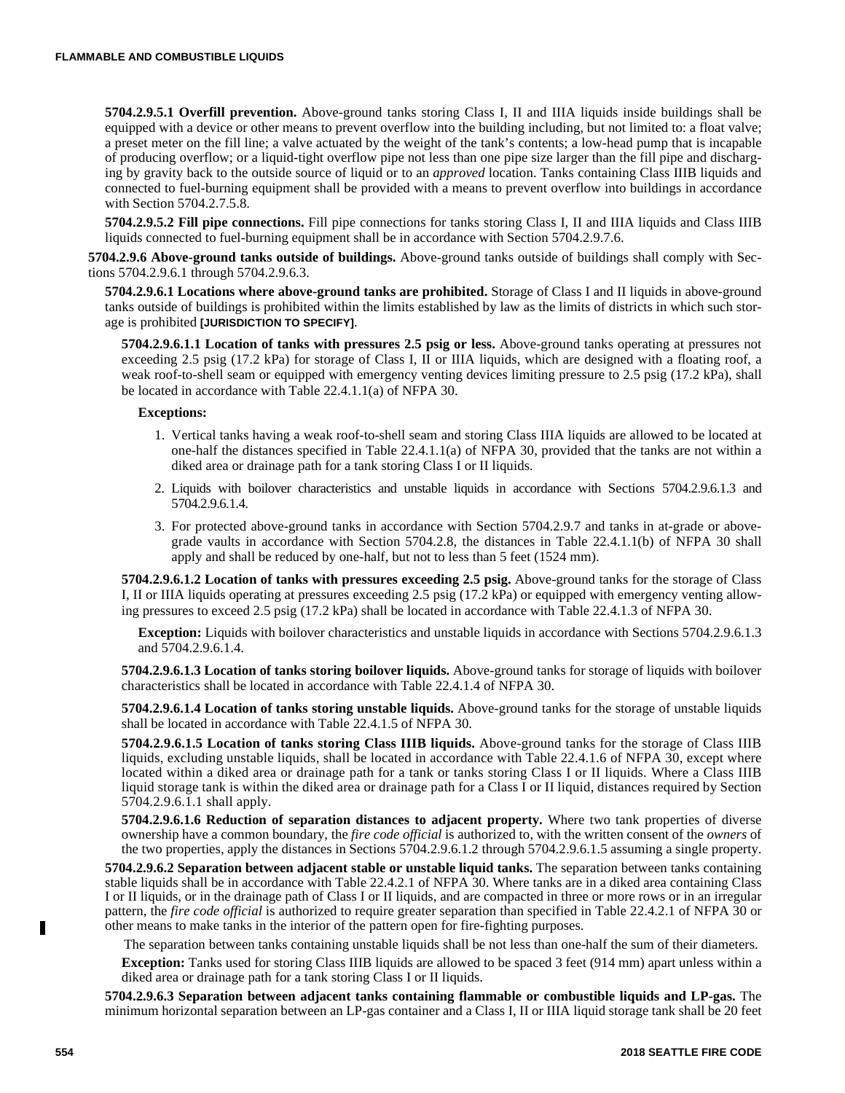**5704.2.9.5.1 Overfill prevention.** Above-ground tanks storing Class I, II and IIIA liquids inside buildings shall be equipped with a device or other means to prevent overflow into the building including, but not limited to: a float valve; a preset meter on the fill line; a valve actuated by the weight of the tank's contents; a low-head pump that is incapable of producing overflow; or a liquid-tight overflow pipe not less than one pipe size larger than the fill pipe and discharging by gravity back to the outside source of liquid or to an *approved* location. Tanks containing Class IIIB liquids and connected to fuel-burning equipment shall be provided with a means to prevent overflow into buildings in accordance with Section 5704.2.7.5.8.

**5704.2.9.5.2 Fill pipe connections.** Fill pipe connections for tanks storing Class I, II and IIIA liquids and Class IIIB liquids connected to fuel-burning equipment shall be in accordance with Section 5704.2.9.7.6.

**5704.2.9.6 Above-ground tanks outside of buildings.** Above-ground tanks outside of buildings shall comply with Sections 5704.2.9.6.1 through 5704.2.9.6.3.

**5704.2.9.6.1 Locations where above-ground tanks are prohibited.** Storage of Class I and II liquids in above-ground tanks outside of buildings is prohibited within the limits established by law as the limits of districts in which such storage is prohibited **[JURISDICTION TO SPECIFY]**.

**5704.2.9.6.1.1 Location of tanks with pressures 2.5 psig or less.** Above-ground tanks operating at pressures not exceeding 2.5 psig (17.2 kPa) for storage of Class I, II or IIIA liquids, which are designed with a floating roof, a weak roof-to-shell seam or equipped with emergency venting devices limiting pressure to 2.5 psig (17.2 kPa), shall be located in accordance with Table 22.4.1.1(a) of NFPA 30.

### **Exceptions:**

- 1. Vertical tanks having a weak roof-to-shell seam and storing Class IIIA liquids are allowed to be located at one-half the distances specified in Table 22.4.1.1(a) of NFPA 30, provided that the tanks are not within a diked area or drainage path for a tank storing Class I or II liquids.
- 2. Liquids with boilover characteristics and unstable liquids in accordance with Sections 5704.2.9.6.1.3 and 5704.2.9.6.1.4.
- 3. For protected above-ground tanks in accordance with Section 5704.2.9.7 and tanks in at-grade or abovegrade vaults in accordance with Section 5704.2.8, the distances in Table 22.4.1.1(b) of NFPA 30 shall apply and shall be reduced by one-half, but not to less than 5 feet (1524 mm).

**5704.2.9.6.1.2 Location of tanks with pressures exceeding 2.5 psig.** Above-ground tanks for the storage of Class I, II or IIIA liquids operating at pressures exceeding 2.5 psig (17.2 kPa) or equipped with emergency venting allowing pressures to exceed 2.5 psig (17.2 kPa) shall be located in accordance with Table 22.4.1.3 of NFPA 30.

**Exception:** Liquids with boilover characteristics and unstable liquids in accordance with Sections 5704.2.9.6.1.3 and 5704.2.9.6.1.4.

**5704.2.9.6.1.3 Location of tanks storing boilover liquids.** Above-ground tanks for storage of liquids with boilover characteristics shall be located in accordance with Table 22.4.1.4 of NFPA 30.

**5704.2.9.6.1.4 Location of tanks storing unstable liquids.** Above-ground tanks for the storage of unstable liquids shall be located in accordance with Table 22.4.1.5 of NFPA 30.

**5704.2.9.6.1.5 Location of tanks storing Class IIIB liquids.** Above-ground tanks for the storage of Class IIIB liquids, excluding unstable liquids, shall be located in accordance with Table 22.4.1.6 of NFPA 30, except where located within a diked area or drainage path for a tank or tanks storing Class I or II liquids. Where a Class IIIB liquid storage tank is within the diked area or drainage path for a Class I or II liquid, distances required by Section 5704.2.9.6.1.1 shall apply.

**5704.2.9.6.1.6 Reduction of separation distances to adjacent property.** Where two tank properties of diverse ownership have a common boundary, the *fire code official* is authorized to, with the written consent of the *owners* of the two properties, apply the distances in Sections 5704.2.9.6.1.2 through 5704.2.9.6.1.5 assuming a single property.

**5704.2.9.6.2 Separation between adjacent stable or unstable liquid tanks.** The separation between tanks containing stable liquids shall be in accordance with Table 22.4.2.1 of NFPA 30. Where tanks are in a diked area containing Class I or II liquids, or in the drainage path of Class I or II liquids, and are compacted in three or more rows or in an irregular pattern, the *fire code official* is authorized to require greater separation than specified in Table 22.4.2.1 of NFPA 30 or other means to make tanks in the interior of the pattern open for fire-fighting purposes.

The separation between tanks containing unstable liquids shall be not less than one-half the sum of their diameters.

**Exception:** Tanks used for storing Class IIIB liquids are allowed to be spaced 3 feet (914 mm) apart unless within a diked area or drainage path for a tank storing Class I or II liquids.

**5704.2.9.6.3 Separation between adjacent tanks containing flammable or combustible liquids and LP-gas.** The minimum horizontal separation between an LP-gas container and a Class I, II or IIIA liquid storage tank shall be 20 feet

П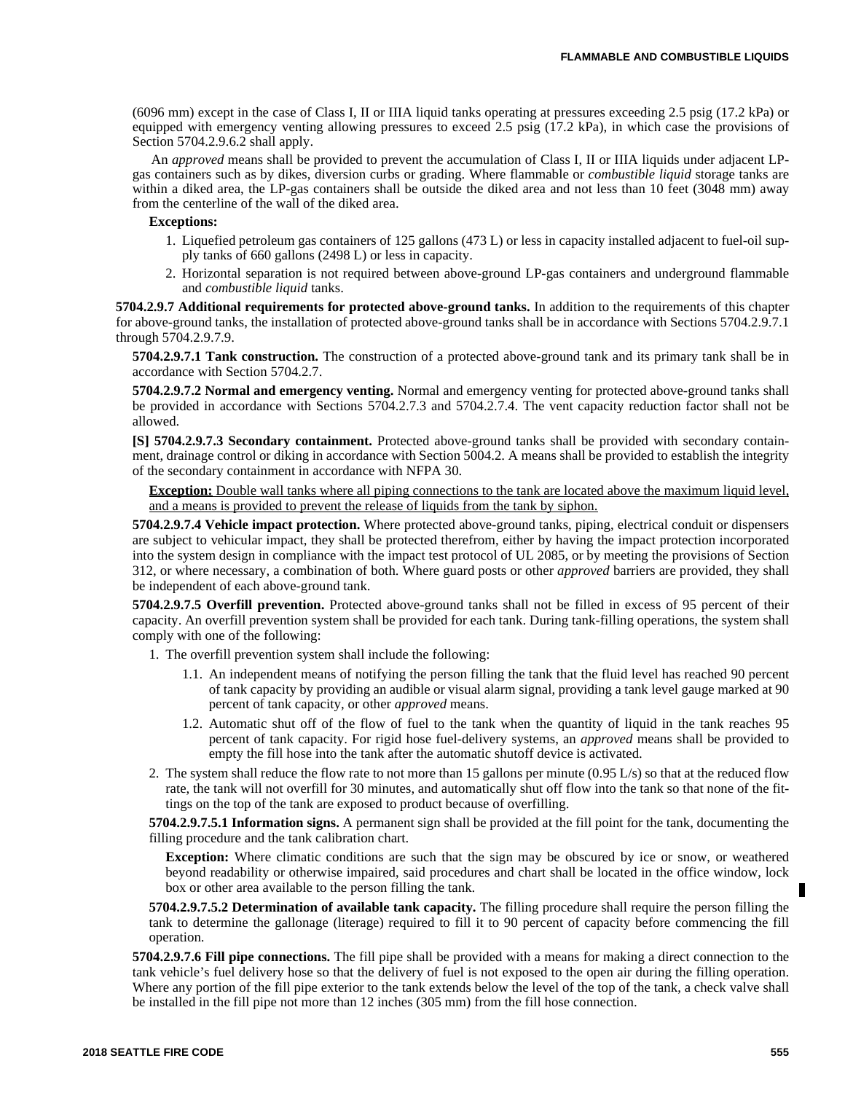(6096 mm) except in the case of Class I, II or IIIA liquid tanks operating at pressures exceeding 2.5 psig (17.2 kPa) or equipped with emergency venting allowing pressures to exceed 2.5 psig (17.2 kPa), in which case the provisions of Section 5704.2.9.6.2 shall apply.

An *approved* means shall be provided to prevent the accumulation of Class I, II or IIIA liquids under adjacent LPgas containers such as by dikes, diversion curbs or grading. Where flammable or *combustible liquid* storage tanks are within a diked area, the LP-gas containers shall be outside the diked area and not less than 10 feet (3048 mm) away from the centerline of the wall of the diked area.

#### **Exceptions:**

- 1. Liquefied petroleum gas containers of 125 gallons (473 L) or less in capacity installed adjacent to fuel-oil supply tanks of 660 gallons (2498 L) or less in capacity.
- 2. Horizontal separation is not required between above-ground LP-gas containers and underground flammable and *combustible liquid* tanks.

**5704.2.9.7 Additional requirements for protected above-ground tanks.** In addition to the requirements of this chapter for above-ground tanks, the installation of protected above-ground tanks shall be in accordance with Sections 5704.2.9.7.1 through 5704.2.9.7.9.

**5704.2.9.7.1 Tank construction.** The construction of a protected above-ground tank and its primary tank shall be in accordance with Section 5704.2.7.

**5704.2.9.7.2 Normal and emergency venting.** Normal and emergency venting for protected above-ground tanks shall be provided in accordance with Sections 5704.2.7.3 and 5704.2.7.4. The vent capacity reduction factor shall not be allowed.

**[S] 5704.2.9.7.3 Secondary containment.** Protected above-ground tanks shall be provided with secondary containment, drainage control or diking in accordance with Section 5004.2. A means shall be provided to establish the integrity of the secondary containment in accordance with NFPA 30.

**Exception:** Double wall tanks where all piping connections to the tank are located above the maximum liquid level, and a means is provided to prevent the release of liquids from the tank by siphon.

**5704.2.9.7.4 Vehicle impact protection.** Where protected above-ground tanks, piping, electrical conduit or dispensers are subject to vehicular impact, they shall be protected therefrom, either by having the impact protection incorporated into the system design in compliance with the impact test protocol of UL 2085, or by meeting the provisions of Section 312, or where necessary, a combination of both. Where guard posts or other *approved* barriers are provided, they shall be independent of each above-ground tank.

**5704.2.9.7.5 Overfill prevention.** Protected above-ground tanks shall not be filled in excess of 95 percent of their capacity. An overfill prevention system shall be provided for each tank. During tank-filling operations, the system shall comply with one of the following:

1. The overfill prevention system shall include the following:

- 1.1. An independent means of notifying the person filling the tank that the fluid level has reached 90 percent of tank capacity by providing an audible or visual alarm signal, providing a tank level gauge marked at 90 percent of tank capacity, or other *approved* means.
- 1.2. Automatic shut off of the flow of fuel to the tank when the quantity of liquid in the tank reaches 95 percent of tank capacity. For rigid hose fuel-delivery systems, an *approved* means shall be provided to empty the fill hose into the tank after the automatic shutoff device is activated.
- 2. The system shall reduce the flow rate to not more than 15 gallons per minute (0.95 L/s) so that at the reduced flow rate, the tank will not overfill for 30 minutes, and automatically shut off flow into the tank so that none of the fittings on the top of the tank are exposed to product because of overfilling.

**5704.2.9.7.5.1 Information signs.** A permanent sign shall be provided at the fill point for the tank, documenting the filling procedure and the tank calibration chart.

**Exception:** Where climatic conditions are such that the sign may be obscured by ice or snow, or weathered beyond readability or otherwise impaired, said procedures and chart shall be located in the office window, lock box or other area available to the person filling the tank.

**5704.2.9.7.5.2 Determination of available tank capacity.** The filling procedure shall require the person filling the tank to determine the gallonage (literage) required to fill it to 90 percent of capacity before commencing the fill operation.

**5704.2.9.7.6 Fill pipe connections.** The fill pipe shall be provided with a means for making a direct connection to the tank vehicle's fuel delivery hose so that the delivery of fuel is not exposed to the open air during the filling operation. Where any portion of the fill pipe exterior to the tank extends below the level of the top of the tank, a check valve shall be installed in the fill pipe not more than 12 inches (305 mm) from the fill hose connection.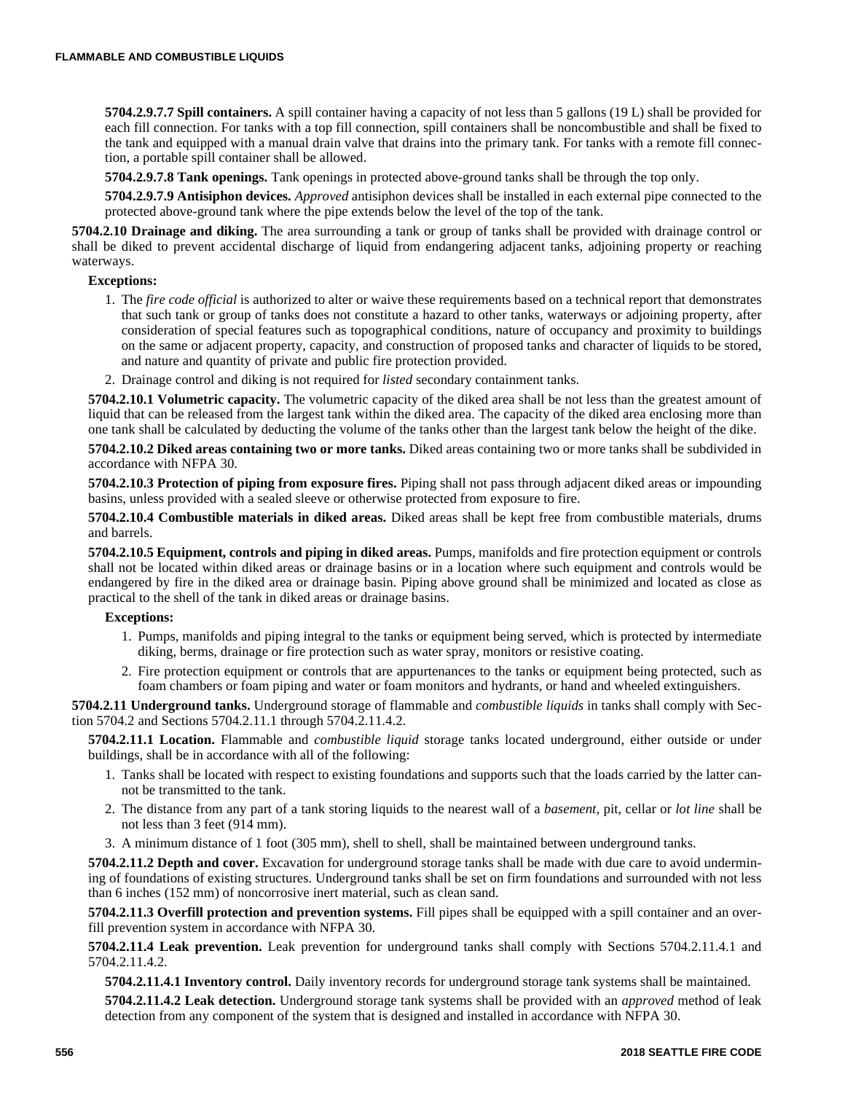**5704.2.9.7.7 Spill containers.** A spill container having a capacity of not less than 5 gallons (19 L) shall be provided for each fill connection. For tanks with a top fill connection, spill containers shall be noncombustible and shall be fixed to the tank and equipped with a manual drain valve that drains into the primary tank. For tanks with a remote fill connection, a portable spill container shall be allowed.

**5704.2.9.7.8 Tank openings.** Tank openings in protected above-ground tanks shall be through the top only.

**5704.2.9.7.9 Antisiphon devices.** *Approved* antisiphon devices shall be installed in each external pipe connected to the protected above-ground tank where the pipe extends below the level of the top of the tank.

**5704.2.10 Drainage and diking.** The area surrounding a tank or group of tanks shall be provided with drainage control or shall be diked to prevent accidental discharge of liquid from endangering adjacent tanks, adjoining property or reaching waterways.

### **Exceptions:**

- 1. The *fire code official* is authorized to alter or waive these requirements based on a technical report that demonstrates that such tank or group of tanks does not constitute a hazard to other tanks, waterways or adjoining property, after consideration of special features such as topographical conditions, nature of occupancy and proximity to buildings on the same or adjacent property, capacity, and construction of proposed tanks and character of liquids to be stored, and nature and quantity of private and public fire protection provided.
- 2. Drainage control and diking is not required for *listed* secondary containment tanks.

**5704.2.10.1 Volumetric capacity.** The volumetric capacity of the diked area shall be not less than the greatest amount of liquid that can be released from the largest tank within the diked area. The capacity of the diked area enclosing more than one tank shall be calculated by deducting the volume of the tanks other than the largest tank below the height of the dike.

**5704.2.10.2 Diked areas containing two or more tanks.** Diked areas containing two or more tanks shall be subdivided in accordance with NFPA 30.

**5704.2.10.3 Protection of piping from exposure fires.** Piping shall not pass through adjacent diked areas or impounding basins, unless provided with a sealed sleeve or otherwise protected from exposure to fire.

**5704.2.10.4 Combustible materials in diked areas.** Diked areas shall be kept free from combustible materials, drums and barrels.

**5704.2.10.5 Equipment, controls and piping in diked areas.** Pumps, manifolds and fire protection equipment or controls shall not be located within diked areas or drainage basins or in a location where such equipment and controls would be endangered by fire in the diked area or drainage basin. Piping above ground shall be minimized and located as close as practical to the shell of the tank in diked areas or drainage basins.

### **Exceptions:**

- 1. Pumps, manifolds and piping integral to the tanks or equipment being served, which is protected by intermediate diking, berms, drainage or fire protection such as water spray, monitors or resistive coating.
- 2. Fire protection equipment or controls that are appurtenances to the tanks or equipment being protected, such as foam chambers or foam piping and water or foam monitors and hydrants, or hand and wheeled extinguishers.

**5704.2.11 Underground tanks.** Underground storage of flammable and *combustible liquids* in tanks shall comply with Section 5704.2 and Sections 5704.2.11.1 through 5704.2.11.4.2.

**5704.2.11.1 Location.** Flammable and *combustible liquid* storage tanks located underground, either outside or under buildings, shall be in accordance with all of the following:

- 1. Tanks shall be located with respect to existing foundations and supports such that the loads carried by the latter cannot be transmitted to the tank.
- 2. The distance from any part of a tank storing liquids to the nearest wall of a *basement*, pit, cellar or *lot line* shall be not less than 3 feet (914 mm).
- 3. A minimum distance of 1 foot (305 mm), shell to shell, shall be maintained between underground tanks.

**5704.2.11.2 Depth and cover.** Excavation for underground storage tanks shall be made with due care to avoid undermining of foundations of existing structures. Underground tanks shall be set on firm foundations and surrounded with not less than 6 inches (152 mm) of noncorrosive inert material, such as clean sand.

**5704.2.11.3 Overfill protection and prevention systems.** Fill pipes shall be equipped with a spill container and an overfill prevention system in accordance with NFPA 30.

**5704.2.11.4 Leak prevention.** Leak prevention for underground tanks shall comply with Sections 5704.2.11.4.1 and 5704.2.11.4.2.

**5704.2.11.4.1 Inventory control.** Daily inventory records for underground storage tank systems shall be maintained.

**5704.2.11.4.2 Leak detection.** Underground storage tank systems shall be provided with an *approved* method of leak detection from any component of the system that is designed and installed in accordance with NFPA 30.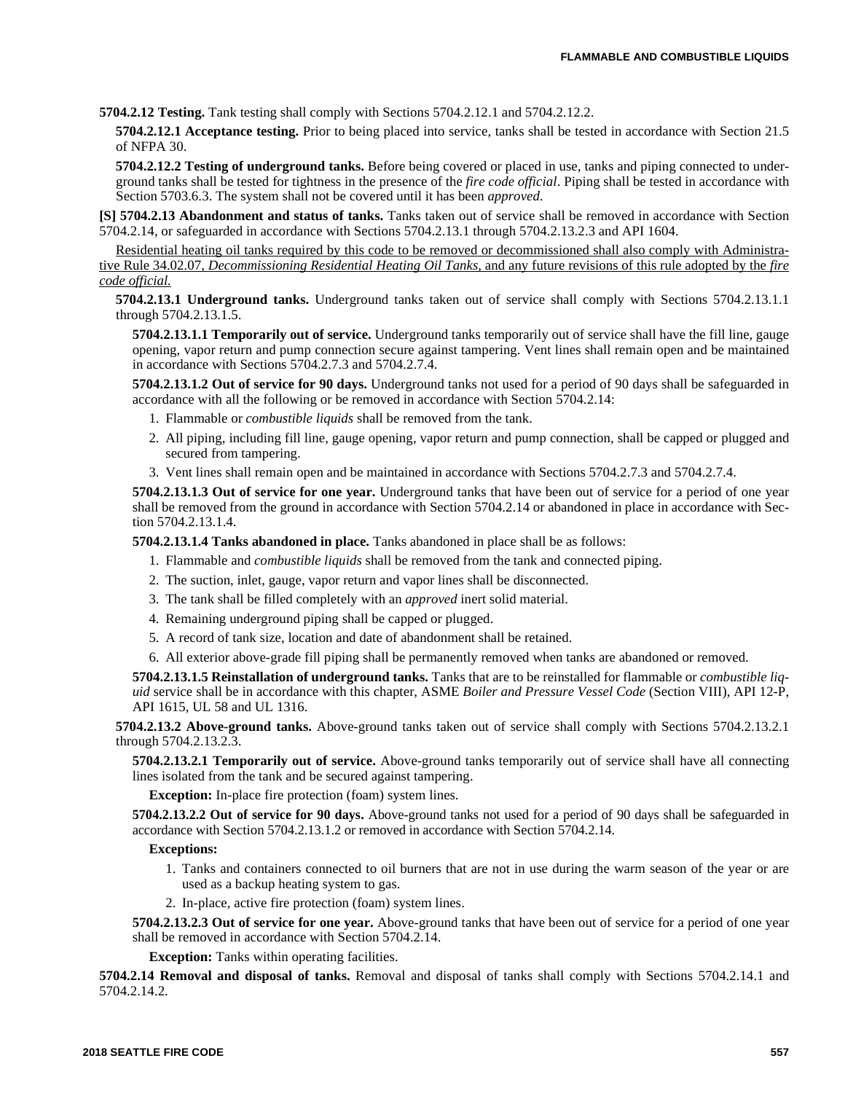**5704.2.12 Testing.** Tank testing shall comply with Sections 5704.2.12.1 and 5704.2.12.2.

**5704.2.12.1 Acceptance testing.** Prior to being placed into service, tanks shall be tested in accordance with Section 21.5 of NFPA 30.

**5704.2.12.2 Testing of underground tanks.** Before being covered or placed in use, tanks and piping connected to underground tanks shall be tested for tightness in the presence of the *fire code official*. Piping shall be tested in accordance with Section 5703.6.3. The system shall not be covered until it has been *approved*.

**[S] 5704.2.13 Abandonment and status of tanks.** Tanks taken out of service shall be removed in accordance with Section 5704.2.14, or safeguarded in accordance with Sections 5704.2.13.1 through 5704.2.13.2.3 and API 1604.

Residential heating oil tanks required by this code to be removed or decommissioned shall also comply with Administrative Rule 34.02.07, *Decommissioning Residential Heating Oil Tanks,* and any future revisions of this rule adopted by the *fire code official.*

**5704.2.13.1 Underground tanks.** Underground tanks taken out of service shall comply with Sections 5704.2.13.1.1 through 5704.2.13.1.5.

**5704.2.13.1.1 Temporarily out of service.** Underground tanks temporarily out of service shall have the fill line, gauge opening, vapor return and pump connection secure against tampering. Vent lines shall remain open and be maintained in accordance with Sections 5704.2.7.3 and 5704.2.7.4.

**5704.2.13.1.2 Out of service for 90 days.** Underground tanks not used for a period of 90 days shall be safeguarded in accordance with all the following or be removed in accordance with Section 5704.2.14:

- 1. Flammable or *combustible liquids* shall be removed from the tank.
- 2. All piping, including fill line, gauge opening, vapor return and pump connection, shall be capped or plugged and secured from tampering.
- 3. Vent lines shall remain open and be maintained in accordance with Sections 5704.2.7.3 and 5704.2.7.4.

**5704.2.13.1.3 Out of service for one year.** Underground tanks that have been out of service for a period of one year shall be removed from the ground in accordance with Section 5704.2.14 or abandoned in place in accordance with Section 5704.2.13.1.4.

**5704.2.13.1.4 Tanks abandoned in place.** Tanks abandoned in place shall be as follows:

1. Flammable and *combustible liquids* shall be removed from the tank and connected piping.

- 2. The suction, inlet, gauge, vapor return and vapor lines shall be disconnected.
- 3. The tank shall be filled completely with an *approved* inert solid material.
- 4. Remaining underground piping shall be capped or plugged.
- 5. A record of tank size, location and date of abandonment shall be retained.
- 6. All exterior above-grade fill piping shall be permanently removed when tanks are abandoned or removed.

**5704.2.13.1.5 Reinstallation of underground tanks.** Tanks that are to be reinstalled for flammable or *combustible liquid* service shall be in accordance with this chapter, ASME *Boiler and Pressure Vessel Code* (Section VIII), API 12-P, API 1615, UL 58 and UL 1316.

**5704.2.13.2 Above-ground tanks.** Above-ground tanks taken out of service shall comply with Sections 5704.2.13.2.1 through 5704.2.13.2.3.

**5704.2.13.2.1 Temporarily out of service.** Above-ground tanks temporarily out of service shall have all connecting lines isolated from the tank and be secured against tampering.

**Exception:** In-place fire protection (foam) system lines.

**5704.2.13.2.2 Out of service for 90 days.** Above-ground tanks not used for a period of 90 days shall be safeguarded in accordance with Section 5704.2.13.1.2 or removed in accordance with Section 5704.2.14.

### **Exceptions:**

- 1. Tanks and containers connected to oil burners that are not in use during the warm season of the year or are used as a backup heating system to gas.
- 2. In-place, active fire protection (foam) system lines.

**5704.2.13.2.3 Out of service for one year.** Above-ground tanks that have been out of service for a period of one year shall be removed in accordance with Section 5704.2.14.

**Exception:** Tanks within operating facilities.

**5704.2.14 Removal and disposal of tanks.** Removal and disposal of tanks shall comply with Sections 5704.2.14.1 and 5704.2.14.2.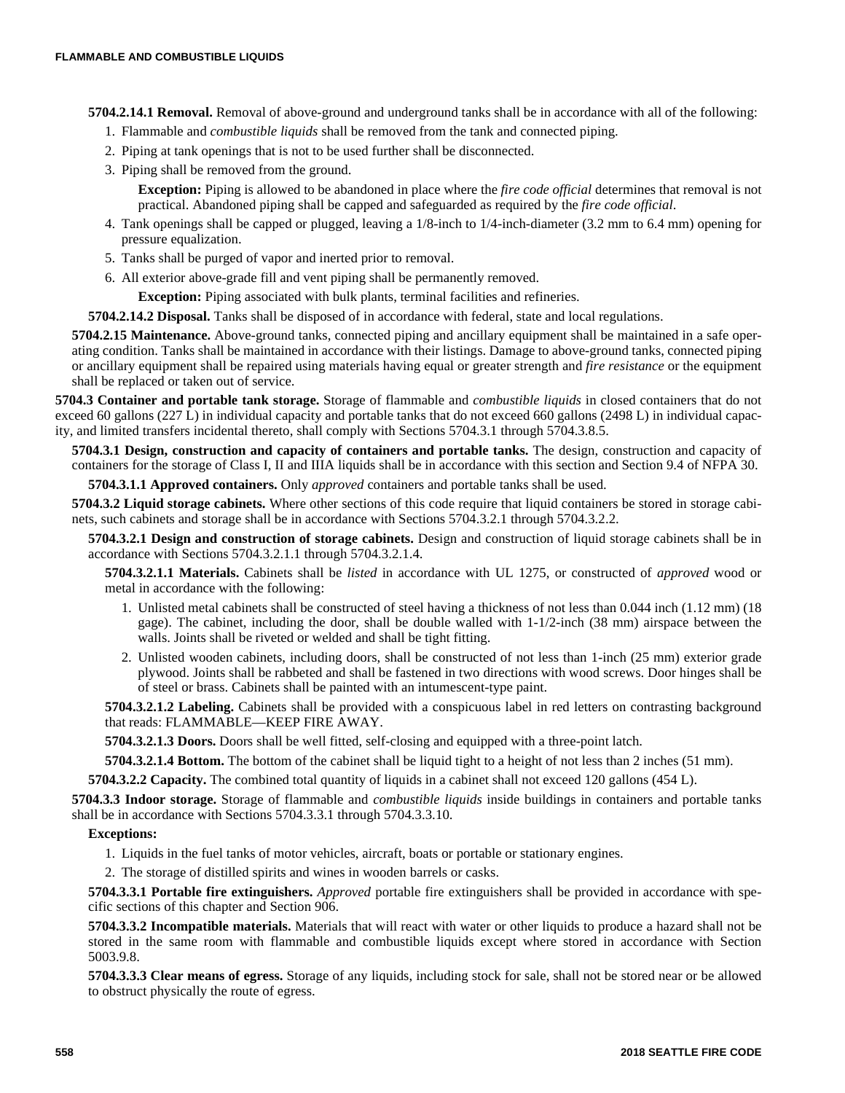**5704.2.14.1 Removal.** Removal of above-ground and underground tanks shall be in accordance with all of the following:

- 1. Flammable and *combustible liquids* shall be removed from the tank and connected piping.
- 2. Piping at tank openings that is not to be used further shall be disconnected.
- 3. Piping shall be removed from the ground.

**Exception:** Piping is allowed to be abandoned in place where the *fire code official* determines that removal is not practical. Abandoned piping shall be capped and safeguarded as required by the *fire code official*.

- 4. Tank openings shall be capped or plugged, leaving a 1/8-inch to 1/4-inch-diameter (3.2 mm to 6.4 mm) opening for pressure equalization.
- 5. Tanks shall be purged of vapor and inerted prior to removal.
- 6. All exterior above-grade fill and vent piping shall be permanently removed.

**Exception:** Piping associated with bulk plants, terminal facilities and refineries.

**5704.2.14.2 Disposal.** Tanks shall be disposed of in accordance with federal, state and local regulations.

**5704.2.15 Maintenance.** Above-ground tanks, connected piping and ancillary equipment shall be maintained in a safe operating condition. Tanks shall be maintained in accordance with their listings. Damage to above-ground tanks, connected piping or ancillary equipment shall be repaired using materials having equal or greater strength and *fire resistance* or the equipment shall be replaced or taken out of service.

**5704.3 Container and portable tank storage.** Storage of flammable and *combustible liquids* in closed containers that do not exceed 60 gallons (227 L) in individual capacity and portable tanks that do not exceed 660 gallons (2498 L) in individual capacity, and limited transfers incidental thereto, shall comply with Sections 5704.3.1 through 5704.3.8.5.

**5704.3.1 Design, construction and capacity of containers and portable tanks.** The design, construction and capacity of containers for the storage of Class I, II and IIIA liquids shall be in accordance with this section and Section 9.4 of NFPA 30.

**5704.3.1.1 Approved containers.** Only *approved* containers and portable tanks shall be used.

**5704.3.2 Liquid storage cabinets.** Where other sections of this code require that liquid containers be stored in storage cabinets, such cabinets and storage shall be in accordance with Sections 5704.3.2.1 through 5704.3.2.2.

**5704.3.2.1 Design and construction of storage cabinets.** Design and construction of liquid storage cabinets shall be in accordance with Sections 5704.3.2.1.1 through 5704.3.2.1.4.

**5704.3.2.1.1 Materials.** Cabinets shall be *listed* in accordance with UL 1275, or constructed of *approved* wood or metal in accordance with the following:

- 1. Unlisted metal cabinets shall be constructed of steel having a thickness of not less than 0.044 inch (1.12 mm) (18 gage). The cabinet, including the door, shall be double walled with 1-1/2-inch (38 mm) airspace between the walls. Joints shall be riveted or welded and shall be tight fitting.
- 2. Unlisted wooden cabinets, including doors, shall be constructed of not less than 1-inch (25 mm) exterior grade plywood. Joints shall be rabbeted and shall be fastened in two directions with wood screws. Door hinges shall be of steel or brass. Cabinets shall be painted with an intumescent-type paint.

**5704.3.2.1.2 Labeling.** Cabinets shall be provided with a conspicuous label in red letters on contrasting background that reads: FLAMMABLE—KEEP FIRE AWAY.

**5704.3.2.1.3 Doors.** Doors shall be well fitted, self-closing and equipped with a three-point latch.

**5704.3.2.1.4 Bottom.** The bottom of the cabinet shall be liquid tight to a height of not less than 2 inches (51 mm).

**5704.3.2.2 Capacity.** The combined total quantity of liquids in a cabinet shall not exceed 120 gallons (454 L).

**5704.3.3 Indoor storage.** Storage of flammable and *combustible liquids* inside buildings in containers and portable tanks shall be in accordance with Sections 5704.3.3.1 through 5704.3.3.10.

### **Exceptions:**

- 1. Liquids in the fuel tanks of motor vehicles, aircraft, boats or portable or stationary engines.
- 2. The storage of distilled spirits and wines in wooden barrels or casks.

**5704.3.3.1 Portable fire extinguishers.** *Approved* portable fire extinguishers shall be provided in accordance with specific sections of this chapter and Section 906.

**5704.3.3.2 Incompatible materials.** Materials that will react with water or other liquids to produce a hazard shall not be stored in the same room with flammable and combustible liquids except where stored in accordance with Section 5003.9.8.

**5704.3.3.3 Clear means of egress.** Storage of any liquids, including stock for sale, shall not be stored near or be allowed to obstruct physically the route of egress.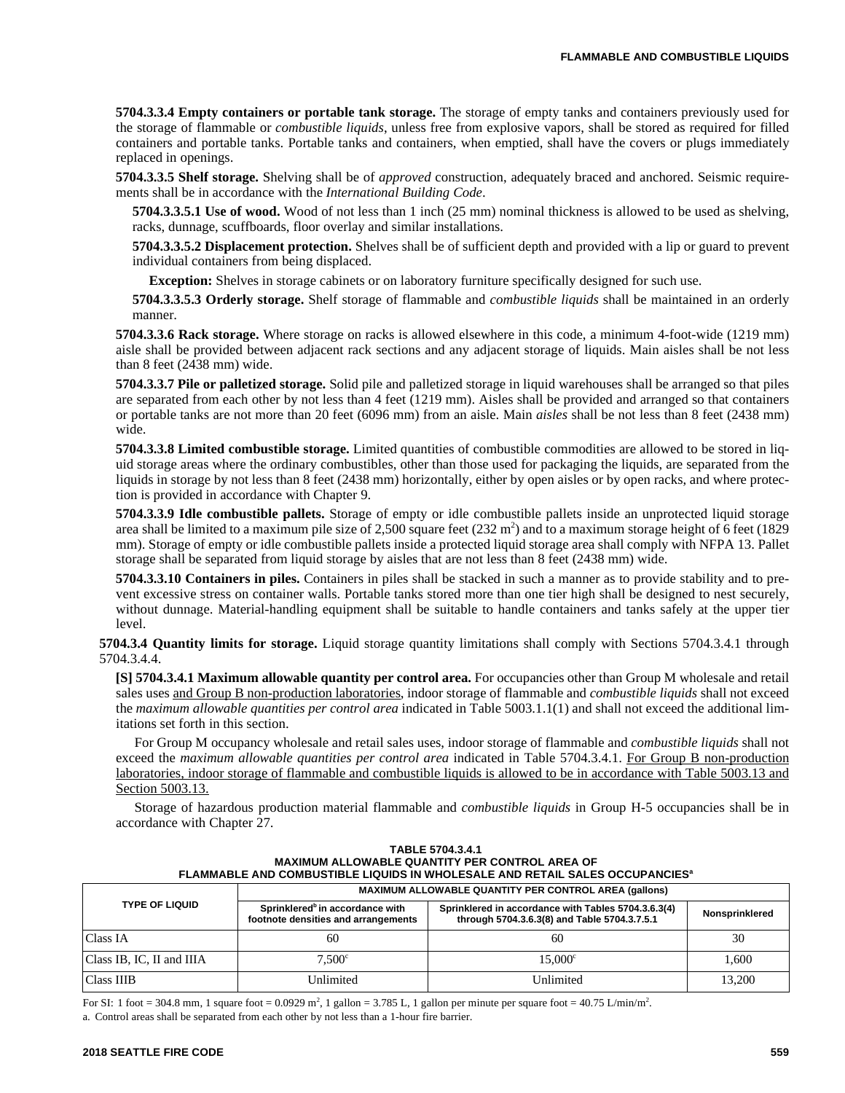**5704.3.3.4 Empty containers or portable tank storage.** The storage of empty tanks and containers previously used for the storage of flammable or *combustible liquids*, unless free from explosive vapors, shall be stored as required for filled containers and portable tanks. Portable tanks and containers, when emptied, shall have the covers or plugs immediately replaced in openings.

**5704.3.3.5 Shelf storage.** Shelving shall be of *approved* construction, adequately braced and anchored. Seismic requirements shall be in accordance with the *International Building Code*.

**5704.3.3.5.1 Use of wood.** Wood of not less than 1 inch (25 mm) nominal thickness is allowed to be used as shelving, racks, dunnage, scuffboards, floor overlay and similar installations.

**5704.3.3.5.2 Displacement protection.** Shelves shall be of sufficient depth and provided with a lip or guard to prevent individual containers from being displaced.

**Exception:** Shelves in storage cabinets or on laboratory furniture specifically designed for such use.

**5704.3.3.5.3 Orderly storage.** Shelf storage of flammable and *combustible liquids* shall be maintained in an orderly manner.

**5704.3.3.6 Rack storage.** Where storage on racks is allowed elsewhere in this code, a minimum 4-foot-wide (1219 mm) aisle shall be provided between adjacent rack sections and any adjacent storage of liquids. Main aisles shall be not less than 8 feet (2438 mm) wide.

**5704.3.3.7 Pile or palletized storage.** Solid pile and palletized storage in liquid warehouses shall be arranged so that piles are separated from each other by not less than 4 feet (1219 mm). Aisles shall be provided and arranged so that containers or portable tanks are not more than 20 feet (6096 mm) from an aisle. Main *aisles* shall be not less than 8 feet (2438 mm) wide.

**5704.3.3.8 Limited combustible storage.** Limited quantities of combustible commodities are allowed to be stored in liquid storage areas where the ordinary combustibles, other than those used for packaging the liquids, are separated from the liquids in storage by not less than 8 feet (2438 mm) horizontally, either by open aisles or by open racks, and where protection is provided in accordance with Chapter 9.

**5704.3.3.9 Idle combustible pallets.** Storage of empty or idle combustible pallets inside an unprotected liquid storage area shall be limited to a maximum pile size of 2,500 square feet (232 m<sup>2</sup>) and to a maximum storage height of 6 feet (1829 mm). Storage of empty or idle combustible pallets inside a protected liquid storage area shall comply with NFPA 13. Pallet storage shall be separated from liquid storage by aisles that are not less than 8 feet (2438 mm) wide.

**5704.3.3.10 Containers in piles.** Containers in piles shall be stacked in such a manner as to provide stability and to prevent excessive stress on container walls. Portable tanks stored more than one tier high shall be designed to nest securely, without dunnage. Material-handling equipment shall be suitable to handle containers and tanks safely at the upper tier level.

**5704.3.4 Quantity limits for storage.** Liquid storage quantity limitations shall comply with Sections 5704.3.4.1 through 5704.3.4.4.

**[S] 5704.3.4.1 Maximum allowable quantity per control area.** For occupancies other than Group M wholesale and retail sales uses and Group B non-production laboratories, indoor storage of flammable and *combustible liquids* shall not exceed the *maximum allowable quantities per control area* indicated in Table 5003.1.1(1) and shall not exceed the additional limitations set forth in this section.

For Group M occupancy wholesale and retail sales uses, indoor storage of flammable and *combustible liquids* shall not exceed the *maximum allowable quantities per control area* indicated in Table 5704.3.4.1. For Group B non-production laboratories, indoor storage of flammable and combustible liquids is allowed to be in accordance with Table 5003.13 and Section 5003.13.

Storage of hazardous production material flammable and *combustible liquids* in Group H-5 occupancies shall be in accordance with Chapter 27.

|                           |                                                                                    | <b>MAXIMUM ALLOWABLE QUANTITY PER CONTROL AREA (gallons)</b>                                        |                |
|---------------------------|------------------------------------------------------------------------------------|-----------------------------------------------------------------------------------------------------|----------------|
| <b>TYPE OF LIQUID</b>     | Sprinklered <sup>b</sup> in accordance with<br>footnote densities and arrangements | Sprinklered in accordance with Tables 5704.3.6.3(4)<br>through 5704.3.6.3(8) and Table 5704.3.7.5.1 | Nonsprinklered |
| Class IA                  | 60                                                                                 | 60                                                                                                  | 30             |
| Class IB, IC, II and IIIA | $7.500^{\circ}$                                                                    | $15,000^{\circ}$                                                                                    | 1.600          |
| Class IIIB                | Unlimited                                                                          | Unlimited                                                                                           | 13.200         |

| TABLE 5704.3.4.1                                                             |
|------------------------------------------------------------------------------|
| MAXIMUM ALLOWABLE QUANTITY PER CONTROL AREA OF                               |
| FLAMMABLE AND COMBUSTIBLE LIQUIDS IN WHOLESALE AND RETAIL SALES OCCUPANCIESª |

For SI: 1 foot = 304.8 mm, 1 square foot = 0.0929 m<sup>2</sup>, 1 gallon = 3.785 L, 1 gallon per minute per square foot = 40.75 L/min/m<sup>2</sup>. a. Control areas shall be separated from each other by not less than a 1-hour fire barrier.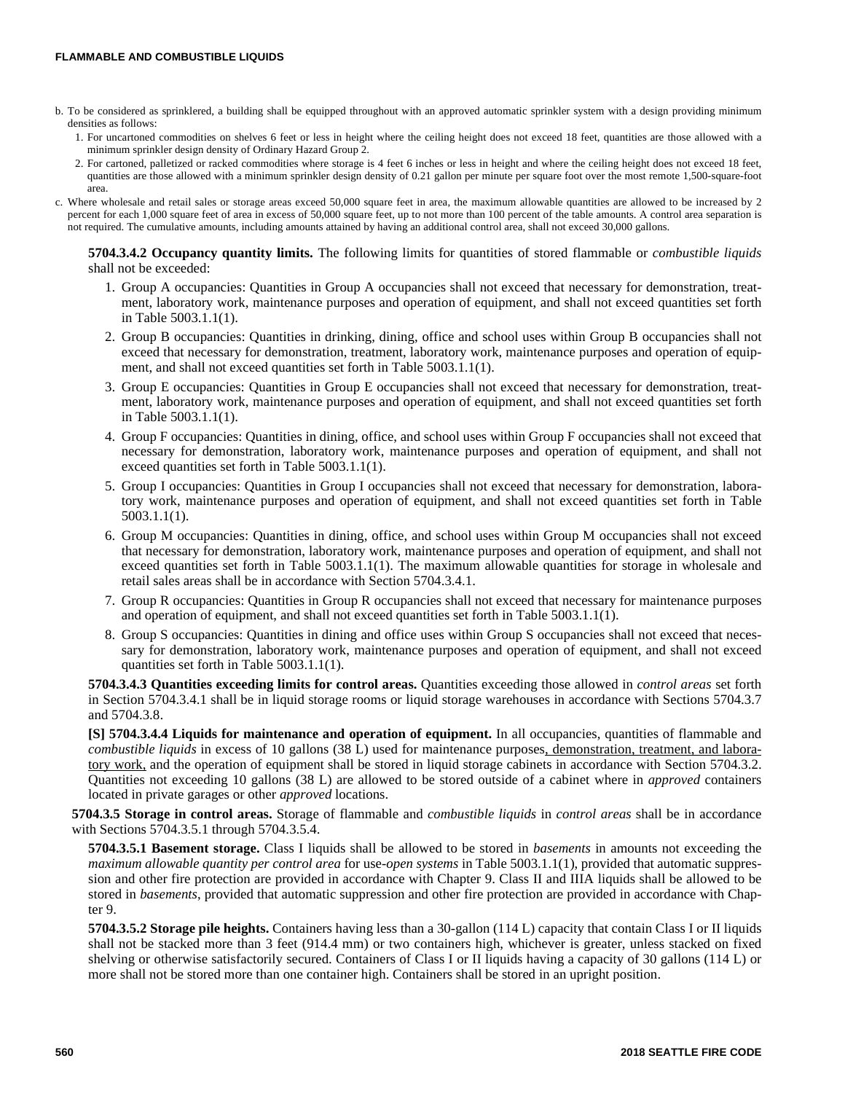- b. To be considered as sprinklered, a building shall be equipped throughout with an approved automatic sprinkler system with a design providing minimum densities as follows:
	- 1. For uncartoned commodities on shelves 6 feet or less in height where the ceiling height does not exceed 18 feet, quantities are those allowed with a minimum sprinkler design density of Ordinary Hazard Group 2.
	- 2. For cartoned, palletized or racked commodities where storage is 4 feet 6 inches or less in height and where the ceiling height does not exceed 18 feet, quantities are those allowed with a minimum sprinkler design density of 0.21 gallon per minute per square foot over the most remote 1,500-square-foot area.
- c. Where wholesale and retail sales or storage areas exceed 50,000 square feet in area, the maximum allowable quantities are allowed to be increased by 2 percent for each 1,000 square feet of area in excess of 50,000 square feet, up to not more than 100 percent of the table amounts. A control area separation is not required. The cumulative amounts, including amounts attained by having an additional control area, shall not exceed 30,000 gallons.

**5704.3.4.2 Occupancy quantity limits.** The following limits for quantities of stored flammable or *combustible liquids* shall not be exceeded:

- 1. Group A occupancies: Quantities in Group A occupancies shall not exceed that necessary for demonstration, treatment, laboratory work, maintenance purposes and operation of equipment, and shall not exceed quantities set forth in Table 5003.1.1(1).
- 2. Group B occupancies: Quantities in drinking, dining, office and school uses within Group B occupancies shall not exceed that necessary for demonstration, treatment, laboratory work, maintenance purposes and operation of equipment, and shall not exceed quantities set forth in Table 5003.1.1(1).
- 3. Group E occupancies: Quantities in Group E occupancies shall not exceed that necessary for demonstration, treatment, laboratory work, maintenance purposes and operation of equipment, and shall not exceed quantities set forth in Table 5003.1.1(1).
- 4. Group F occupancies: Quantities in dining, office, and school uses within Group F occupancies shall not exceed that necessary for demonstration, laboratory work, maintenance purposes and operation of equipment, and shall not exceed quantities set forth in Table 5003.1.1(1).
- 5. Group I occupancies: Quantities in Group I occupancies shall not exceed that necessary for demonstration, laboratory work, maintenance purposes and operation of equipment, and shall not exceed quantities set forth in Table 5003.1.1(1).
- 6. Group M occupancies: Quantities in dining, office, and school uses within Group M occupancies shall not exceed that necessary for demonstration, laboratory work, maintenance purposes and operation of equipment, and shall not exceed quantities set forth in Table 5003.1.1(1). The maximum allowable quantities for storage in wholesale and retail sales areas shall be in accordance with Section 5704.3.4.1.
- 7. Group R occupancies: Quantities in Group R occupancies shall not exceed that necessary for maintenance purposes and operation of equipment, and shall not exceed quantities set forth in Table 5003.1.1(1).
- 8. Group S occupancies: Quantities in dining and office uses within Group S occupancies shall not exceed that necessary for demonstration, laboratory work, maintenance purposes and operation of equipment, and shall not exceed quantities set forth in Table 5003.1.1(1).

**5704.3.4.3 Quantities exceeding limits for control areas.** Quantities exceeding those allowed in *control areas* set forth in Section 5704.3.4.1 shall be in liquid storage rooms or liquid storage warehouses in accordance with Sections 5704.3.7 and 5704.3.8.

**[S] 5704.3.4.4 Liquids for maintenance and operation of equipment.** In all occupancies, quantities of flammable and *combustible liquids* in excess of 10 gallons (38 L) used for maintenance purposes, demonstration, treatment, and laboratory work, and the operation of equipment shall be stored in liquid storage cabinets in accordance with Section 5704.3.2. Quantities not exceeding 10 gallons (38 L) are allowed to be stored outside of a cabinet where in *approved* containers located in private garages or other *approved* locations.

**5704.3.5 Storage in control areas.** Storage of flammable and *combustible liquids* in *control areas* shall be in accordance with Sections 5704.3.5.1 through 5704.3.5.4.

**5704.3.5.1 Basement storage.** Class I liquids shall be allowed to be stored in *basements* in amounts not exceeding the *maximum allowable quantity per control area* for use-*open systems* in Table 5003.1.1(1), provided that automatic suppression and other fire protection are provided in accordance with Chapter 9. Class II and IIIA liquids shall be allowed to be stored in *basements*, provided that automatic suppression and other fire protection are provided in accordance with Chapter 9.

**5704.3.5.2 Storage pile heights.** Containers having less than a 30-gallon (114 L) capacity that contain Class I or II liquids shall not be stacked more than 3 feet (914.4 mm) or two containers high, whichever is greater, unless stacked on fixed shelving or otherwise satisfactorily secured. Containers of Class I or II liquids having a capacity of 30 gallons (114 L) or more shall not be stored more than one container high. Containers shall be stored in an upright position.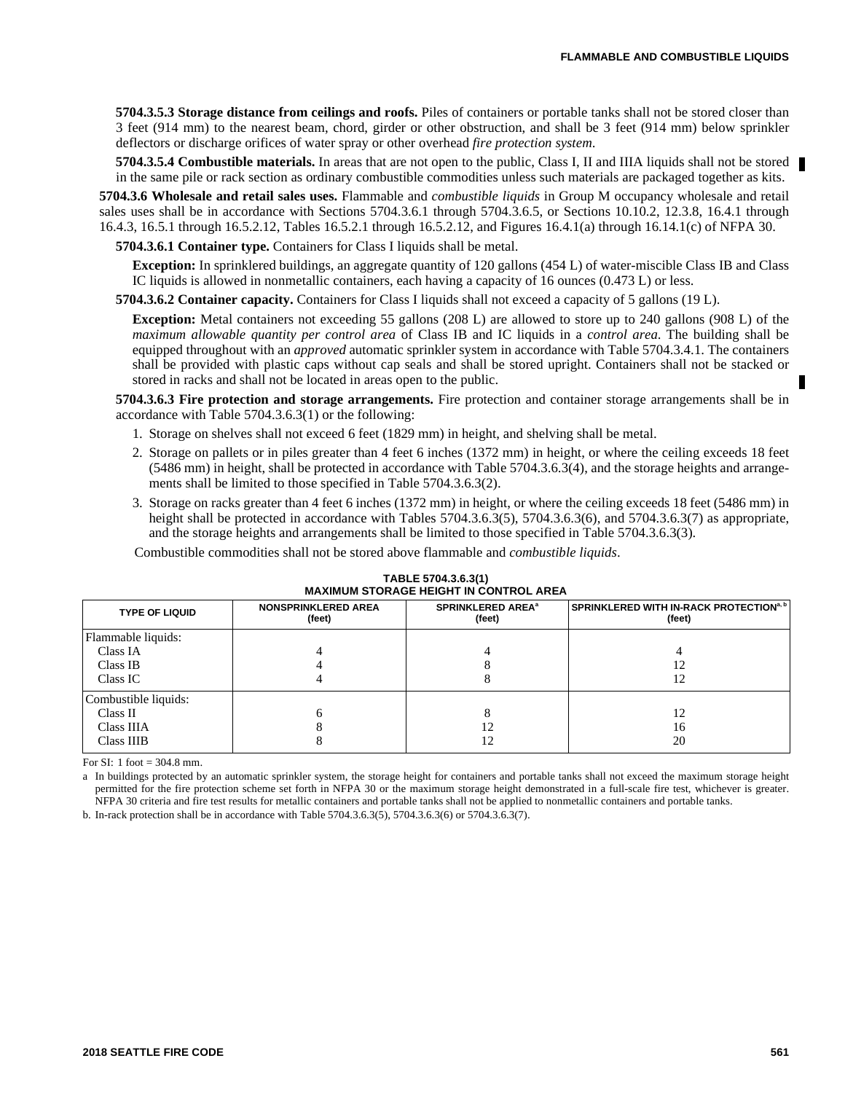**5704.3.5.3 Storage distance from ceilings and roofs.** Piles of containers or portable tanks shall not be stored closer than 3 feet (914 mm) to the nearest beam, chord, girder or other obstruction, and shall be 3 feet (914 mm) below sprinkler deflectors or discharge orifices of water spray or other overhead *fire protection system*.

**5704.3.5.4 Combustible materials.** In areas that are not open to the public, Class I, II and IIIA liquids shall not be stored in the same pile or rack section as ordinary combustible commodities unless such materials are packaged together as kits.

**5704.3.6 Wholesale and retail sales uses.** Flammable and *combustible liquids* in Group M occupancy wholesale and retail sales uses shall be in accordance with Sections 5704.3.6.1 through 5704.3.6.5, or Sections 10.10.2, 12.3.8, 16.4.1 through 16.4.3, 16.5.1 through 16.5.2.12, Tables 16.5.2.1 through 16.5.2.12, and Figures 16.4.1(a) through 16.14.1(c) of NFPA 30.

**5704.3.6.1 Container type.** Containers for Class I liquids shall be metal.

**Exception:** In sprinklered buildings, an aggregate quantity of 120 gallons (454 L) of water-miscible Class IB and Class IC liquids is allowed in nonmetallic containers, each having a capacity of 16 ounces (0.473 L) or less.

**5704.3.6.2 Container capacity.** Containers for Class I liquids shall not exceed a capacity of 5 gallons (19 L).

**Exception:** Metal containers not exceeding 55 gallons (208 L) are allowed to store up to 240 gallons (908 L) of the *maximum allowable quantity per control area* of Class IB and IC liquids in a *control area*. The building shall be equipped throughout with an *approved* automatic sprinkler system in accordance with Table 5704.3.4.1. The containers shall be provided with plastic caps without cap seals and shall be stored upright. Containers shall not be stacked or stored in racks and shall not be located in areas open to the public.

**5704.3.6.3 Fire protection and storage arrangements.** Fire protection and container storage arrangements shall be in accordance with Table 5704.3.6.3(1) or the following:

- 1. Storage on shelves shall not exceed 6 feet (1829 mm) in height, and shelving shall be metal.
- 2. Storage on pallets or in piles greater than 4 feet 6 inches (1372 mm) in height, or where the ceiling exceeds 18 feet (5486 mm) in height, shall be protected in accordance with Table 5704.3.6.3(4), and the storage heights and arrangements shall be limited to those specified in Table 5704.3.6.3(2).
- 3. Storage on racks greater than 4 feet 6 inches (1372 mm) in height, or where the ceiling exceeds 18 feet (5486 mm) in height shall be protected in accordance with Tables 5704.3.6.3(5), 5704.3.6.3(6), and 5704.3.6.3(7) as appropriate, and the storage heights and arrangements shall be limited to those specified in Table 5704.3.6.3(3).

Combustible commodities shall not be stored above flammable and *combustible liquids*.

|                       |                                      | MAXIMUM STORAGE HEIGHT IN CONTROL AREA        |                                                               |
|-----------------------|--------------------------------------|-----------------------------------------------|---------------------------------------------------------------|
| <b>TYPE OF LIQUID</b> | <b>NONSPRINKLERED AREA</b><br>(feet) | <b>SPRINKLERED AREA<sup>a</sup></b><br>(feet) | SPRINKLERED WITH IN-RACK PROTECTION <sup>a, b</sup><br>(feet) |
| Flammable liquids:    |                                      |                                               |                                                               |
| Class IA              |                                      |                                               |                                                               |
| Class IB              |                                      |                                               |                                                               |
| Class IC              |                                      |                                               | 12                                                            |
| Combustible liquids:  |                                      |                                               |                                                               |
| Class II              |                                      |                                               |                                                               |
| Class IIIA            |                                      |                                               | 16                                                            |
| Class IIIB            |                                      | 12                                            | 20                                                            |

**TABLE 5704.3.6.3(1) MAXIMUM STORAGE HEIGHT IN CONTROL AREA**

For SI: 1 foot  $= 304.8$  mm.

a In buildings protected by an automatic sprinkler system, the storage height for containers and portable tanks shall not exceed the maximum storage height permitted for the fire protection scheme set forth in NFPA 30 or the maximum storage height demonstrated in a full-scale fire test, whichever is greater. NFPA 30 criteria and fire test results for metallic containers and portable tanks shall not be applied to nonmetallic containers and portable tanks.

b. In-rack protection shall be in accordance with Table 5704.3.6.3(5), 5704.3.6.3(6) or 5704.3.6.3(7).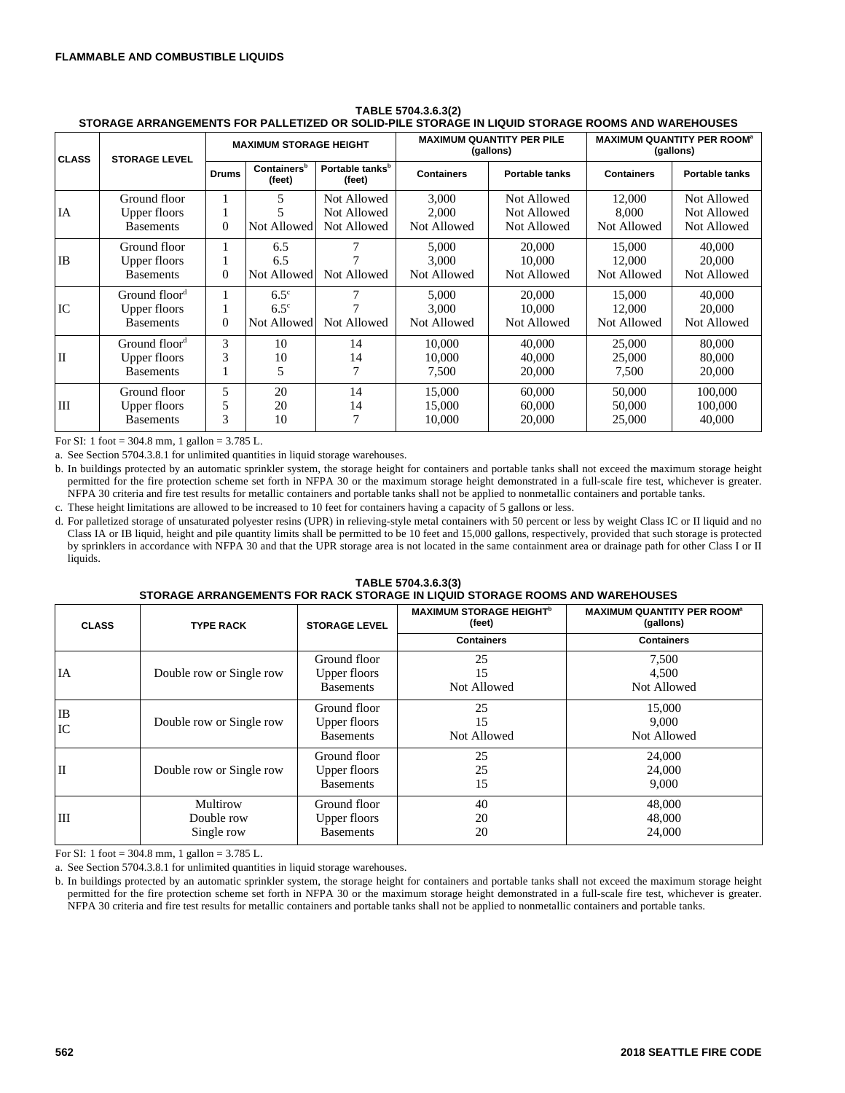| <b>CLASS</b> | <b>STORAGE LEVEL</b>                                          |                | <b>MAXIMUM STORAGE HEIGHT</b>             |                                           |                               | <b>MAXIMUM QUANTITY PER PILE</b><br>(gallons)    |                                 | <b>MAXIMUM QUANTITY PER ROOM<sup>a</sup></b><br>(gallons) |
|--------------|---------------------------------------------------------------|----------------|-------------------------------------------|-------------------------------------------|-------------------------------|--------------------------------------------------|---------------------------------|-----------------------------------------------------------|
|              |                                                               | <b>Drums</b>   | <b>Containers</b> <sup>b</sup><br>(feet)  | Portable tanks <sup>b</sup><br>(feet)     | <b>Containers</b>             | Portable tanks                                   | <b>Containers</b>               | Portable tanks                                            |
| IA           | Ground floor<br>Upper floors<br><b>Basements</b>              | $\overline{0}$ | 5<br>Not Allowed                          | Not Allowed<br>Not Allowed<br>Not Allowed | 3.000<br>2,000<br>Not Allowed | Not Allowed<br>Not Allowed<br><b>Not Allowed</b> | 12,000<br>8,000<br>Not Allowed  | Not Allowed<br>Not Allowed<br>Not Allowed                 |
| <b>IB</b>    | Ground floor<br>Upper floors<br><b>Basements</b>              | $\theta$       | 6.5<br>6.5<br>Not Allowed                 | Not Allowed                               | 5,000<br>3,000<br>Not Allowed | 20,000<br>10.000<br><b>Not Allowed</b>           | 15,000<br>12,000<br>Not Allowed | 40,000<br>20,000<br>Not Allowed                           |
| IC           | Ground floor <sup>d</sup><br>Upper floors<br><b>Basements</b> | $\mathbf{0}$   | $6.5^\circ$<br>$6.5^\circ$<br>Not Allowed | Not Allowed                               | 5,000<br>3,000<br>Not Allowed | 20,000<br>10.000<br>Not Allowed                  | 15,000<br>12,000<br>Not Allowed | 40,000<br>20,000<br>Not Allowed                           |
| IІ           | Ground floor <sup>d</sup><br>Upper floors<br><b>Basements</b> | 3<br>3         | 10<br>10<br>5                             | 14<br>14                                  | 10,000<br>10,000<br>7,500     | 40,000<br>40,000<br>20,000                       | 25,000<br>25,000<br>7,500       | 80,000<br>80,000<br>20,000                                |
| III          | Ground floor<br>Upper floors<br><b>Basements</b>              | 5<br>5<br>3    | 20<br>20<br>10                            | 14<br>14                                  | 15,000<br>15,000<br>10,000    | 60,000<br>60,000<br>20,000                       | 50,000<br>50,000<br>25,000      | 100,000<br>100,000<br>40,000                              |

#### **TABLE 5704.3.6.3(2) STORAGE ARRANGEMENTS FOR PALLETIZED OR SOLID-PILE STORAGE IN LIQUID STORAGE ROOMS AND WAREHOUSES**

For SI: 1 foot = 304.8 mm, 1 gallon = 3.785 L.

a. See Section 5704.3.8.1 for unlimited quantities in liquid storage warehouses.

b. In buildings protected by an automatic sprinkler system, the storage height for containers and portable tanks shall not exceed the maximum storage height permitted for the fire protection scheme set forth in NFPA 30 or the maximum storage height demonstrated in a full-scale fire test, whichever is greater. NFPA 30 criteria and fire test results for metallic containers and portable tanks shall not be applied to nonmetallic containers and portable tanks.

c. These height limitations are allowed to be increased to 10 feet for containers having a capacity of 5 gallons or less.

d. For palletized storage of unsaturated polyester resins (UPR) in relieving-style metal containers with 50 percent or less by weight Class IC or II liquid and no Class IA or IB liquid, height and pile quantity limits shall be permitted to be 10 feet and 15,000 gallons, respectively, provided that such storage is protected by sprinklers in accordance with NFPA 30 and that the UPR storage area is not located in the same containment area or drainage path for other Class I or II liquids.

|              |                                      |                                                  | STORAGE ARRANGEMENTS FOR RACK STORAGE IN LIQUID STORAGE ROOMS AND WAREHOUSES |                                                           |
|--------------|--------------------------------------|--------------------------------------------------|------------------------------------------------------------------------------|-----------------------------------------------------------|
| <b>CLASS</b> | <b>TYPE RACK</b>                     | <b>STORAGE LEVEL</b>                             | <b>MAXIMUM STORAGE HEIGHT<sup>b</sup></b><br>(feet)                          | <b>MAXIMUM QUANTITY PER ROOM<sup>a</sup></b><br>(gallons) |
|              |                                      |                                                  | <b>Containers</b>                                                            | <b>Containers</b>                                         |
| IA           | Double row or Single row             | Ground floor<br>Upper floors<br><b>Basements</b> | 25<br>15<br>Not Allowed                                                      | 7.500<br>4.500<br>Not Allowed                             |
| IB<br>IC     | Double row or Single row             | Ground floor<br>Upper floors<br><b>Basements</b> | 25<br>15<br>Not Allowed                                                      | 15,000<br>9.000<br>Not Allowed                            |
| $\mathbf{I}$ | Double row or Single row             | Ground floor<br>Upper floors<br><b>Basements</b> | 25<br>25<br>15                                                               | 24,000<br>24,000<br>9,000                                 |
| Ш            | Multirow<br>Double row<br>Single row | Ground floor<br>Upper floors<br><b>Basements</b> | 40<br>20<br>20                                                               | 48,000<br>48,000<br>24,000                                |

**TABLE 5704.3.6.3(3) STORAGE ARRANGEMENTS FOR RACK STORAGE IN LIQUID STORAGE ROOMS AND WAREHOUSES**

For SI: 1 foot =  $304.8$  mm, 1 gallon =  $3.785$  L.

a. See Section 5704.3.8.1 for unlimited quantities in liquid storage warehouses.

b. In buildings protected by an automatic sprinkler system, the storage height for containers and portable tanks shall not exceed the maximum storage height permitted for the fire protection scheme set forth in NFPA 30 or the maximum storage height demonstrated in a full-scale fire test, whichever is greater. NFPA 30 criteria and fire test results for metallic containers and portable tanks shall not be applied to nonmetallic containers and portable tanks.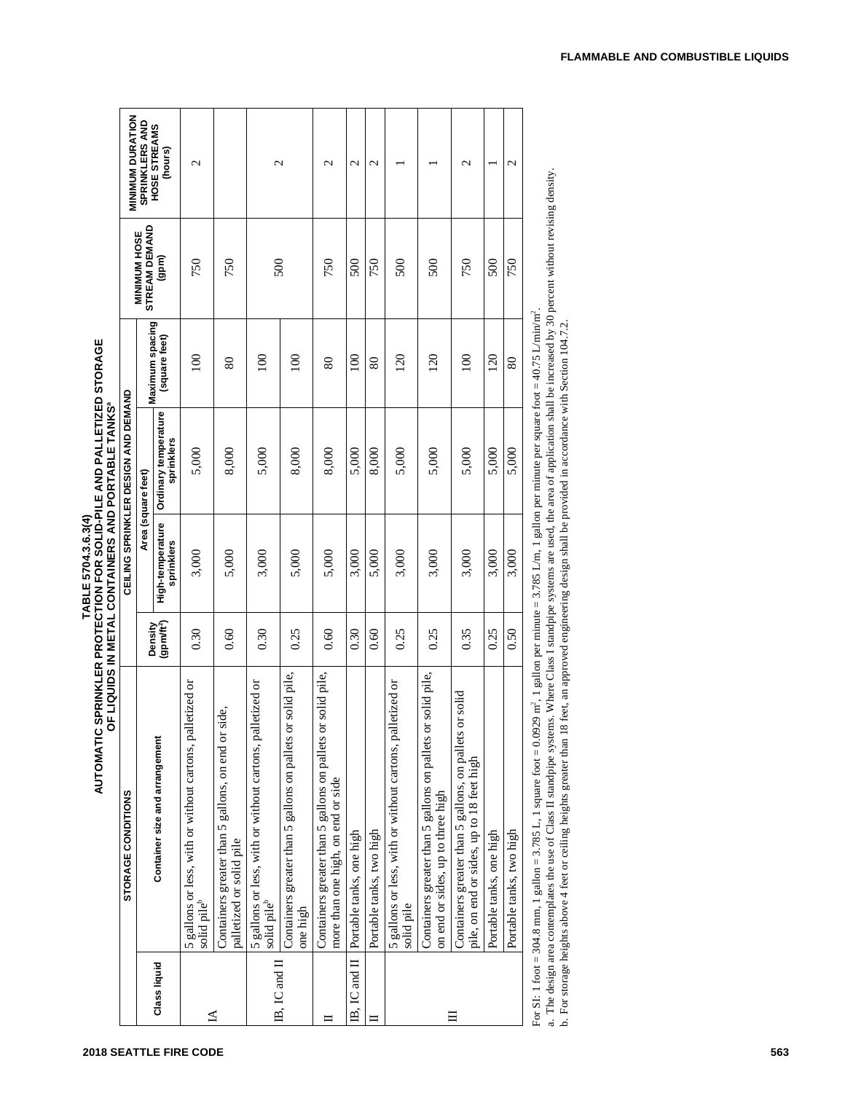**2018 SEATTLE FIRE CODE 563**

|               |                                                                                                        |                          |                                | <b>DE LIQUIDS IN METAL CONTAINERS AND PORTABLE TANKS®</b> |                                  |                                      |                                |
|---------------|--------------------------------------------------------------------------------------------------------|--------------------------|--------------------------------|-----------------------------------------------------------|----------------------------------|--------------------------------------|--------------------------------|
|               | STORAGE CONDITIONS                                                                                     |                          |                                | CEILING SPRINKLER DESIGN AND DEMAND                       |                                  |                                      | <b>MINIMUM DURATION</b>        |
|               |                                                                                                        | Density                  |                                | Area (square feet)                                        |                                  | STREAM DEMAND<br><b>MINIMUM HOSE</b> | SPRINKLERS AND                 |
| Class liquid  | Container size and arrangement                                                                         | $g$ pm/ft <sup>2</sup> ) | High-temperature<br>sprinklers | Ordinary temperature<br>sprinklers                        | Maximum spacing<br>(square feet) | (gpm)                                | <b>HOSE STREAMS</b><br>(hours) |
| ⊴             | 5 gallons or less, with or without cartons, palletized or<br>solid pile <sup>b</sup>                   | 0.30                     | 3,000                          | 5,000                                                     | $\overline{100}$                 | 750                                  | $\mathcal{L}$                  |
|               | Containers greater than 5 gallons, on end or side,<br>palletized or solid pile                         | 0.60                     | 5,000                          | 8,000                                                     | 80                               | 750                                  |                                |
| IB, IC and II | 5 gallons or less, with or without cartons, palletized or<br>solid pile <sup>b</sup>                   | 0.30                     | 3,000                          | 5,000                                                     | $\overline{100}$                 | 500                                  | $\mathcal{L}$                  |
|               | Containers greater than 5 gallons on pallets or solid pile,<br>one high                                | 0.25                     | 5,000                          | 8,000                                                     | 100                              |                                      |                                |
|               | Containers greater than 5 gallons on pallets or solid pile,<br>more than one high, on end or side      | 0.60                     | 5,000                          | 8,000                                                     | 80                               | 750                                  | $\mathcal{L}$                  |
|               | IB, IC and II Portable tanks, one high                                                                 | 0.30                     | 3,000                          | 5,000                                                     | $\overline{0}$                   | 500                                  | $\mathbf{\sim}$                |
|               | Portable tanks, two high                                                                               | 0.60                     | 5,000                          | 8,000                                                     | 80                               | 750                                  | $\mathcal{L}$                  |
|               | 5 gallons or less, with or without cartons, palletized or<br>solid pile                                | 0.25                     | 3,000                          | 5,000                                                     | 120                              | 500                                  |                                |
|               | Containers greater than 5 gallons on pallets or solid pile,<br>on end or sides, up to three high       | 0.25                     | 3,000                          | 5,000                                                     | 120                              | 500                                  |                                |
|               | or solid<br>Containers greater than 5 gallons, on pallets<br>pile, on end or sides, up to 18 feet high | 0.35                     | 3,000                          | 5,000                                                     | $\approx$                        | 750                                  | $\mathcal{L}$                  |
|               | Portable tanks, one high                                                                               | 0.25                     | 3,000                          | 5,000                                                     | 120                              | 500                                  |                                |
|               | Portable tanks, two high                                                                               | 0.50                     | 3,000                          | 5,000                                                     | 80                               | 750                                  | 2                              |

**T A BLE 5704.3.6.3(4) AUTOMATIC SPRIN KLER PR OTEC TIO N FO RSOLID-PILE A ND PALLETIZED STORAGE**

For SI: 1 foot = 304.8 m m, 1 gallon = 3.785 L, 1 square foot = 0.0929 m  $\sim$  , 1 gallon per minute = 3.785 L/m, 1 gallon per minute per square foot = 40.75 L/min/m  $\sim$  .

a. The design area contemplates the use of Class II standpipe systems. Where Class I standpipe systems are used, the area of application shall be increased by 30 percent without revising density.<br>b. For storage heights abo a. The design area contemplates the use of Class II standpipe systems. Where Class I standpipe systems are used, the area of application shall be increased by 30 percent without revising density. b. For storage heights above 4 feet or ceiling heights greater than 18 feet, an approved engineering design shall be provided in accordance with Section 104.7.2.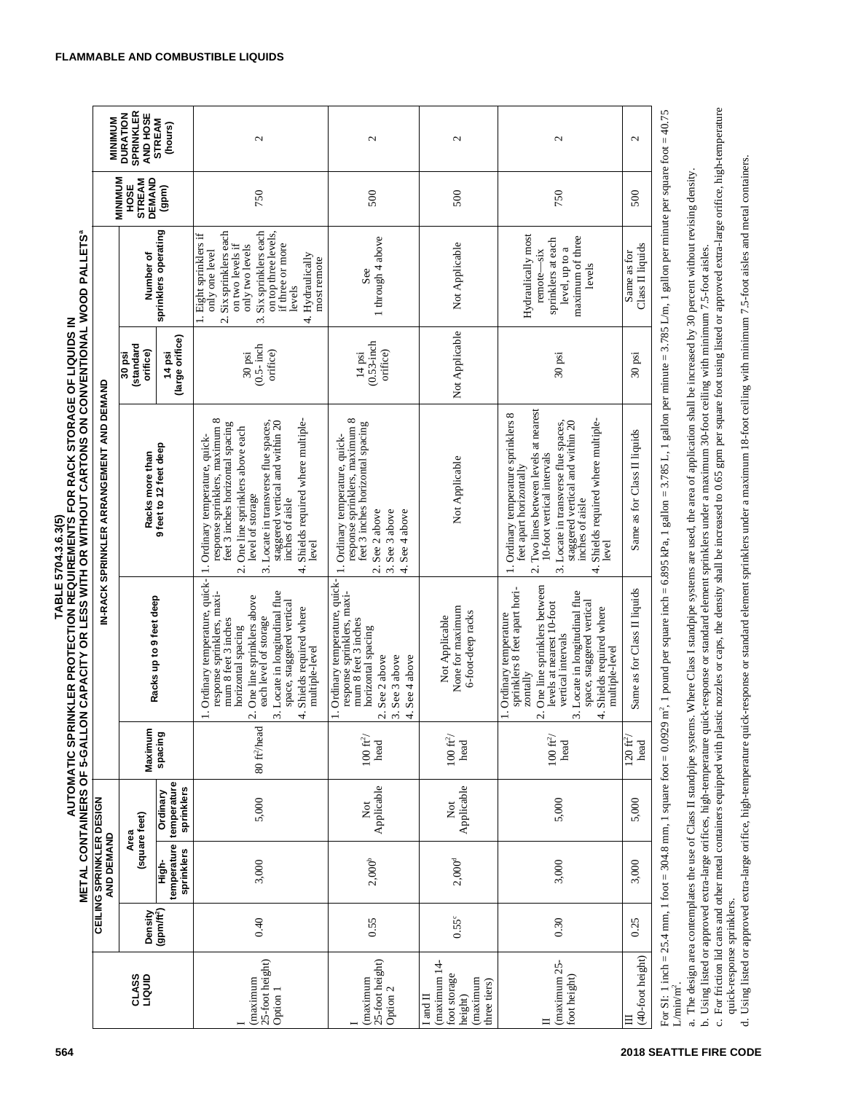**T A**

**BLE 5704.3.6.3(5)**

|                                                                                         |                                   | <b>CEILING SPRINKLER DESIGN</b><br>AND DEMAND |                                       |                             |                                                                                                                                                                                                                                                                          | N-RACK SPRINKLER ARRANGEMENT AND DEMAND                                                                                                                                                                                                                                                                             |                                                 |                                                                                                                                                                                                                                                      |                                                               | <b>MINIMUM</b>                           |
|-----------------------------------------------------------------------------------------|-----------------------------------|-----------------------------------------------|---------------------------------------|-----------------------------|--------------------------------------------------------------------------------------------------------------------------------------------------------------------------------------------------------------------------------------------------------------------------|---------------------------------------------------------------------------------------------------------------------------------------------------------------------------------------------------------------------------------------------------------------------------------------------------------------------|-------------------------------------------------|------------------------------------------------------------------------------------------------------------------------------------------------------------------------------------------------------------------------------------------------------|---------------------------------------------------------------|------------------------------------------|
| CLASS<br>LIQUID                                                                         |                                   |                                               | (square feet)<br>Area                 | Maximum                     |                                                                                                                                                                                                                                                                          | Racks more than                                                                                                                                                                                                                                                                                                     | (standard<br>orifice)<br>30 psi                 | Number of                                                                                                                                                                                                                                            | MININUM<br><b>DEMAND</b><br><b>STREAM</b><br>HO <sub>SE</sub> | SPRINKLER<br>AND HOSE<br><b>DURATION</b> |
|                                                                                         | Density<br>(gpm/ff <sup>2</sup> ) | temperature<br>sprinklers<br>High-            | temperature<br>sprinklers<br>Ordinary | spacing                     | Racks up to 9 feet deep                                                                                                                                                                                                                                                  | 9 feet to 12 feet deep                                                                                                                                                                                                                                                                                              | (large orifice)<br>14 psi                       | sprinklers operating                                                                                                                                                                                                                                 | (approx)                                                      | <b>STREAM</b><br>(hours)                 |
| 25-foot height)<br>(maximum<br>Option 1                                                 | 0.40                              | 3,000                                         | 5,000                                 | 80 ft <sup>2</sup> /head    | Ordinary temperature, quick-<br>3. Locate in longitudinal flue<br>response sprinklers, maxi-<br>One line sprinklers above<br>space, staggered vertical<br>Shields required where<br>each level of storage<br>mum 8 feet 3 inches<br>horizontal spacing<br>multiple-level | response sprinklers, maximum 8<br>Shields required where multiple-<br>Locate in transverse flue spaces,<br>staggered vertical and within 20<br>feet 3 inches horizontal spacing<br>One line sprinklers above each<br>Ordinary temperature, quick-<br>level of storage<br>inches of aisle<br>level<br>Ń۰<br>2.<br>4. | $(0.5 -$ inch<br>orifice)<br>$30\,\mathrm{psi}$ | Six sprinklers each<br>Six sprinklers each<br>on top three levels,<br>1. Eight sprinklers if<br>if three or more<br>on two levels if<br>only two levels<br>only one level<br>4. Hydraulically<br>most remote<br>levels<br>ς.<br>$\dot{\mathfrak{c}}$ | 750                                                           | $\mathbf{C}$                             |
| 25-foot height)<br>Option 2<br>(maximum                                                 | 0.55                              | $2,000^{\rm b}$                               | Applicable<br><b>Z</b>                | $100\ {\rm ft}^2$<br>head   | Ordinary temperature, quick-<br>response sprinklers, maxi-<br>mum 8 feet 3 inches<br>horizontal spacing<br>2. See 2 above<br>3. See 3 above<br>4. See 4 above                                                                                                            | response sprinklers, maximum 8<br>feet 3 inches horizontal spacing<br>Ordinary temperature, quick-<br>See 2 above<br>See 3 above<br>See 4 above<br>$\ddot{\mathrm{c}}$<br>$\div$<br>ΙÓ.<br>$\overline{a}$                                                                                                           | $(0.53 - inch$<br>orifice)<br>14 psi            | 1 through 4 above<br>See                                                                                                                                                                                                                             | 500                                                           | $\mathbf{\Omega}$                        |
| $(\text{maximum} 14$<br>foot storage<br>(maximum<br>three tiers)<br>height)<br>I and II | $0.55^{\circ}$                    | $2,000^{\rm d}$                               | Applicable<br>$\overline{\text{X}}$   | $100\ {\rm ft}^2/$<br>head  | None for maximum<br>6-foot-deep racks<br>Not Applicable                                                                                                                                                                                                                  | Not Applicable                                                                                                                                                                                                                                                                                                      | Not Applicable                                  | Not Applicable                                                                                                                                                                                                                                       | 500                                                           | $\mathcal{L}$                            |
| (maximum 25-<br>foot height)                                                            | 0.30                              | 3,000                                         | 5,000                                 | $100~\mathrm{ft}^2$<br>head | One line sprinklers between<br>sprinklers 8 feet apart hori-<br>3. Locate in longitudinal flue<br>space, staggered vertical<br>levels at nearest 10-foot<br>Shields required where<br>. Ordinary temperature<br>vertical intervals<br>multiple-level<br>zontally         | Two lines between levels at nearest<br>Ordinary temperature sprinklers 8<br>Shields required where multiple-<br>Locate in transverse flue spaces,<br>staggered vertical and within 20<br>10-foot vertical intervals<br>feet apart horizontally<br>inches of aisle<br>level<br>$\ddot{ }$<br>ς.<br>2.<br>4.          | 30 psi                                          | Hydraulically most<br>maximum of three<br>sprinklers at each<br>level, up to a<br>remote-six<br>levels                                                                                                                                               | 750                                                           | $\mathcal{L}$                            |
| (40-foot height)                                                                        | 0.25                              | 3,000                                         | 5,000                                 | $120 \text{ ft}^2$<br>head  | Same as for Class II liquids                                                                                                                                                                                                                                             | Same as for Class II liquids                                                                                                                                                                                                                                                                                        | 30 psi                                          | Class II liquids<br>Same as for                                                                                                                                                                                                                      | 500                                                           | $\mathcal{L}$                            |
|                                                                                         |                                   |                                               |                                       |                             |                                                                                                                                                                                                                                                                          | For SI: 1 inch = 25.4 mm, 1 foot = 304.8 mm, 1 square foot = 0.0929 m <sup>2</sup> , 1 pound per square inch = 6.895 kPa, 1 gallon = 3.785 L, 1 gallon per minute = 3.785 L/m, 1 gallon per minute per square foot = 40.75                                                                                          |                                                 |                                                                                                                                                                                                                                                      |                                                               |                                          |

 $L/min/m<sup>2</sup>$ . a. The design area contemplates the use of Class II standpipe systems. Where Class I standpipe systems are used, the area of application shall be increased by 30 percent without revising density. a. The design area contemplates the use of Class II standpipe systems. Where Class I standpipe systems are used, the area of application shall be increased by 30 percent without revising density.

b. Using listed or approved extra-large orifices, high-temperature quick-response or standard element sprinklers under a maximum 30-foot ceiling with minimum 7.5-foot aisles. b. Using listed or approved extra-large orifices, high-temperature quick-response or standard element sprinklers under a maximum 30-foot ceiling with minimum 7.5-foot aisles.

c. For friction lid cans and other metal containers equipped with plastic nozzles or caps, the density shall be increased to 0.65 gpm per square foot using listed or approved extra-large orifice, high-temperature c. For friction lid cans and other metal containers equipped with plastic nozzles or caps, the density shall be increased to 0.65 gpm per square foot using listed or approved extra-large orifice, high-temperature quick-response sprinklers.

quick-response sprinklers.<br>d. Using listed or approved extra-large orifice, high-temperature quick-response or standard element sprinklers under a maximum 18-foot ceiling with minimum 7.5-foot aisles and metal containers. d. Using listed or approved extra-large orifice, high-temperature quick-response or standard element sprinklers under a maximum 18-foot ceiling with minimum 7.5-foot aisles and metal containers.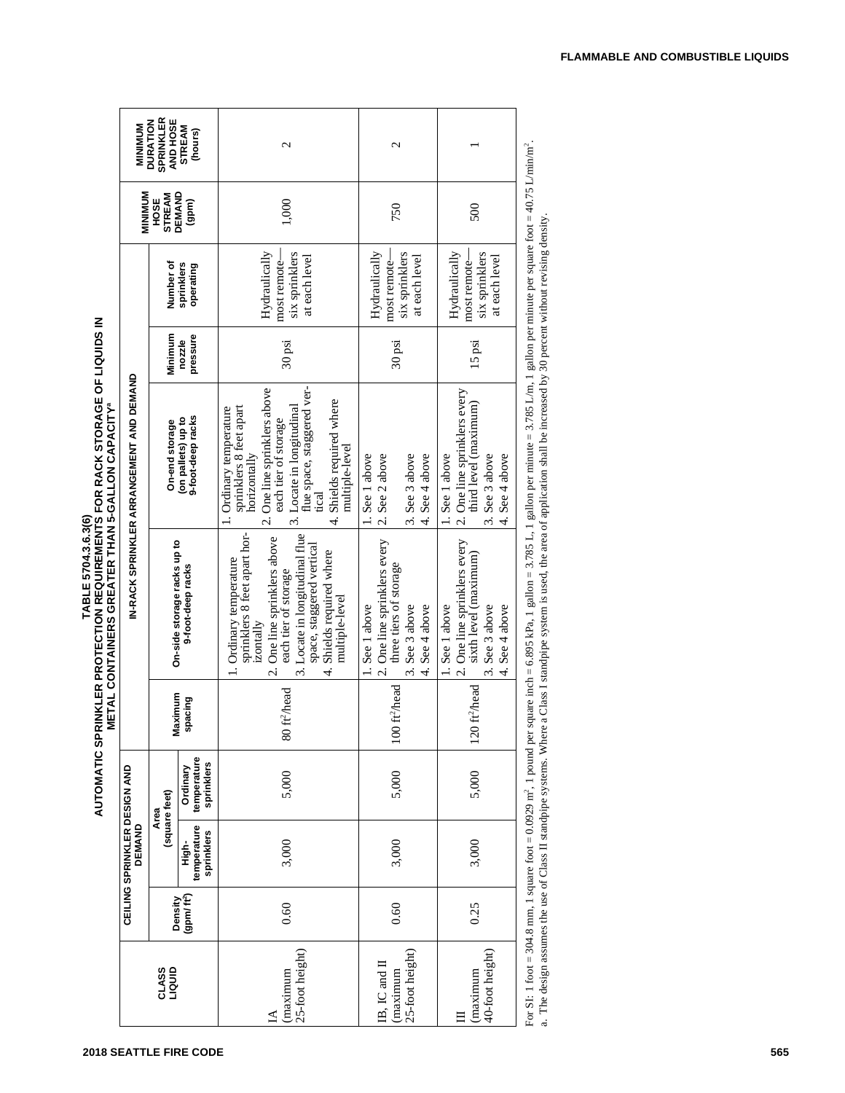**T A BLE 5704.3.6.3(6) AUTOMATIC SPRIN KLER PR O TEC** Z)<br>D\_S<br>I.I **REQ UIREMEN T S FO R RACK**<br>CALC **S T O R A GE OF LIQ UID S IN MET AL C ONTAINER SGREA TER THAN 5-G ALLO NCAPA**  $\frac{1}{2}$ 

| <b>MINIMUM</b>                           | SPRINKLER<br>AND HOSE<br><b>DURATION</b> | <b>STREAM</b><br>(hours)                | 2                                                                                                                                                                                                                                             | $\mathbf 2$                                                                                                  |                                                                                                             |
|------------------------------------------|------------------------------------------|-----------------------------------------|-----------------------------------------------------------------------------------------------------------------------------------------------------------------------------------------------------------------------------------------------|--------------------------------------------------------------------------------------------------------------|-------------------------------------------------------------------------------------------------------------|
| <b>MINIMUM</b>                           | <b>DEMAND</b><br>STREAM<br>HOSE<br>(gpm) |                                         | 1,000                                                                                                                                                                                                                                         | 750                                                                                                          | 500                                                                                                         |
|                                          | Number of                                | sprinklers<br>operating                 | Hydraulically<br>six sprinklers<br>at each level<br>most remote-                                                                                                                                                                              | Hydraulically<br>six sprinklers<br>at each level<br>most remote-                                             | Hydraulically<br>six sprinklers<br>at each level<br>most remote-                                            |
|                                          | Minimum                                  | pressure<br>nozzle                      | 30 psi                                                                                                                                                                                                                                        | 30 psi                                                                                                       | 15 psi                                                                                                      |
| IN-RACK SPRINKLER ARRANGEMENT AND DEMAND | On-end storage                           | 9-foot-deep racks<br>(on pallets) up to | flue space, staggered ver-<br>2. One line sprinklers above<br>4. Shields required where<br>3. Locate in longitudinal<br>sprinklers 8 feet apart<br>1. Ordinary temperature<br>each tier of storage<br>multiple-level<br>horizontally<br>tical | 2. See 2 above<br>4. See 4 above<br>I. See 1 above<br>3. See 3 above                                         | 2. One line sprinklers every<br>third level (maximum)<br>3. See 3 above<br>4. See 4 above<br>1. See 1 above |
|                                          | On-side storage racks up to              | 9-foot-deep racks                       | sprinklers 8 feet apart hor-<br>3. Locate in longitudinal flue<br>2. One line sprinklers above<br>space, staggered vertical<br>4. Shields required where<br>1. Ordinary temperature<br>each tier of storage<br>multiple-level<br>izontally    | 2. One line sprinklers every<br>three tiers of storage<br>4. See 4 above<br>1. See 1 above<br>3. See 3 above | 2. One line sprinklers every<br>sixth level (maximum)<br>3. See 3 above<br>4. See 4 above<br>1. See 1 above |
|                                          | Maximum                                  | spacing                                 | ft <sup>2</sup> /head<br>80                                                                                                                                                                                                                   | 100 ft <sup>2</sup> /head                                                                                    | 120 ft <sup>2</sup> /head                                                                                   |
|                                          | (square feet)<br>Area                    | temperature<br>sprinklers<br>Ordinary   | 5,000                                                                                                                                                                                                                                         | 5,000                                                                                                        | 5,000                                                                                                       |
| CEILING SPRINKLER DESIGN AND<br>DEMAND   |                                          | temperature<br>sprinklers<br>소<br>도     | 3,000                                                                                                                                                                                                                                         | 3,000                                                                                                        | 3,000                                                                                                       |
|                                          |                                          | Density<br>(gpm/ft <sup>2</sup> )       | 0.60                                                                                                                                                                                                                                          | 0.60                                                                                                         | 0.25                                                                                                        |
|                                          | CLASS<br>LIQUID                          |                                         | 25-foot height)<br>(maximum                                                                                                                                                                                                                   | 25-foot height)<br>IB, IC and II<br>(maximum                                                                 | 40-foot height)<br>(maximum                                                                                 |

a. The design assumes the use of Class II standpipe systems. Where a Class I standpipe system is used, the area of application shall be increased by 30 percent without revising density.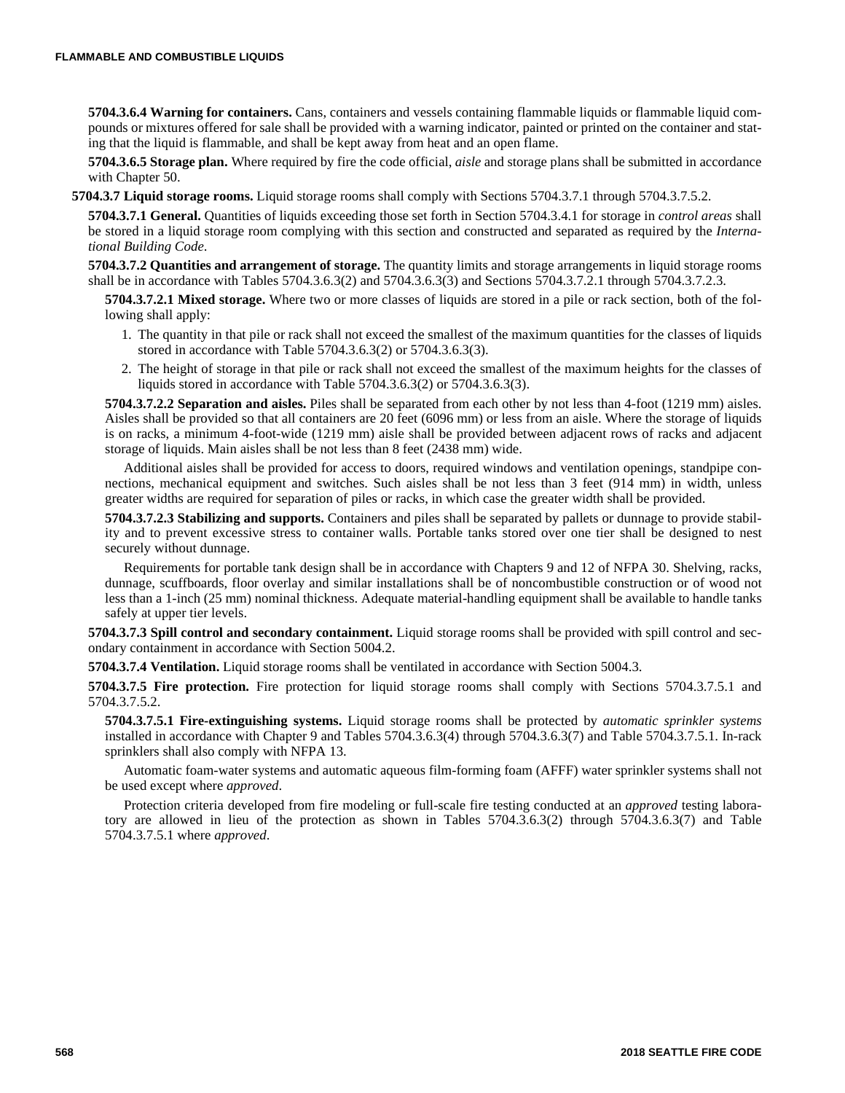**5704.3.6.4 Warning for containers.** Cans, containers and vessels containing flammable liquids or flammable liquid compounds or mixtures offered for sale shall be provided with a warning indicator, painted or printed on the container and stating that the liquid is flammable, and shall be kept away from heat and an open flame.

**5704.3.6.5 Storage plan.** Where required by fire the code official, *aisle* and storage plans shall be submitted in accordance with Chapter 50.

**5704.3.7 Liquid storage rooms.** Liquid storage rooms shall comply with Sections 5704.3.7.1 through 5704.3.7.5.2.

**5704.3.7.1 General.** Quantities of liquids exceeding those set forth in Section 5704.3.4.1 for storage in *control areas* shall be stored in a liquid storage room complying with this section and constructed and separated as required by the *International Building Code*.

**5704.3.7.2 Quantities and arrangement of storage.** The quantity limits and storage arrangements in liquid storage rooms shall be in accordance with Tables 5704.3.6.3(2) and 5704.3.6.3(3) and Sections 5704.3.7.2.1 through 5704.3.7.2.3.

**5704.3.7.2.1 Mixed storage.** Where two or more classes of liquids are stored in a pile or rack section, both of the following shall apply:

- 1. The quantity in that pile or rack shall not exceed the smallest of the maximum quantities for the classes of liquids stored in accordance with Table 5704.3.6.3(2) or 5704.3.6.3(3).
- 2. The height of storage in that pile or rack shall not exceed the smallest of the maximum heights for the classes of liquids stored in accordance with Table 5704.3.6.3(2) or 5704.3.6.3(3).

**5704.3.7.2.2 Separation and aisles.** Piles shall be separated from each other by not less than 4-foot (1219 mm) aisles. Aisles shall be provided so that all containers are 20 feet (6096 mm) or less from an aisle. Where the storage of liquids is on racks, a minimum 4-foot-wide (1219 mm) aisle shall be provided between adjacent rows of racks and adjacent storage of liquids. Main aisles shall be not less than 8 feet (2438 mm) wide.

Additional aisles shall be provided for access to doors, required windows and ventilation openings, standpipe connections, mechanical equipment and switches. Such aisles shall be not less than 3 feet (914 mm) in width, unless greater widths are required for separation of piles or racks, in which case the greater width shall be provided.

**5704.3.7.2.3 Stabilizing and supports.** Containers and piles shall be separated by pallets or dunnage to provide stability and to prevent excessive stress to container walls. Portable tanks stored over one tier shall be designed to nest securely without dunnage.

Requirements for portable tank design shall be in accordance with Chapters 9 and 12 of NFPA 30. Shelving, racks, dunnage, scuffboards, floor overlay and similar installations shall be of noncombustible construction or of wood not less than a 1-inch (25 mm) nominal thickness. Adequate material-handling equipment shall be available to handle tanks safely at upper tier levels.

**5704.3.7.3 Spill control and secondary containment.** Liquid storage rooms shall be provided with spill control and secondary containment in accordance with Section 5004.2.

**5704.3.7.4 Ventilation.** Liquid storage rooms shall be ventilated in accordance with Section 5004.3.

**5704.3.7.5 Fire protection.** Fire protection for liquid storage rooms shall comply with Sections 5704.3.7.5.1 and 5704.3.7.5.2.

**5704.3.7.5.1 Fire-extinguishing systems.** Liquid storage rooms shall be protected by *automatic sprinkler systems* installed in accordance with Chapter 9 and Tables 5704.3.6.3(4) through 5704.3.6.3(7) and Table 5704.3.7.5.1. In-rack sprinklers shall also comply with NFPA 13.

Automatic foam-water systems and automatic aqueous film-forming foam (AFFF) water sprinkler systems shall not be used except where *approved*.

Protection criteria developed from fire modeling or full-scale fire testing conducted at an *approved* testing laboratory are allowed in lieu of the protection as shown in Tables 5704.3.6.3(2) through 5704.3.6.3(7) and Table 5704.3.7.5.1 where *approved*.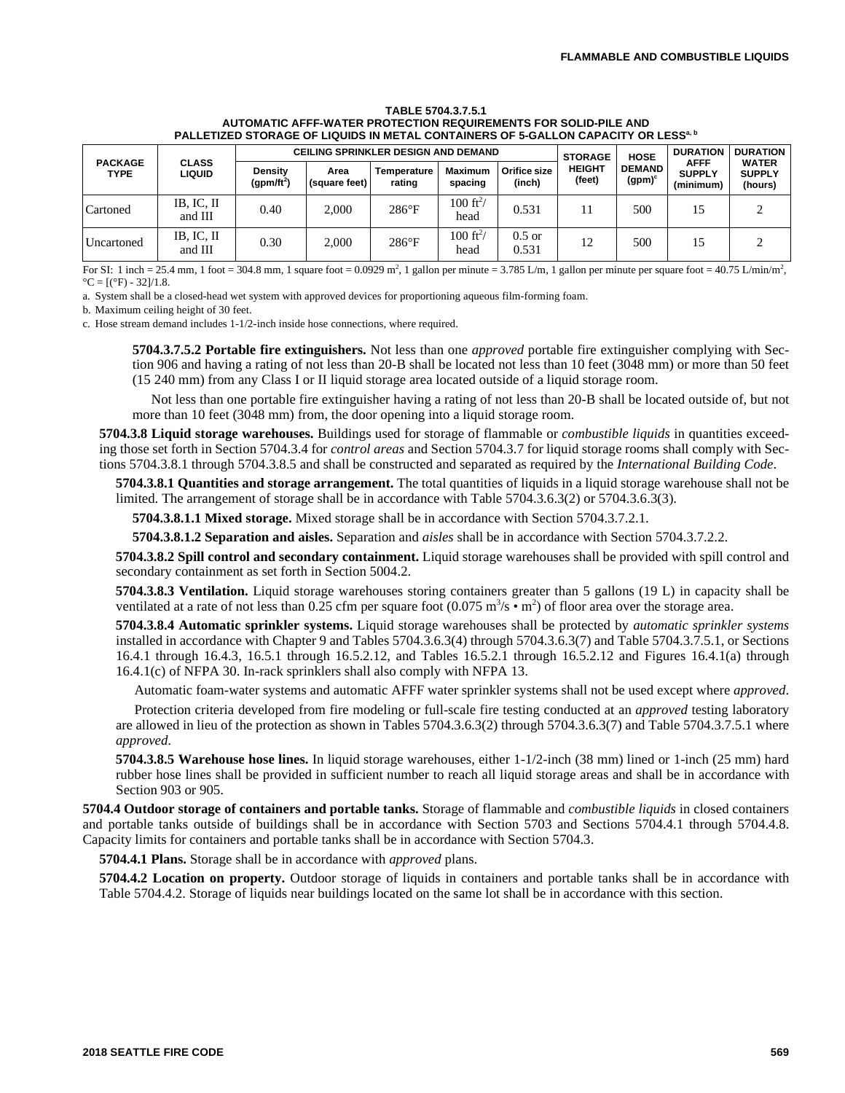#### **PACKAGE TYPE CLASS LIQUID CEILING SPRINKLER DESIGN AND DEMAND STORAGE HEIGHT (feet) HOSE DEMAND (gpm)<sup>c</sup> DURATION AFFF SUPPLY (minimum) DURATION WATER SUPPLY (hours) Density (gpm/ft<sup>2</sup> ) Area (square feet) Temperature rating Maximum spacing Orifice size (inch)**  $\text{Cartoned}$  IB, IC, II  $\begin{array}{c|c|c|c|c|c} \text{B, IC, II} & & 0.40 & & 2,000 & & 286°F & & 100 ft^2 \text{ and III} & & & 0.40 & & & 2000 & & & 286°F & & & 2000 & & & 2000 \end{array}$  $100 \text{ ft}^2$  $\begin{array}{|c|c|c|c|c|c|c|c|c|} \hline \text{0.531} & 11 & 500 & 15 & 2 \ \hline \text{head} & \text{0.531} & 11 & 500 & 15 & 2 \ \hline \end{array}$ Uncartoned  $\begin{array}{|c|c|} \hline \text{IB, IC, II} \\ \text{and III} \end{array}$  $\begin{array}{c|c|c|c|c|c} \text{B, IC, II} & 0.30 & 2,000 & 286^{\circ}F & 100 \text{ ft}^2 \end{array}$  $100 \text{ ft}^2$ head 0.5 or  $\begin{array}{c|c|c|c|c|c|c|c|c} \hline 0.531 & 12 & 500 & 15 & 2 \ \hline \end{array}$

#### **TABLE 5704.3.7.5.1 AUTOMATIC AFFF-WATER PROTECTION REQUIREMENTS FOR SOLID-PILE AND PALLETIZED STORAGE OF LIQUIDS IN METAL CONTAINERS OF 5-GALLON CAPACITY OR LESSa, b**

For SI: 1 inch = 25.4 mm, 1 foot = 304.8 mm, 1 square foot = 0.0929 m<sup>2</sup>, 1 gallon per minute = 3.785 L/m, 1 gallon per minute per square foot = 40.75 L/min/m<sup>2</sup>,  $^{\circ}C = [(^{\circ}F) - 32]/1.8$ .

a. System shall be a closed-head wet system with approved devices for proportioning aqueous film-forming foam.

b. Maximum ceiling height of 30 feet.

c. Hose stream demand includes 1-1/2-inch inside hose connections, where required.

**5704.3.7.5.2 Portable fire extinguishers.** Not less than one *approved* portable fire extinguisher complying with Section 906 and having a rating of not less than 20-B shall be located not less than 10 feet (3048 mm) or more than 50 feet (15 240 mm) from any Class I or II liquid storage area located outside of a liquid storage room.

Not less than one portable fire extinguisher having a rating of not less than 20-B shall be located outside of, but not more than 10 feet (3048 mm) from, the door opening into a liquid storage room.

**5704.3.8 Liquid storage warehouses.** Buildings used for storage of flammable or *combustible liquids* in quantities exceeding those set forth in Section 5704.3.4 for *control areas* and Section 5704.3.7 for liquid storage rooms shall comply with Sections 5704.3.8.1 through 5704.3.8.5 and shall be constructed and separated as required by the *International Building Code*.

**5704.3.8.1 Quantities and storage arrangement.** The total quantities of liquids in a liquid storage warehouse shall not be limited. The arrangement of storage shall be in accordance with Table 5704.3.6.3(2) or 5704.3.6.3(3).

**5704.3.8.1.1 Mixed storage.** Mixed storage shall be in accordance with Section 5704.3.7.2.1.

**5704.3.8.1.2 Separation and aisles.** Separation and *aisles* shall be in accordance with Section 5704.3.7.2.2.

**5704.3.8.2 Spill control and secondary containment.** Liquid storage warehouses shall be provided with spill control and secondary containment as set forth in Section 5004.2.

**5704.3.8.3 Ventilation.** Liquid storage warehouses storing containers greater than 5 gallons (19 L) in capacity shall be ventilated at a rate of not less than 0.25 cfm per square foot  $(0.075 \text{ m}^3/\text{s} \cdot \text{m}^2)$  of floor area over the storage area.

**5704.3.8.4 Automatic sprinkler systems.** Liquid storage warehouses shall be protected by *automatic sprinkler systems* installed in accordance with Chapter 9 and Tables 5704.3.6.3(4) through 5704.3.6.3(7) and Table 5704.3.7.5.1, or Sections 16.4.1 through 16.4.3, 16.5.1 through 16.5.2.12, and Tables 16.5.2.1 through 16.5.2.12 and Figures 16.4.1(a) through 16.4.1(c) of NFPA 30. In-rack sprinklers shall also comply with NFPA 13.

Automatic foam-water systems and automatic AFFF water sprinkler systems shall not be used except where *approved*.

Protection criteria developed from fire modeling or full-scale fire testing conducted at an *approved* testing laboratory are allowed in lieu of the protection as shown in Tables 5704.3.6.3(2) through 5704.3.6.3(7) and Table 5704.3.7.5.1 where *approved*.

**5704.3.8.5 Warehouse hose lines.** In liquid storage warehouses, either 1-1/2-inch (38 mm) lined or 1-inch (25 mm) hard rubber hose lines shall be provided in sufficient number to reach all liquid storage areas and shall be in accordance with Section 903 or 905.

**5704.4 Outdoor storage of containers and portable tanks.** Storage of flammable and *combustible liquids* in closed containers and portable tanks outside of buildings shall be in accordance with Section 5703 and Sections 5704.4.1 through 5704.4.8. Capacity limits for containers and portable tanks shall be in accordance with Section 5704.3.

**5704.4.1 Plans.** Storage shall be in accordance with *approved* plans.

**5704.4.2 Location on property.** Outdoor storage of liquids in containers and portable tanks shall be in accordance with Table 5704.4.2. Storage of liquids near buildings located on the same lot shall be in accordance with this section.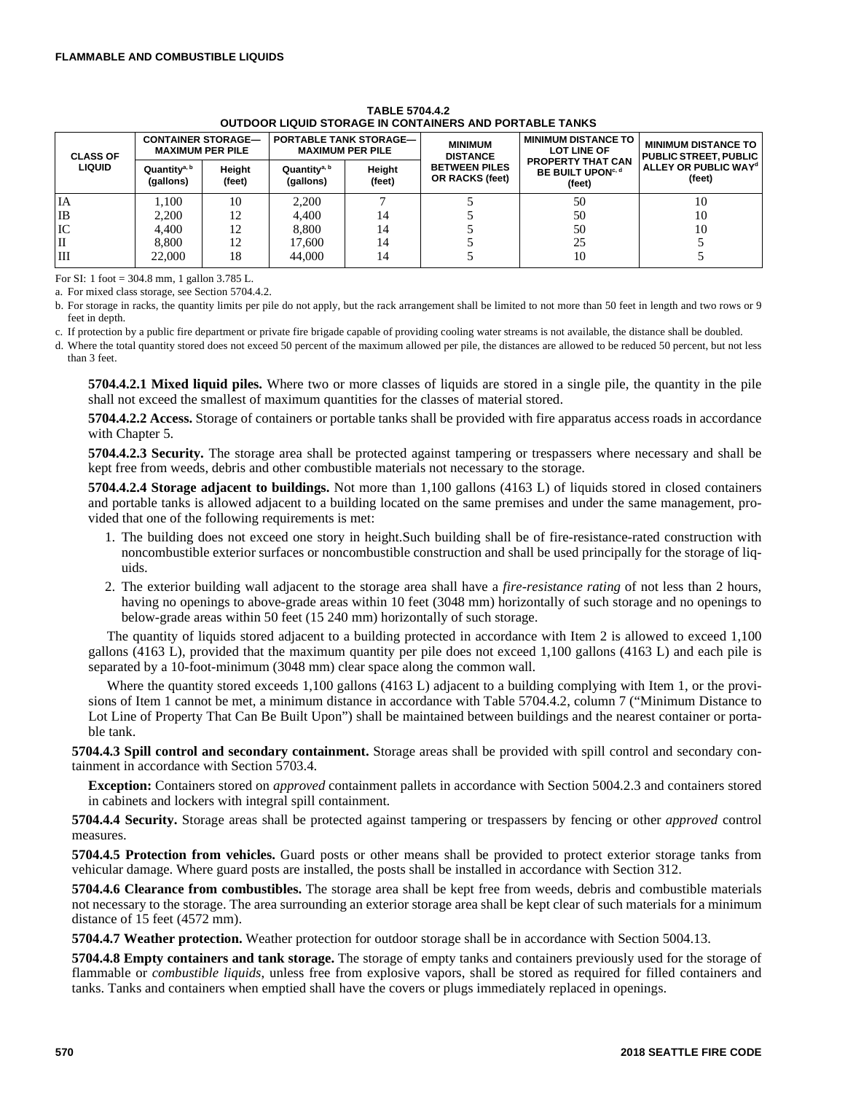| <b>CLASS OF</b><br><b>LIQUID</b> | <b>CONTAINER STORAGE-</b><br><b>MAXIMUM PER PILE</b> |                  | <b>PORTABLE TANK STORAGE-</b><br><b>MAXIMUM PER PILE</b> |                  | <b>MINIMUM</b><br><b>DISTANCE</b>       | <b>MINIMUM DISTANCE TO</b><br>LOT LINE OF                           | <b>MINIMUM DISTANCE TO</b><br><b>PUBLIC STREET, PUBLIC</b> |  |
|----------------------------------|------------------------------------------------------|------------------|----------------------------------------------------------|------------------|-----------------------------------------|---------------------------------------------------------------------|------------------------------------------------------------|--|
|                                  | Quantity <sup>a, b</sup><br>(gallons)                | Height<br>(feet) | Quantity <sup>a, b</sup><br>(gallons)                    | Height<br>(feet) | <b>BETWEEN PILES</b><br>OR RACKS (feet) | <b>PROPERTY THAT CAN</b><br>BE BUILT UPON <sup>c, d</sup><br>(feet) | ALLEY OR PUBLIC WAY <sup>d</sup><br>(feet)                 |  |
| IA                               | 1.100                                                | 10               | 2.200                                                    |                  |                                         | 50                                                                  | 10                                                         |  |
| <b>IB</b>                        | 2.200                                                |                  | 4.400                                                    | 14               |                                         | 50                                                                  | 10                                                         |  |
| IC                               | 4.400                                                |                  | 8.800                                                    | 14               |                                         | 50                                                                  | 10                                                         |  |
| Ш                                | 8.800                                                | 12               | 17.600                                                   | 14               |                                         | 25                                                                  |                                                            |  |
| III                              | 22,000                                               | 18               | 44,000                                                   | 14               |                                         | 10                                                                  |                                                            |  |
|                                  |                                                      |                  |                                                          |                  |                                         |                                                                     |                                                            |  |

**TABLE 5704.4.2 OUTDOOR LIQUID STORAGE IN CONTAINERS AND PORTABLE TANKS**

For SI: 1 foot = 304.8 mm, 1 gallon 3.785 L.

a. For mixed class storage, see Section 5704.4.2.

b. For storage in racks, the quantity limits per pile do not apply, but the rack arrangement shall be limited to not more than 50 feet in length and two rows or 9 feet in depth.

c. If protection by a public fire department or private fire brigade capable of providing cooling water streams is not available, the distance shall be doubled.

d. Where the total quantity stored does not exceed 50 percent of the maximum allowed per pile, the distances are allowed to be reduced 50 percent, but not less than 3 feet.

**5704.4.2.1 Mixed liquid piles.** Where two or more classes of liquids are stored in a single pile, the quantity in the pile shall not exceed the smallest of maximum quantities for the classes of material stored.

**5704.4.2.2 Access.** Storage of containers or portable tanks shall be provided with fire apparatus access roads in accordance with Chapter 5.

**5704.4.2.3 Security.** The storage area shall be protected against tampering or trespassers where necessary and shall be kept free from weeds, debris and other combustible materials not necessary to the storage.

**5704.4.2.4 Storage adjacent to buildings.** Not more than 1,100 gallons (4163 L) of liquids stored in closed containers and portable tanks is allowed adjacent to a building located on the same premises and under the same management, provided that one of the following requirements is met:

- 1. The building does not exceed one story in height.Such building shall be of fire-resistance-rated construction with noncombustible exterior surfaces or noncombustible construction and shall be used principally for the storage of liquids.
- 2. The exterior building wall adjacent to the storage area shall have a *fire-resistance rating* of not less than 2 hours, having no openings to above-grade areas within 10 feet (3048 mm) horizontally of such storage and no openings to below-grade areas within 50 feet (15 240 mm) horizontally of such storage.

The quantity of liquids stored adjacent to a building protected in accordance with Item 2 is allowed to exceed 1,100 gallons (4163 L), provided that the maximum quantity per pile does not exceed 1,100 gallons (4163 L) and each pile is separated by a 10-foot-minimum (3048 mm) clear space along the common wall.

Where the quantity stored exceeds 1,100 gallons (4163 L) adjacent to a building complying with Item 1, or the provisions of Item 1 cannot be met, a minimum distance in accordance with Table 5704.4.2, column 7 ("Minimum Distance to Lot Line of Property That Can Be Built Upon") shall be maintained between buildings and the nearest container or portable tank.

**5704.4.3 Spill control and secondary containment.** Storage areas shall be provided with spill control and secondary containment in accordance with Section 5703.4.

**Exception:** Containers stored on *approved* containment pallets in accordance with Section 5004.2.3 and containers stored in cabinets and lockers with integral spill containment.

**5704.4.4 Security.** Storage areas shall be protected against tampering or trespassers by fencing or other *approved* control measures.

**5704.4.5 Protection from vehicles.** Guard posts or other means shall be provided to protect exterior storage tanks from vehicular damage. Where guard posts are installed, the posts shall be installed in accordance with Section 312.

**5704.4.6 Clearance from combustibles.** The storage area shall be kept free from weeds, debris and combustible materials not necessary to the storage. The area surrounding an exterior storage area shall be kept clear of such materials for a minimum distance of 15 feet (4572 mm).

**5704.4.7 Weather protection.** Weather protection for outdoor storage shall be in accordance with Section 5004.13.

**5704.4.8 Empty containers and tank storage.** The storage of empty tanks and containers previously used for the storage of flammable or *combustible liquids*, unless free from explosive vapors, shall be stored as required for filled containers and tanks. Tanks and containers when emptied shall have the covers or plugs immediately replaced in openings.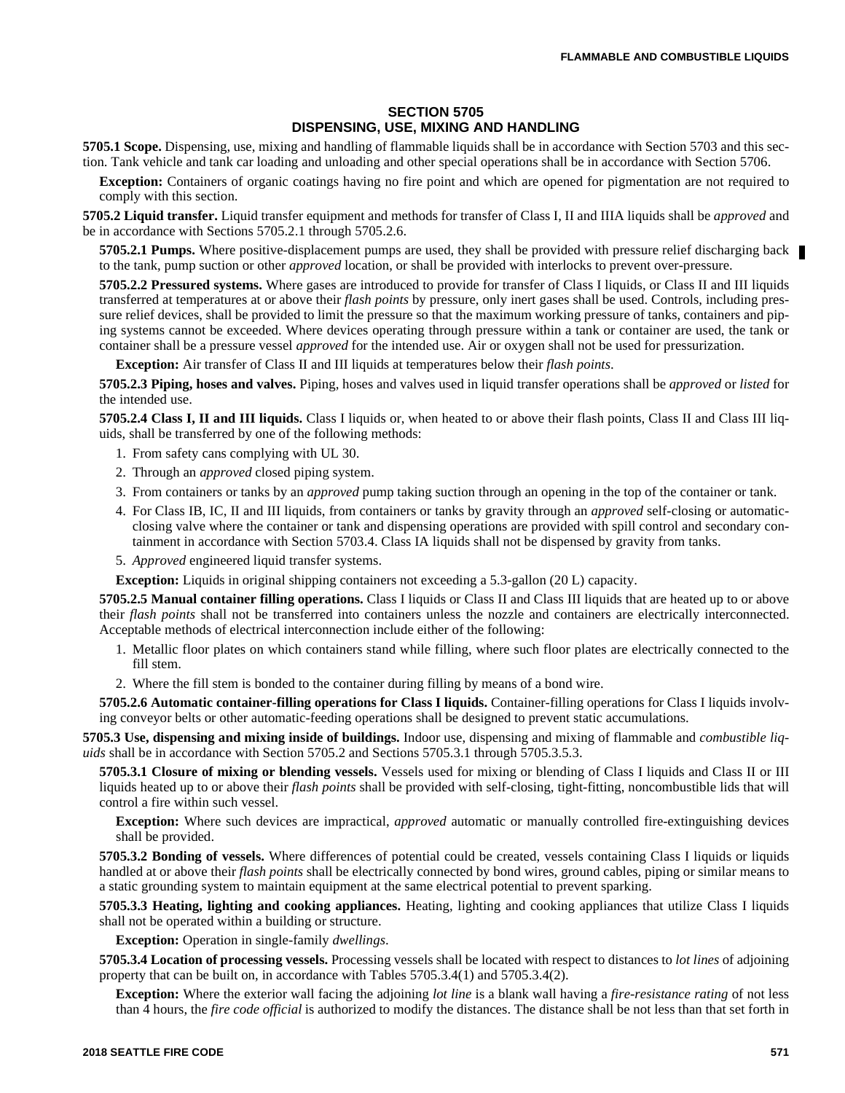### **SECTION 5705 DISPENSING, USE, MIXING AND HANDLING**

**5705.1 Scope.** Dispensing, use, mixing and handling of flammable liquids shall be in accordance with Section 5703 and this section. Tank vehicle and tank car loading and unloading and other special operations shall be in accordance with Section 5706.

**Exception:** Containers of organic coatings having no fire point and which are opened for pigmentation are not required to comply with this section.

**5705.2 Liquid transfer.** Liquid transfer equipment and methods for transfer of Class I, II and IIIA liquids shall be *approved* and be in accordance with Sections 5705.2.1 through 5705.2.6.

**5705.2.1 Pumps.** Where positive-displacement pumps are used, they shall be provided with pressure relief discharging back to the tank, pump suction or other *approved* location, or shall be provided with interlocks to prevent over-pressure.

**5705.2.2 Pressured systems.** Where gases are introduced to provide for transfer of Class I liquids, or Class II and III liquids transferred at temperatures at or above their *flash points* by pressure, only inert gases shall be used. Controls, including pressure relief devices, shall be provided to limit the pressure so that the maximum working pressure of tanks, containers and piping systems cannot be exceeded. Where devices operating through pressure within a tank or container are used, the tank or container shall be a pressure vessel *approved* for the intended use. Air or oxygen shall not be used for pressurization.

**Exception:** Air transfer of Class II and III liquids at temperatures below their *flash points*.

**5705.2.3 Piping, hoses and valves.** Piping, hoses and valves used in liquid transfer operations shall be *approved* or *listed* for the intended use.

**5705.2.4 Class I, II and III liquids.** Class I liquids or, when heated to or above their flash points, Class II and Class III liquids, shall be transferred by one of the following methods:

- 1. From safety cans complying with UL 30.
- 2. Through an *approved* closed piping system.
- 3. From containers or tanks by an *approved* pump taking suction through an opening in the top of the container or tank.
- 4. For Class IB, IC, II and III liquids, from containers or tanks by gravity through an *approved* self-closing or automaticclosing valve where the container or tank and dispensing operations are provided with spill control and secondary containment in accordance with Section 5703.4. Class IA liquids shall not be dispensed by gravity from tanks.
- 5. *Approved* engineered liquid transfer systems.

**Exception:** Liquids in original shipping containers not exceeding a 5.3-gallon (20 L) capacity.

**5705.2.5 Manual container filling operations.** Class I liquids or Class II and Class III liquids that are heated up to or above their *flash points* shall not be transferred into containers unless the nozzle and containers are electrically interconnected. Acceptable methods of electrical interconnection include either of the following:

- 1. Metallic floor plates on which containers stand while filling, where such floor plates are electrically connected to the fill stem.
- 2. Where the fill stem is bonded to the container during filling by means of a bond wire.

**5705.2.6 Automatic container-filling operations for Class I liquids.** Container-filling operations for Class I liquids involving conveyor belts or other automatic-feeding operations shall be designed to prevent static accumulations.

**5705.3 Use, dispensing and mixing inside of buildings.** Indoor use, dispensing and mixing of flammable and *combustible liquids* shall be in accordance with Section 5705.2 and Sections 5705.3.1 through 5705.3.5.3.

**5705.3.1 Closure of mixing or blending vessels.** Vessels used for mixing or blending of Class I liquids and Class II or III liquids heated up to or above their *flash points* shall be provided with self-closing, tight-fitting, noncombustible lids that will control a fire within such vessel.

**Exception:** Where such devices are impractical, *approved* automatic or manually controlled fire-extinguishing devices shall be provided.

**5705.3.2 Bonding of vessels.** Where differences of potential could be created, vessels containing Class I liquids or liquids handled at or above their *flash points* shall be electrically connected by bond wires, ground cables, piping or similar means to a static grounding system to maintain equipment at the same electrical potential to prevent sparking.

**5705.3.3 Heating, lighting and cooking appliances.** Heating, lighting and cooking appliances that utilize Class I liquids shall not be operated within a building or structure.

**Exception:** Operation in single-family *dwellings*.

**5705.3.4 Location of processing vessels.** Processing vessels shall be located with respect to distances to *lot lines* of adjoining property that can be built on, in accordance with Tables 5705.3.4(1) and 5705.3.4(2).

**Exception:** Where the exterior wall facing the adjoining *lot line* is a blank wall having a *fire-resistance rating* of not less than 4 hours, the *fire code official* is authorized to modify the distances. The distance shall be not less than that set forth in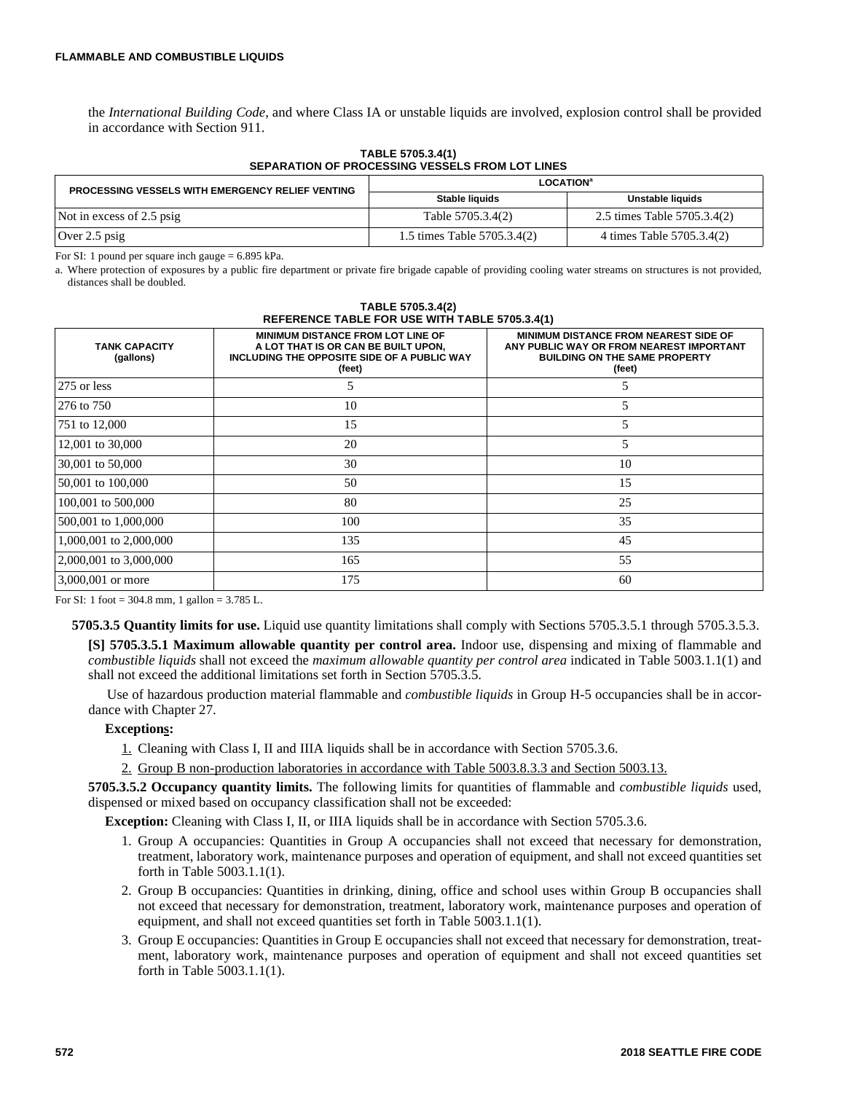the *International Building Code*, and where Class IA or unstable liquids are involved, explosion control shall be provided in accordance with Section 911.

**TABLE 5705.3.4(1) SEPARATION OF PROCESSING VESSELS FROM LOT LINES**

| <b>PROCESSING VESSELS WITH EMERGENCY RELIEF VENTING</b> | LOCATION <sup>a</sup>       |                             |  |  |
|---------------------------------------------------------|-----------------------------|-----------------------------|--|--|
|                                                         | <b>Stable liquids</b>       | Unstable liquids            |  |  |
| Not in excess of 2.5 psig                               | Table 5705.3.4(2)           | 2.5 times Table 5705.3.4(2) |  |  |
| Over $2.5$ psig                                         | 1.5 times Table 5705.3.4(2) | 4 times Table 5705.3.4(2)   |  |  |

For SI: 1 pound per square inch gauge = 6.895 kPa.

a. Where protection of exposures by a public fire department or private fire brigade capable of providing cooling water streams on structures is not provided, distances shall be doubled.

**TABLE 5705.3.4(2)**

| REFERENCE TABLE FOR USE WITH TABLE 5705.3.4(1) |                                                                                                                                          |                                                                                                                                            |  |  |  |
|------------------------------------------------|------------------------------------------------------------------------------------------------------------------------------------------|--------------------------------------------------------------------------------------------------------------------------------------------|--|--|--|
| <b>TANK CAPACITY</b><br>(gallons)              | <b>MINIMUM DISTANCE FROM LOT LINE OF</b><br>A LOT THAT IS OR CAN BE BUILT UPON,<br>INCLUDING THE OPPOSITE SIDE OF A PUBLIC WAY<br>(feet) | <b>MINIMUM DISTANCE FROM NEAREST SIDE OF</b><br>ANY PUBLIC WAY OR FROM NEAREST IMPORTANT<br><b>BUILDING ON THE SAME PROPERTY</b><br>(feet) |  |  |  |
| 275 or less                                    |                                                                                                                                          |                                                                                                                                            |  |  |  |
| 276 to 750                                     | 10                                                                                                                                       | 5                                                                                                                                          |  |  |  |
| 751 to 12,000                                  | 15                                                                                                                                       | 5                                                                                                                                          |  |  |  |
| 12,001 to 30,000                               | 20                                                                                                                                       | 5                                                                                                                                          |  |  |  |
| 30,001 to 50,000                               | 30                                                                                                                                       | 10                                                                                                                                         |  |  |  |
| 50,001 to 100,000                              | 50                                                                                                                                       | 15                                                                                                                                         |  |  |  |
| 100,001 to 500,000                             | 80                                                                                                                                       | 25                                                                                                                                         |  |  |  |
| 500,001 to 1,000,000                           | 100                                                                                                                                      | 35                                                                                                                                         |  |  |  |
| 1,000,001 to 2,000,000                         | 135                                                                                                                                      | 45                                                                                                                                         |  |  |  |
| 2,000,001 to 3,000,000                         | 165                                                                                                                                      | 55                                                                                                                                         |  |  |  |
| 3,000,001 or more                              | 175                                                                                                                                      | 60                                                                                                                                         |  |  |  |

For SI: 1 foot = 304.8 mm, 1 gallon = 3.785 L.

**5705.3.5 Quantity limits for use.** Liquid use quantity limitations shall comply with Sections 5705.3.5.1 through 5705.3.5.3.

**[S] 5705.3.5.1 Maximum allowable quantity per control area.** Indoor use, dispensing and mixing of flammable and *combustible liquids* shall not exceed the *maximum allowable quantity per control area* indicated in Table 5003.1.1(1) and shall not exceed the additional limitations set forth in Section 5705.3.5.

Use of hazardous production material flammable and *combustible liquids* in Group H-5 occupancies shall be in accordance with Chapter 27.

### **Exceptions:**

1. Cleaning with Class I, II and IIIA liquids shall be in accordance with Section 5705.3.6.

2. Group B non-production laboratories in accordance with Table 5003.8.3.3 and Section 5003.13.

**5705.3.5.2 Occupancy quantity limits.** The following limits for quantities of flammable and *combustible liquids* used, dispensed or mixed based on occupancy classification shall not be exceeded:

**Exception:** Cleaning with Class I, II, or IIIA liquids shall be in accordance with Section 5705.3.6.

- 1. Group A occupancies: Quantities in Group A occupancies shall not exceed that necessary for demonstration, treatment, laboratory work, maintenance purposes and operation of equipment, and shall not exceed quantities set forth in Table 5003.1.1(1).
- 2. Group B occupancies: Quantities in drinking, dining, office and school uses within Group B occupancies shall not exceed that necessary for demonstration, treatment, laboratory work, maintenance purposes and operation of equipment, and shall not exceed quantities set forth in Table 5003.1.1(1).
- 3. Group E occupancies: Quantities in Group E occupancies shall not exceed that necessary for demonstration, treatment, laboratory work, maintenance purposes and operation of equipment and shall not exceed quantities set forth in Table 5003.1.1(1).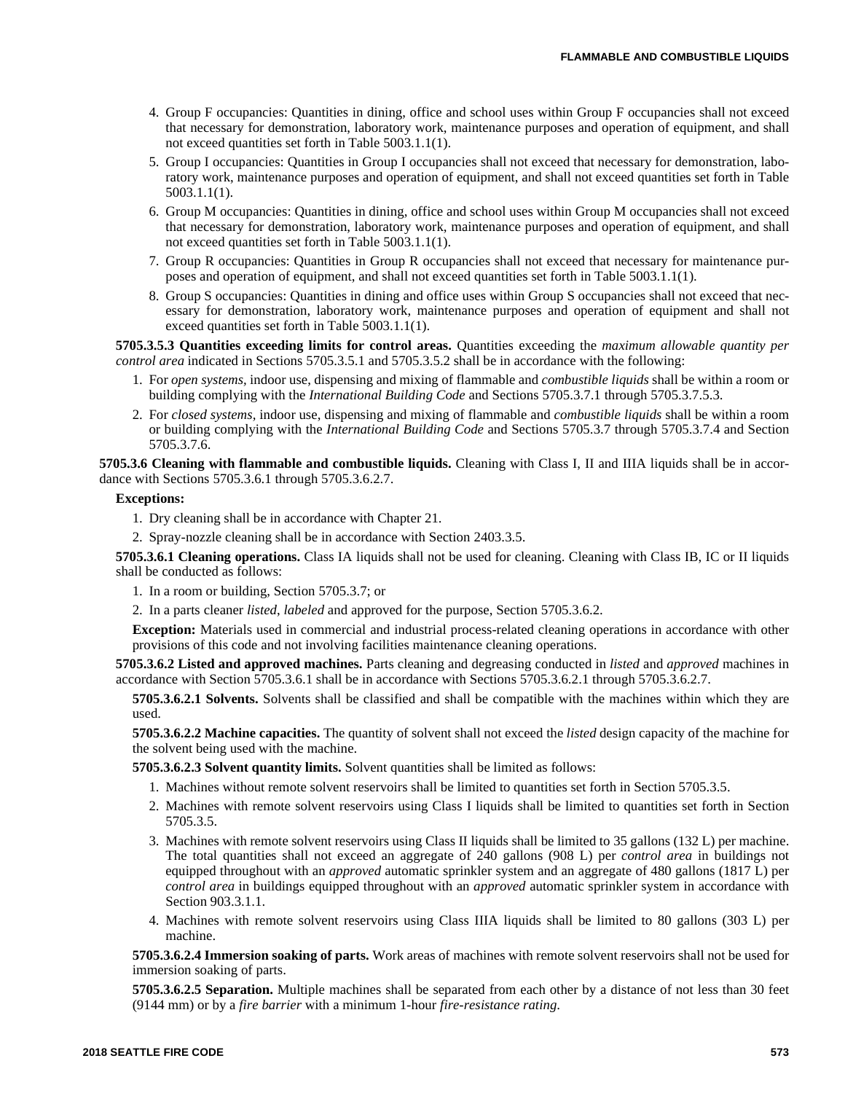- 4. Group F occupancies: Quantities in dining, office and school uses within Group F occupancies shall not exceed that necessary for demonstration, laboratory work, maintenance purposes and operation of equipment, and shall not exceed quantities set forth in Table 5003.1.1(1).
- 5. Group I occupancies: Quantities in Group I occupancies shall not exceed that necessary for demonstration, laboratory work, maintenance purposes and operation of equipment, and shall not exceed quantities set forth in Table 5003.1.1(1).
- 6. Group M occupancies: Quantities in dining, office and school uses within Group M occupancies shall not exceed that necessary for demonstration, laboratory work, maintenance purposes and operation of equipment, and shall not exceed quantities set forth in Table 5003.1.1(1).
- 7. Group R occupancies: Quantities in Group R occupancies shall not exceed that necessary for maintenance purposes and operation of equipment, and shall not exceed quantities set forth in Table 5003.1.1(1).
- 8. Group S occupancies: Quantities in dining and office uses within Group S occupancies shall not exceed that necessary for demonstration, laboratory work, maintenance purposes and operation of equipment and shall not exceed quantities set forth in Table 5003.1.1(1).

**5705.3.5.3 Quantities exceeding limits for control areas.** Quantities exceeding the *maximum allowable quantity per control area* indicated in Sections 5705.3.5.1 and 5705.3.5.2 shall be in accordance with the following:

- 1. For *open systems,* indoor use, dispensing and mixing of flammable and *combustible liquids* shall be within a room or building complying with the *International Building Code* and Sections 5705.3.7.1 through 5705.3.7.5.3.
- 2. For *closed systems,* indoor use, dispensing and mixing of flammable and *combustible liquids* shall be within a room or building complying with the *International Building Code* and Sections 5705.3.7 through 5705.3.7.4 and Section 5705.3.7.6.

**5705.3.6 Cleaning with flammable and combustible liquids.** Cleaning with Class I, II and IIIA liquids shall be in accordance with Sections 5705.3.6.1 through 5705.3.6.2.7.

### **Exceptions:**

- 1. Dry cleaning shall be in accordance with Chapter 21.
- 2. Spray-nozzle cleaning shall be in accordance with Section 2403.3.5.

**5705.3.6.1 Cleaning operations.** Class IA liquids shall not be used for cleaning. Cleaning with Class IB, IC or II liquids shall be conducted as follows:

- 1. In a room or building, Section 5705.3.7; or
- 2. In a parts cleaner *listed*, *labeled* and approved for the purpose, Section 5705.3.6.2.

**Exception:** Materials used in commercial and industrial process-related cleaning operations in accordance with other provisions of this code and not involving facilities maintenance cleaning operations.

**5705.3.6.2 Listed and approved machines.** Parts cleaning and degreasing conducted in *listed* and *approved* machines in accordance with Section 5705.3.6.1 shall be in accordance with Sections 5705.3.6.2.1 through 5705.3.6.2.7.

**5705.3.6.2.1 Solvents.** Solvents shall be classified and shall be compatible with the machines within which they are used.

**5705.3.6.2.2 Machine capacities.** The quantity of solvent shall not exceed the *listed* design capacity of the machine for the solvent being used with the machine.

**5705.3.6.2.3 Solvent quantity limits.** Solvent quantities shall be limited as follows:

- 1. Machines without remote solvent reservoirs shall be limited to quantities set forth in Section 5705.3.5.
- 2. Machines with remote solvent reservoirs using Class I liquids shall be limited to quantities set forth in Section 5705.3.5.
- 3. Machines with remote solvent reservoirs using Class II liquids shall be limited to 35 gallons (132 L) per machine. The total quantities shall not exceed an aggregate of 240 gallons (908 L) per *control area* in buildings not equipped throughout with an *approved* automatic sprinkler system and an aggregate of 480 gallons (1817 L) per *control area* in buildings equipped throughout with an *approved* automatic sprinkler system in accordance with Section 903.3.1.1.
- 4. Machines with remote solvent reservoirs using Class IIIA liquids shall be limited to 80 gallons (303 L) per machine.

**5705.3.6.2.4 Immersion soaking of parts.** Work areas of machines with remote solvent reservoirs shall not be used for immersion soaking of parts.

**5705.3.6.2.5 Separation.** Multiple machines shall be separated from each other by a distance of not less than 30 feet (9144 mm) or by a *fire barrier* with a minimum 1-hour *fire-resistance rating*.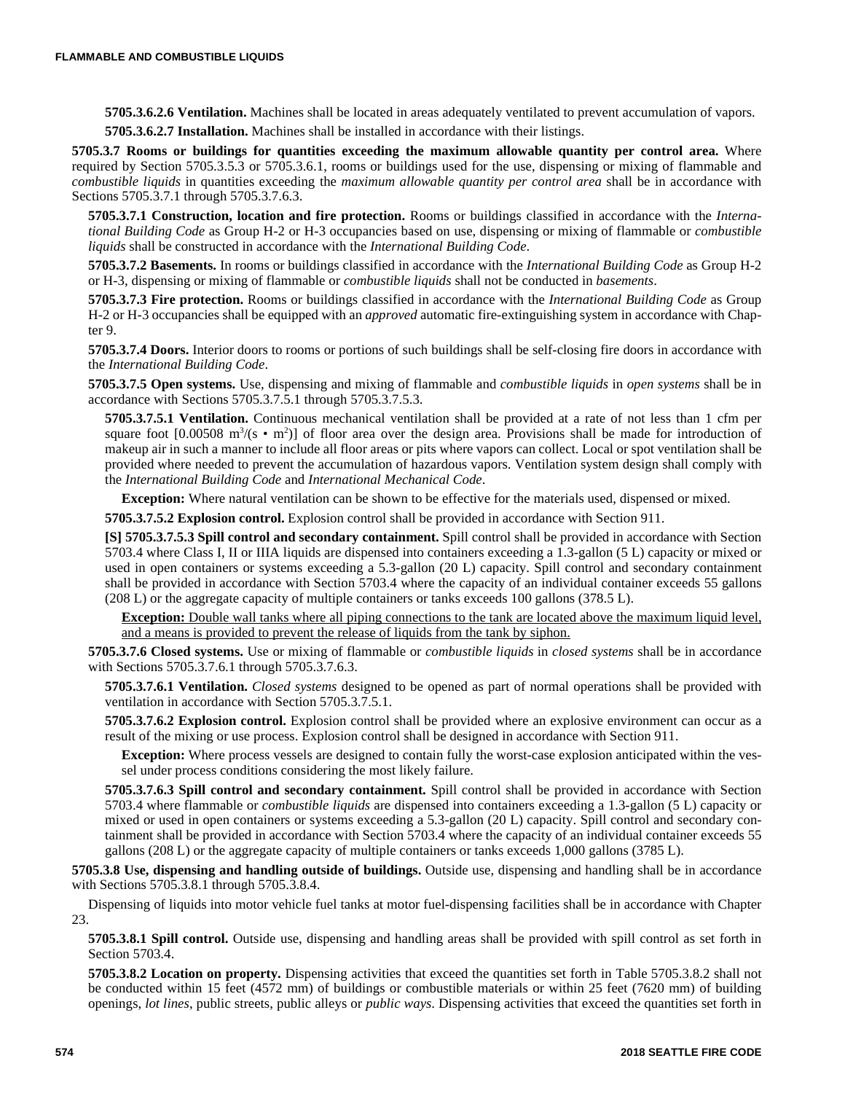**5705.3.6.2.6 Ventilation.** Machines shall be located in areas adequately ventilated to prevent accumulation of vapors.

**5705.3.6.2.7 Installation.** Machines shall be installed in accordance with their listings.

**5705.3.7 Rooms or buildings for quantities exceeding the maximum allowable quantity per control area.** Where required by Section 5705.3.5.3 or 5705.3.6.1, rooms or buildings used for the use, dispensing or mixing of flammable and *combustible liquids* in quantities exceeding the *maximum allowable quantity per control area* shall be in accordance with Sections 5705.3.7.1 through 5705.3.7.6.3.

**5705.3.7.1 Construction, location and fire protection.** Rooms or buildings classified in accordance with the *International Building Code* as Group H-2 or H-3 occupancies based on use, dispensing or mixing of flammable or *combustible liquids* shall be constructed in accordance with the *International Building Code*.

**5705.3.7.2 Basements.** In rooms or buildings classified in accordance with the *International Building Code* as Group H-2 or H-3, dispensing or mixing of flammable or *combustible liquids* shall not be conducted in *basements*.

**5705.3.7.3 Fire protection.** Rooms or buildings classified in accordance with the *International Building Code* as Group H-2 or H-3 occupancies shall be equipped with an *approved* automatic fire-extinguishing system in accordance with Chapter 9.

**5705.3.7.4 Doors.** Interior doors to rooms or portions of such buildings shall be self-closing fire doors in accordance with the *International Building Code*.

**5705.3.7.5 Open systems.** Use, dispensing and mixing of flammable and *combustible liquids* in *open systems* shall be in accordance with Sections 5705.3.7.5.1 through 5705.3.7.5.3.

**5705.3.7.5.1 Ventilation.** Continuous mechanical ventilation shall be provided at a rate of not less than 1 cfm per square foot  $[0.00508 \text{ m}^3/(s \cdot \text{m}^2)]$  of floor area over the design area. Provisions shall be made for introduction of makeup air in such a manner to include all floor areas or pits where vapors can collect. Local or spot ventilation shall be provided where needed to prevent the accumulation of hazardous vapors. Ventilation system design shall comply with the *International Building Code* and *International Mechanical Code*.

**Exception:** Where natural ventilation can be shown to be effective for the materials used, dispensed or mixed.

**5705.3.7.5.2 Explosion control.** Explosion control shall be provided in accordance with Section 911.

**[S] 5705.3.7.5.3 Spill control and secondary containment.** Spill control shall be provided in accordance with Section 5703.4 where Class I, II or IIIA liquids are dispensed into containers exceeding a 1.3-gallon (5 L) capacity or mixed or used in open containers or systems exceeding a 5.3-gallon (20 L) capacity. Spill control and secondary containment shall be provided in accordance with Section 5703.4 where the capacity of an individual container exceeds 55 gallons (208 L) or the aggregate capacity of multiple containers or tanks exceeds 100 gallons (378.5 L).

**Exception:** Double wall tanks where all piping connections to the tank are located above the maximum liquid level, and a means is provided to prevent the release of liquids from the tank by siphon.

**5705.3.7.6 Closed systems.** Use or mixing of flammable or *combustible liquids* in *closed systems* shall be in accordance with Sections 5705.3.7.6.1 through 5705.3.7.6.3.

**5705.3.7.6.1 Ventilation.** *Closed systems* designed to be opened as part of normal operations shall be provided with ventilation in accordance with Section 5705.3.7.5.1.

**5705.3.7.6.2 Explosion control.** Explosion control shall be provided where an explosive environment can occur as a result of the mixing or use process. Explosion control shall be designed in accordance with Section 911.

**Exception:** Where process vessels are designed to contain fully the worst-case explosion anticipated within the vessel under process conditions considering the most likely failure.

**5705.3.7.6.3 Spill control and secondary containment.** Spill control shall be provided in accordance with Section 5703.4 where flammable or *combustible liquids* are dispensed into containers exceeding a 1.3-gallon (5 L) capacity or mixed or used in open containers or systems exceeding a 5.3-gallon (20 L) capacity. Spill control and secondary containment shall be provided in accordance with Section 5703.4 where the capacity of an individual container exceeds 55 gallons (208 L) or the aggregate capacity of multiple containers or tanks exceeds 1,000 gallons (3785 L).

**5705.3.8 Use, dispensing and handling outside of buildings.** Outside use, dispensing and handling shall be in accordance with Sections 5705.3.8.1 through 5705.3.8.4.

Dispensing of liquids into motor vehicle fuel tanks at motor fuel-dispensing facilities shall be in accordance with Chapter 23.

**5705.3.8.1 Spill control.** Outside use, dispensing and handling areas shall be provided with spill control as set forth in Section 5703.4.

**5705.3.8.2 Location on property.** Dispensing activities that exceed the quantities set forth in Table 5705.3.8.2 shall not be conducted within 15 feet (4572 mm) of buildings or combustible materials or within 25 feet (7620 mm) of building openings, *lot lines*, public streets, public alleys or *public ways*. Dispensing activities that exceed the quantities set forth in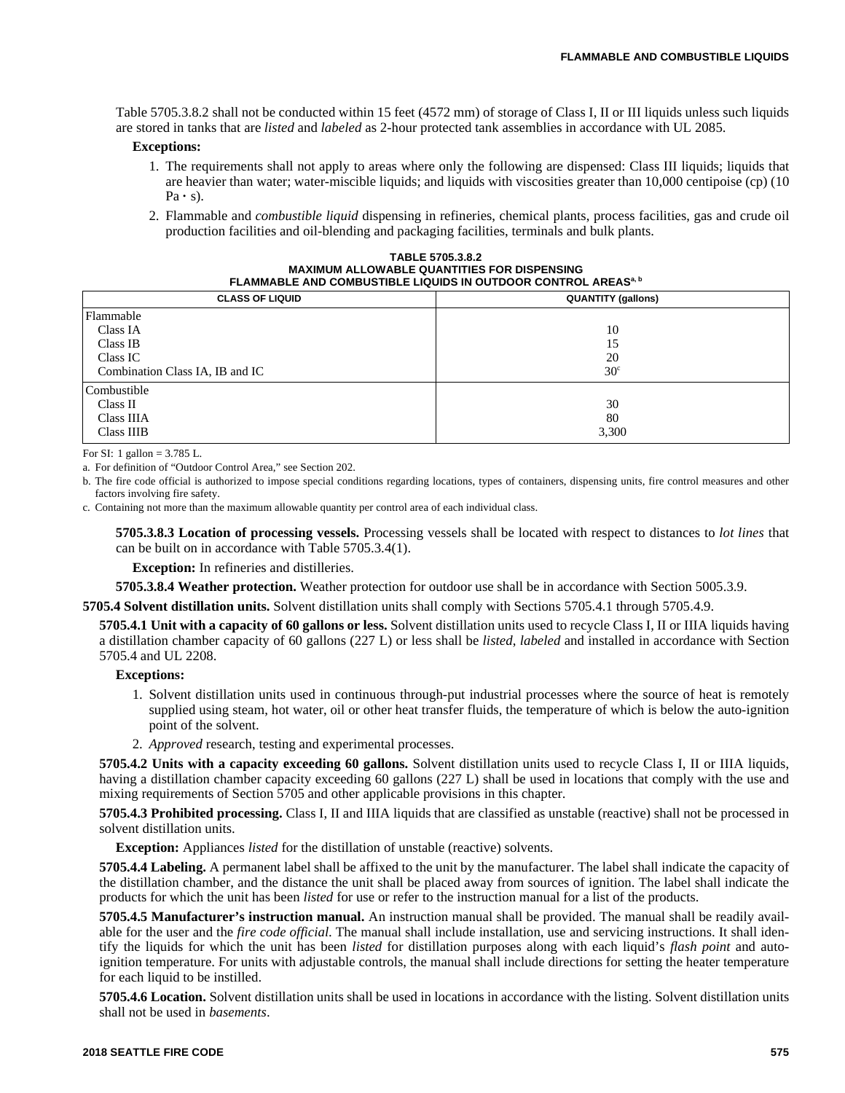Table 5705.3.8.2 shall not be conducted within 15 feet (4572 mm) of storage of Class I, II or III liquids unless such liquids are stored in tanks that are *listed* and *labeled* as 2-hour protected tank assemblies in accordance with UL 2085.

#### **Exceptions:**

- 1. The requirements shall not apply to areas where only the following are dispensed: Class III liquids; liquids that are heavier than water; water-miscible liquids; and liquids with viscosities greater than 10,000 centipoise (cp) (10  $Pa \cdot s$ ).
- 2. Flammable and *combustible liquid* dispensing in refineries, chemical plants, process facilities, gas and crude oil production facilities and oil-blending and packaging facilities, terminals and bulk plants.

**TABLE 5705.3.8.2 MAXIMUM ALLOWABLE QUANTITIES FOR DISPENSING FLAMMABLE AND COMBUSTIBLE LIQUIDS IN OUTDOOR CONTROL AREASa, b**

| <b>CLASS OF LIQUID</b>          | <b>QUANTITY (gallons)</b> |
|---------------------------------|---------------------------|
| Flammable                       |                           |
| Class IA                        | 10                        |
| Class IB                        | 15                        |
| Class IC                        | 20                        |
| Combination Class IA, IB and IC | 30 <sup>c</sup>           |
| Combustible                     |                           |
| Class II                        | 30                        |
| Class IIIA                      | 80                        |
| Class IIIB                      | 3,300                     |

For SI: 1 gallon = 3.785 L.

a. For definition of "Outdoor Control Area," see Section 202.

b. The fire code official is authorized to impose special conditions regarding locations, types of containers, dispensing units, fire control measures and other factors involving fire safety.

c. Containing not more than the maximum allowable quantity per control area of each individual class.

**5705.3.8.3 Location of processing vessels.** Processing vessels shall be located with respect to distances to *lot lines* that can be built on in accordance with Table 5705.3.4(1).

**Exception:** In refineries and distilleries.

**5705.3.8.4 Weather protection.** Weather protection for outdoor use shall be in accordance with Section 5005.3.9.

**5705.4 Solvent distillation units.** Solvent distillation units shall comply with Sections 5705.4.1 through 5705.4.9.

**5705.4.1 Unit with a capacity of 60 gallons or less.** Solvent distillation units used to recycle Class I, II or IIIA liquids having a distillation chamber capacity of 60 gallons (227 L) or less shall be *listed*, *labeled* and installed in accordance with Section 5705.4 and UL 2208.

#### **Exceptions:**

- 1. Solvent distillation units used in continuous through-put industrial processes where the source of heat is remotely supplied using steam, hot water, oil or other heat transfer fluids, the temperature of which is below the auto-ignition point of the solvent.
- 2. *Approved* research, testing and experimental processes.

**5705.4.2 Units with a capacity exceeding 60 gallons.** Solvent distillation units used to recycle Class I, II or IIIA liquids, having a distillation chamber capacity exceeding 60 gallons (227 L) shall be used in locations that comply with the use and mixing requirements of Section 5705 and other applicable provisions in this chapter.

**5705.4.3 Prohibited processing.** Class I, II and IIIA liquids that are classified as unstable (reactive) shall not be processed in solvent distillation units.

**Exception:** Appliances *listed* for the distillation of unstable (reactive) solvents.

**5705.4.4 Labeling.** A permanent label shall be affixed to the unit by the manufacturer. The label shall indicate the capacity of the distillation chamber, and the distance the unit shall be placed away from sources of ignition. The label shall indicate the products for which the unit has been *listed* for use or refer to the instruction manual for a list of the products.

**5705.4.5 Manufacturer's instruction manual.** An instruction manual shall be provided. The manual shall be readily available for the user and the *fire code official*. The manual shall include installation, use and servicing instructions. It shall identify the liquids for which the unit has been *listed* for distillation purposes along with each liquid's *flash point* and autoignition temperature. For units with adjustable controls, the manual shall include directions for setting the heater temperature for each liquid to be instilled.

**5705.4.6 Location.** Solvent distillation units shall be used in locations in accordance with the listing. Solvent distillation units shall not be used in *basements*.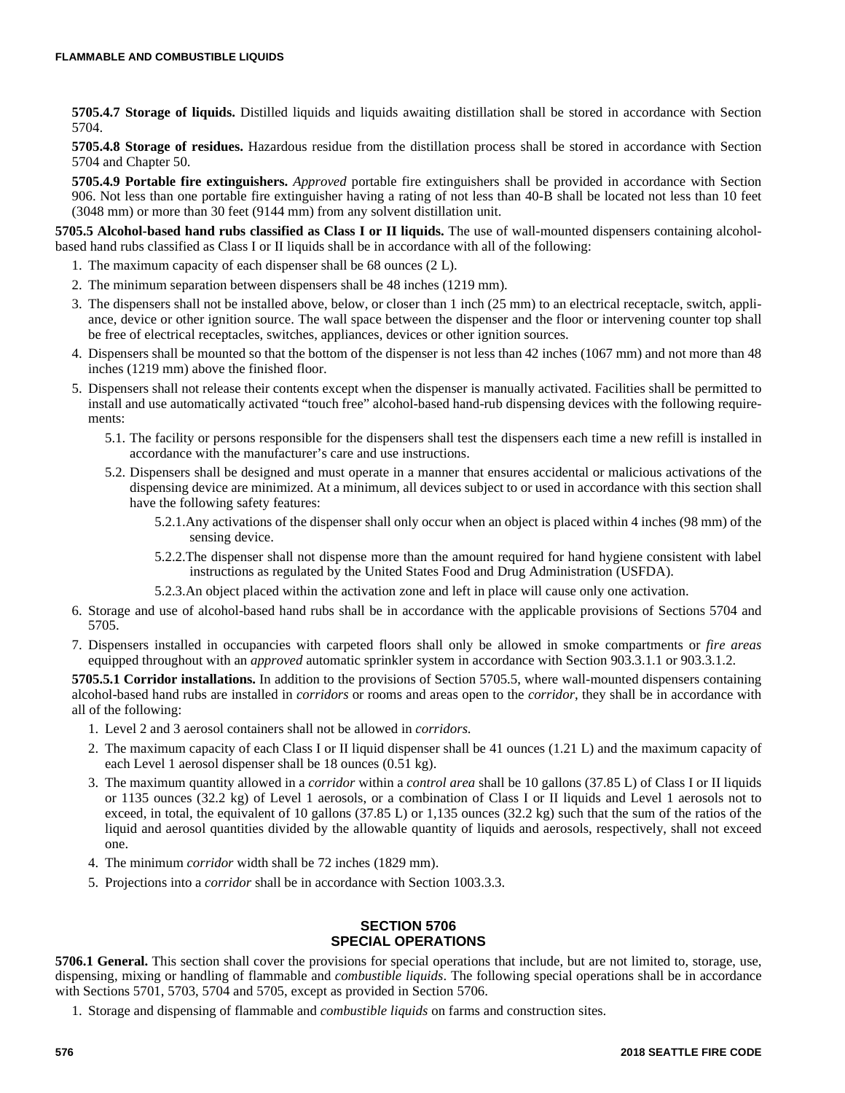**5705.4.7 Storage of liquids.** Distilled liquids and liquids awaiting distillation shall be stored in accordance with Section 5704.

**5705.4.8 Storage of residues.** Hazardous residue from the distillation process shall be stored in accordance with Section 5704 and Chapter 50.

**5705.4.9 Portable fire extinguishers.** *Approved* portable fire extinguishers shall be provided in accordance with Section 906. Not less than one portable fire extinguisher having a rating of not less than 40-B shall be located not less than 10 feet (3048 mm) or more than 30 feet (9144 mm) from any solvent distillation unit.

**5705.5 Alcohol-based hand rubs classified as Class I or II liquids.** The use of wall-mounted dispensers containing alcoholbased hand rubs classified as Class I or II liquids shall be in accordance with all of the following:

- 1. The maximum capacity of each dispenser shall be 68 ounces (2 L).
- 2. The minimum separation between dispensers shall be 48 inches (1219 mm).
- 3. The dispensers shall not be installed above, below, or closer than 1 inch (25 mm) to an electrical receptacle, switch, appliance, device or other ignition source. The wall space between the dispenser and the floor or intervening counter top shall be free of electrical receptacles, switches, appliances, devices or other ignition sources.
- 4. Dispensers shall be mounted so that the bottom of the dispenser is not less than 42 inches (1067 mm) and not more than 48 inches (1219 mm) above the finished floor.
- 5. Dispensers shall not release their contents except when the dispenser is manually activated. Facilities shall be permitted to install and use automatically activated "touch free" alcohol-based hand-rub dispensing devices with the following requirements:
	- 5.1. The facility or persons responsible for the dispensers shall test the dispensers each time a new refill is installed in accordance with the manufacturer's care and use instructions.
	- 5.2. Dispensers shall be designed and must operate in a manner that ensures accidental or malicious activations of the dispensing device are minimized. At a minimum, all devices subject to or used in accordance with this section shall have the following safety features:
		- 5.2.1.Any activations of the dispenser shall only occur when an object is placed within 4 inches (98 mm) of the sensing device.
		- 5.2.2.The dispenser shall not dispense more than the amount required for hand hygiene consistent with label instructions as regulated by the United States Food and Drug Administration (USFDA).
		- 5.2.3.An object placed within the activation zone and left in place will cause only one activation.
- 6. Storage and use of alcohol-based hand rubs shall be in accordance with the applicable provisions of Sections 5704 and 5705.
- 7. Dispensers installed in occupancies with carpeted floors shall only be allowed in smoke compartments or *fire areas* equipped throughout with an *approved* automatic sprinkler system in accordance with Section 903.3.1.1 or 903.3.1.2.

**5705.5.1 Corridor installations.** In addition to the provisions of Section 5705.5, where wall-mounted dispensers containing alcohol-based hand rubs are installed in *corridors* or rooms and areas open to the *corridor*, they shall be in accordance with all of the following:

- 1. Level 2 and 3 aerosol containers shall not be allowed in *corridors*.
- 2. The maximum capacity of each Class I or II liquid dispenser shall be 41 ounces (1.21 L) and the maximum capacity of each Level 1 aerosol dispenser shall be 18 ounces (0.51 kg).
- 3. The maximum quantity allowed in a *corridor* within a *control area* shall be 10 gallons (37.85 L) of Class I or II liquids or 1135 ounces (32.2 kg) of Level 1 aerosols, or a combination of Class I or II liquids and Level 1 aerosols not to exceed, in total, the equivalent of 10 gallons (37.85 L) or 1,135 ounces (32.2 kg) such that the sum of the ratios of the liquid and aerosol quantities divided by the allowable quantity of liquids and aerosols, respectively, shall not exceed one.
- 4. The minimum *corridor* width shall be 72 inches (1829 mm).
- 5. Projections into a *corridor* shall be in accordance with Section 1003.3.3.

### **SECTION 5706 SPECIAL OPERATIONS**

**5706.1 General.** This section shall cover the provisions for special operations that include, but are not limited to, storage, use, dispensing, mixing or handling of flammable and *combustible liquids*. The following special operations shall be in accordance with Sections 5701, 5703, 5704 and 5705, except as provided in Section 5706.

1. Storage and dispensing of flammable and *combustible liquids* on farms and construction sites.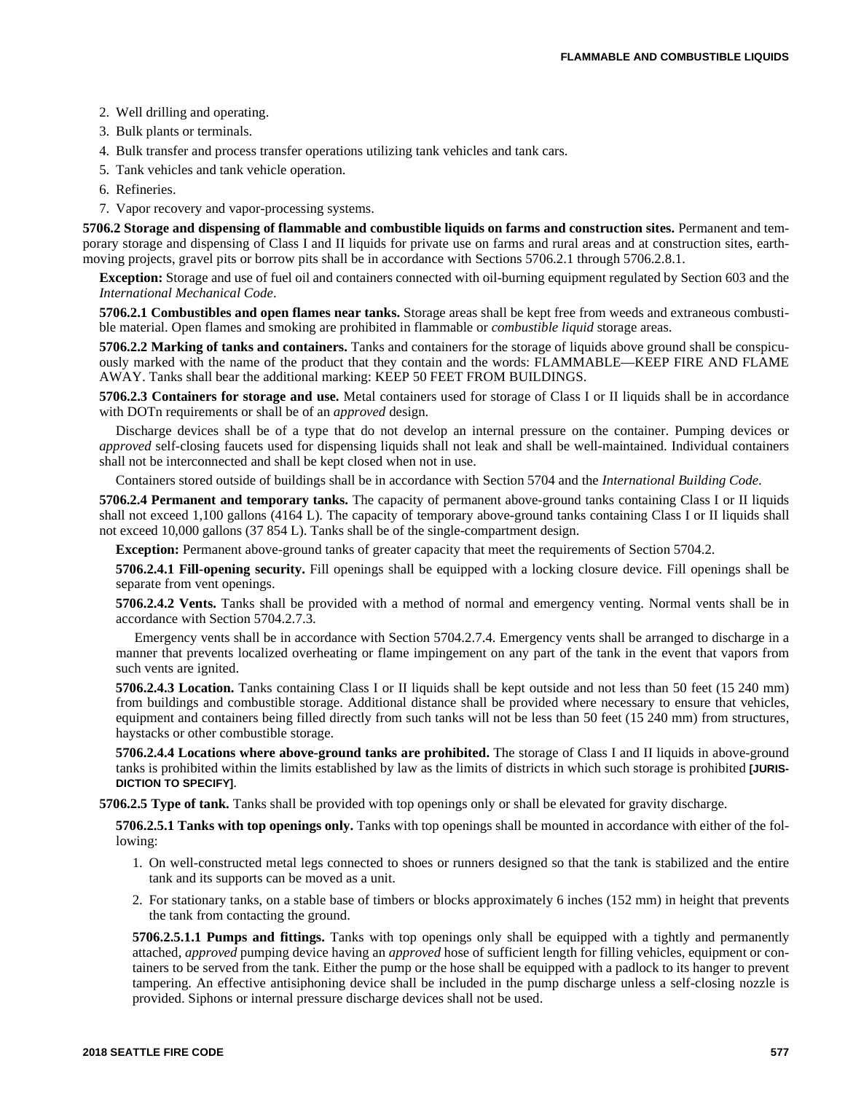- 2. Well drilling and operating.
- 3. Bulk plants or terminals.
- 4. Bulk transfer and process transfer operations utilizing tank vehicles and tank cars.
- 5. Tank vehicles and tank vehicle operation.
- 6. Refineries.
- 7. Vapor recovery and vapor-processing systems.

**5706.2 Storage and dispensing of flammable and combustible liquids on farms and construction sites.** Permanent and temporary storage and dispensing of Class I and II liquids for private use on farms and rural areas and at construction sites, earthmoving projects, gravel pits or borrow pits shall be in accordance with Sections 5706.2.1 through 5706.2.8.1.

**Exception:** Storage and use of fuel oil and containers connected with oil-burning equipment regulated by Section 603 and the *International Mechanical Code*.

**5706.2.1 Combustibles and open flames near tanks.** Storage areas shall be kept free from weeds and extraneous combustible material. Open flames and smoking are prohibited in flammable or *combustible liquid* storage areas.

**5706.2.2 Marking of tanks and containers.** Tanks and containers for the storage of liquids above ground shall be conspicuously marked with the name of the product that they contain and the words: FLAMMABLE—KEEP FIRE AND FLAME AWAY. Tanks shall bear the additional marking: KEEP 50 FEET FROM BUILDINGS.

**5706.2.3 Containers for storage and use.** Metal containers used for storage of Class I or II liquids shall be in accordance with DOTn requirements or shall be of an *approved* design.

Discharge devices shall be of a type that do not develop an internal pressure on the container. Pumping devices or *approved* self-closing faucets used for dispensing liquids shall not leak and shall be well-maintained. Individual containers shall not be interconnected and shall be kept closed when not in use.

Containers stored outside of buildings shall be in accordance with Section 5704 and the *International Building Code*.

**5706.2.4 Permanent and temporary tanks.** The capacity of permanent above-ground tanks containing Class I or II liquids shall not exceed 1,100 gallons (4164 L). The capacity of temporary above-ground tanks containing Class I or II liquids shall not exceed 10,000 gallons (37 854 L). Tanks shall be of the single-compartment design.

**Exception:** Permanent above-ground tanks of greater capacity that meet the requirements of Section 5704.2.

**5706.2.4.1 Fill-opening security.** Fill openings shall be equipped with a locking closure device. Fill openings shall be separate from vent openings.

**5706.2.4.2 Vents.** Tanks shall be provided with a method of normal and emergency venting. Normal vents shall be in accordance with Section 5704.2.7.3.

Emergency vents shall be in accordance with Section 5704.2.7.4. Emergency vents shall be arranged to discharge in a manner that prevents localized overheating or flame impingement on any part of the tank in the event that vapors from such vents are ignited.

**5706.2.4.3 Location.** Tanks containing Class I or II liquids shall be kept outside and not less than 50 feet (15 240 mm) from buildings and combustible storage. Additional distance shall be provided where necessary to ensure that vehicles, equipment and containers being filled directly from such tanks will not be less than 50 feet (15 240 mm) from structures, haystacks or other combustible storage.

**5706.2.4.4 Locations where above-ground tanks are prohibited.** The storage of Class I and II liquids in above-ground tanks is prohibited within the limits established by law as the limits of districts in which such storage is prohibited **[JURIS-DICTION TO SPECIFY]**.

**5706.2.5 Type of tank.** Tanks shall be provided with top openings only or shall be elevated for gravity discharge.

**5706.2.5.1 Tanks with top openings only.** Tanks with top openings shall be mounted in accordance with either of the following:

- 1. On well-constructed metal legs connected to shoes or runners designed so that the tank is stabilized and the entire tank and its supports can be moved as a unit.
- 2. For stationary tanks, on a stable base of timbers or blocks approximately 6 inches (152 mm) in height that prevents the tank from contacting the ground.

**5706.2.5.1.1 Pumps and fittings.** Tanks with top openings only shall be equipped with a tightly and permanently attached, *approved* pumping device having an *approved* hose of sufficient length for filling vehicles, equipment or containers to be served from the tank. Either the pump or the hose shall be equipped with a padlock to its hanger to prevent tampering. An effective antisiphoning device shall be included in the pump discharge unless a self-closing nozzle is provided. Siphons or internal pressure discharge devices shall not be used.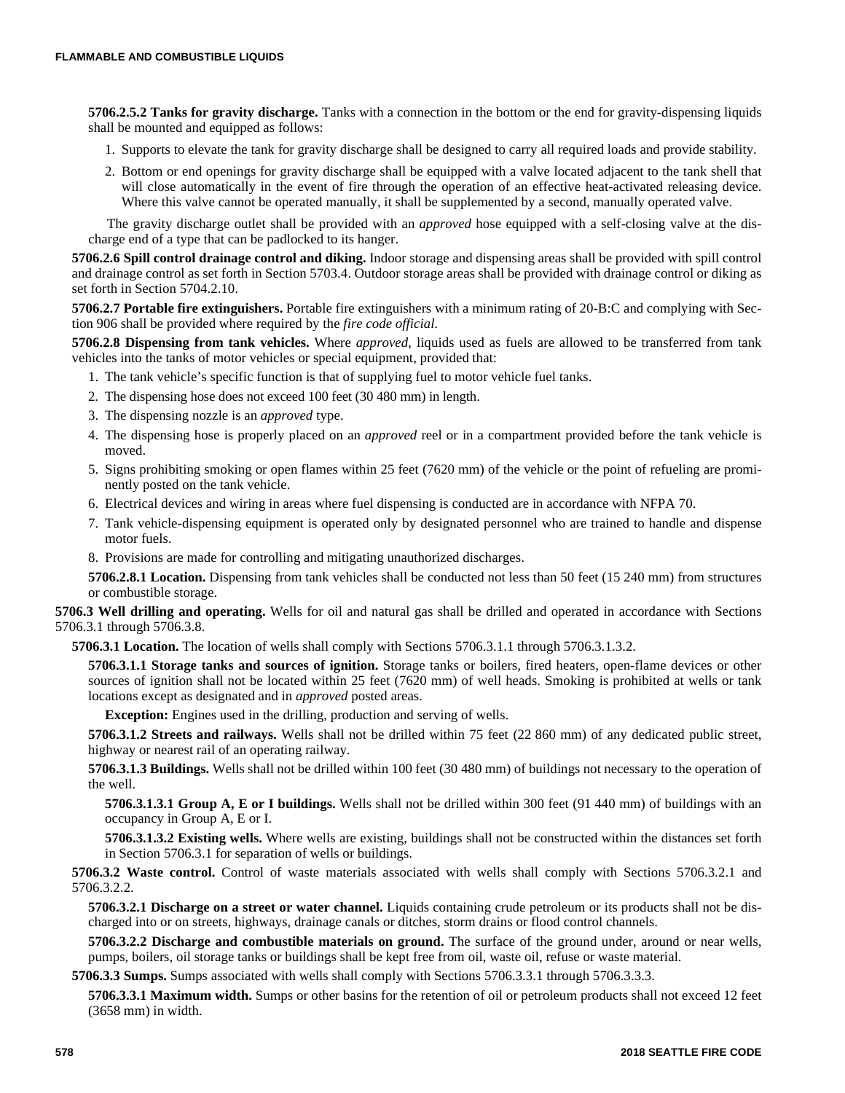**5706.2.5.2 Tanks for gravity discharge.** Tanks with a connection in the bottom or the end for gravity-dispensing liquids shall be mounted and equipped as follows:

- 1. Supports to elevate the tank for gravity discharge shall be designed to carry all required loads and provide stability.
- 2. Bottom or end openings for gravity discharge shall be equipped with a valve located adjacent to the tank shell that will close automatically in the event of fire through the operation of an effective heat-activated releasing device. Where this valve cannot be operated manually, it shall be supplemented by a second, manually operated valve.

The gravity discharge outlet shall be provided with an *approved* hose equipped with a self-closing valve at the discharge end of a type that can be padlocked to its hanger.

**5706.2.6 Spill control drainage control and diking.** Indoor storage and dispensing areas shall be provided with spill control and drainage control as set forth in Section 5703.4. Outdoor storage areas shall be provided with drainage control or diking as set forth in Section 5704.2.10.

**5706.2.7 Portable fire extinguishers.** Portable fire extinguishers with a minimum rating of 20-B:C and complying with Section 906 shall be provided where required by the *fire code official*.

**5706.2.8 Dispensing from tank vehicles.** Where *approved*, liquids used as fuels are allowed to be transferred from tank vehicles into the tanks of motor vehicles or special equipment, provided that:

- 1. The tank vehicle's specific function is that of supplying fuel to motor vehicle fuel tanks.
- 2. The dispensing hose does not exceed 100 feet (30 480 mm) in length.
- 3. The dispensing nozzle is an *approved* type.
- 4. The dispensing hose is properly placed on an *approved* reel or in a compartment provided before the tank vehicle is moved.
- 5. Signs prohibiting smoking or open flames within 25 feet (7620 mm) of the vehicle or the point of refueling are prominently posted on the tank vehicle.
- 6. Electrical devices and wiring in areas where fuel dispensing is conducted are in accordance with NFPA 70.
- 7. Tank vehicle-dispensing equipment is operated only by designated personnel who are trained to handle and dispense motor fuels.
- 8. Provisions are made for controlling and mitigating unauthorized discharges.

**5706.2.8.1 Location.** Dispensing from tank vehicles shall be conducted not less than 50 feet (15 240 mm) from structures or combustible storage.

**5706.3 Well drilling and operating.** Wells for oil and natural gas shall be drilled and operated in accordance with Sections 5706.3.1 through 5706.3.8.

**5706.3.1 Location.** The location of wells shall comply with Sections 5706.3.1.1 through 5706.3.1.3.2.

**5706.3.1.1 Storage tanks and sources of ignition.** Storage tanks or boilers, fired heaters, open-flame devices or other sources of ignition shall not be located within 25 feet (7620 mm) of well heads. Smoking is prohibited at wells or tank locations except as designated and in *approved* posted areas.

**Exception:** Engines used in the drilling, production and serving of wells.

**5706.3.1.2 Streets and railways.** Wells shall not be drilled within 75 feet (22 860 mm) of any dedicated public street, highway or nearest rail of an operating railway.

**5706.3.1.3 Buildings.** Wells shall not be drilled within 100 feet (30 480 mm) of buildings not necessary to the operation of the well.

**5706.3.1.3.1 Group A, E or I buildings.** Wells shall not be drilled within 300 feet (91 440 mm) of buildings with an occupancy in Group A, E or I.

**5706.3.1.3.2 Existing wells.** Where wells are existing, buildings shall not be constructed within the distances set forth in Section 5706.3.1 for separation of wells or buildings.

**5706.3.2 Waste control.** Control of waste materials associated with wells shall comply with Sections 5706.3.2.1 and 5706.3.2.2.

**5706.3.2.1 Discharge on a street or water channel.** Liquids containing crude petroleum or its products shall not be discharged into or on streets, highways, drainage canals or ditches, storm drains or flood control channels.

**5706.3.2.2 Discharge and combustible materials on ground.** The surface of the ground under, around or near wells, pumps, boilers, oil storage tanks or buildings shall be kept free from oil, waste oil, refuse or waste material.

**5706.3.3 Sumps.** Sumps associated with wells shall comply with Sections 5706.3.3.1 through 5706.3.3.3.

**5706.3.3.1 Maximum width.** Sumps or other basins for the retention of oil or petroleum products shall not exceed 12 feet (3658 mm) in width.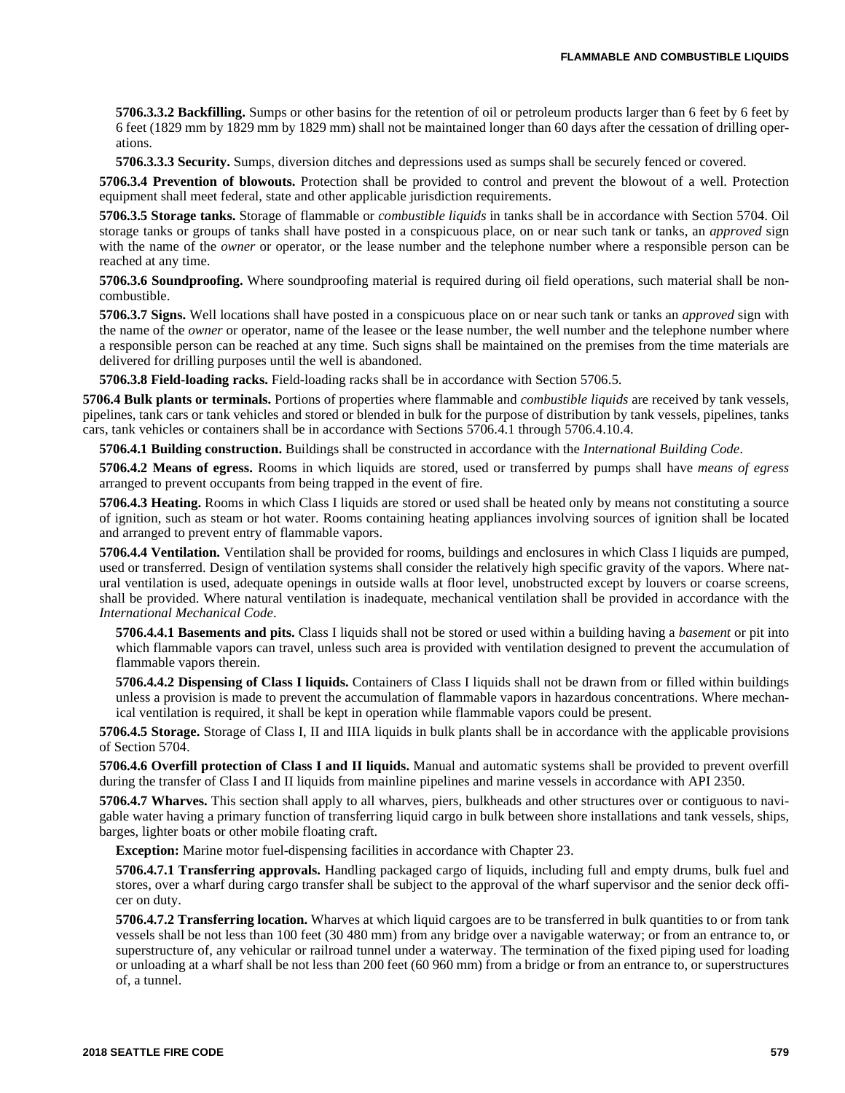**5706.3.3.2 Backfilling.** Sumps or other basins for the retention of oil or petroleum products larger than 6 feet by 6 feet by 6 feet (1829 mm by 1829 mm by 1829 mm) shall not be maintained longer than 60 days after the cessation of drilling operations.

**5706.3.3.3 Security.** Sumps, diversion ditches and depressions used as sumps shall be securely fenced or covered.

**5706.3.4 Prevention of blowouts.** Protection shall be provided to control and prevent the blowout of a well. Protection equipment shall meet federal, state and other applicable jurisdiction requirements.

**5706.3.5 Storage tanks.** Storage of flammable or *combustible liquids* in tanks shall be in accordance with Section 5704. Oil storage tanks or groups of tanks shall have posted in a conspicuous place, on or near such tank or tanks, an *approved* sign with the name of the *owner* or operator, or the lease number and the telephone number where a responsible person can be reached at any time.

**5706.3.6 Soundproofing.** Where soundproofing material is required during oil field operations, such material shall be noncombustible.

**5706.3.7 Signs.** Well locations shall have posted in a conspicuous place on or near such tank or tanks an *approved* sign with the name of the *owner* or operator, name of the leasee or the lease number, the well number and the telephone number where a responsible person can be reached at any time. Such signs shall be maintained on the premises from the time materials are delivered for drilling purposes until the well is abandoned.

**5706.3.8 Field-loading racks.** Field-loading racks shall be in accordance with Section 5706.5.

**5706.4 Bulk plants or terminals.** Portions of properties where flammable and *combustible liquids* are received by tank vessels, pipelines, tank cars or tank vehicles and stored or blended in bulk for the purpose of distribution by tank vessels, pipelines, tanks cars, tank vehicles or containers shall be in accordance with Sections 5706.4.1 through 5706.4.10.4.

**5706.4.1 Building construction.** Buildings shall be constructed in accordance with the *International Building Code*.

**5706.4.2 Means of egress.** Rooms in which liquids are stored, used or transferred by pumps shall have *means of egress* arranged to prevent occupants from being trapped in the event of fire.

**5706.4.3 Heating.** Rooms in which Class I liquids are stored or used shall be heated only by means not constituting a source of ignition, such as steam or hot water. Rooms containing heating appliances involving sources of ignition shall be located and arranged to prevent entry of flammable vapors.

**5706.4.4 Ventilation.** Ventilation shall be provided for rooms, buildings and enclosures in which Class I liquids are pumped, used or transferred. Design of ventilation systems shall consider the relatively high specific gravity of the vapors. Where natural ventilation is used, adequate openings in outside walls at floor level, unobstructed except by louvers or coarse screens, shall be provided. Where natural ventilation is inadequate, mechanical ventilation shall be provided in accordance with the *International Mechanical Code*.

**5706.4.4.1 Basements and pits.** Class I liquids shall not be stored or used within a building having a *basement* or pit into which flammable vapors can travel, unless such area is provided with ventilation designed to prevent the accumulation of flammable vapors therein.

**5706.4.4.2 Dispensing of Class I liquids.** Containers of Class I liquids shall not be drawn from or filled within buildings unless a provision is made to prevent the accumulation of flammable vapors in hazardous concentrations. Where mechanical ventilation is required, it shall be kept in operation while flammable vapors could be present.

**5706.4.5 Storage.** Storage of Class I, II and IIIA liquids in bulk plants shall be in accordance with the applicable provisions of Section 5704.

**5706.4.6 Overfill protection of Class I and II liquids.** Manual and automatic systems shall be provided to prevent overfill during the transfer of Class I and II liquids from mainline pipelines and marine vessels in accordance with API 2350.

**5706.4.7 Wharves.** This section shall apply to all wharves, piers, bulkheads and other structures over or contiguous to navigable water having a primary function of transferring liquid cargo in bulk between shore installations and tank vessels, ships, barges, lighter boats or other mobile floating craft.

**Exception:** Marine motor fuel-dispensing facilities in accordance with Chapter 23.

**5706.4.7.1 Transferring approvals.** Handling packaged cargo of liquids, including full and empty drums, bulk fuel and stores, over a wharf during cargo transfer shall be subject to the approval of the wharf supervisor and the senior deck officer on duty.

**5706.4.7.2 Transferring location.** Wharves at which liquid cargoes are to be transferred in bulk quantities to or from tank vessels shall be not less than 100 feet (30 480 mm) from any bridge over a navigable waterway; or from an entrance to, or superstructure of, any vehicular or railroad tunnel under a waterway. The termination of the fixed piping used for loading or unloading at a wharf shall be not less than 200 feet (60 960 mm) from a bridge or from an entrance to, or superstructures of, a tunnel.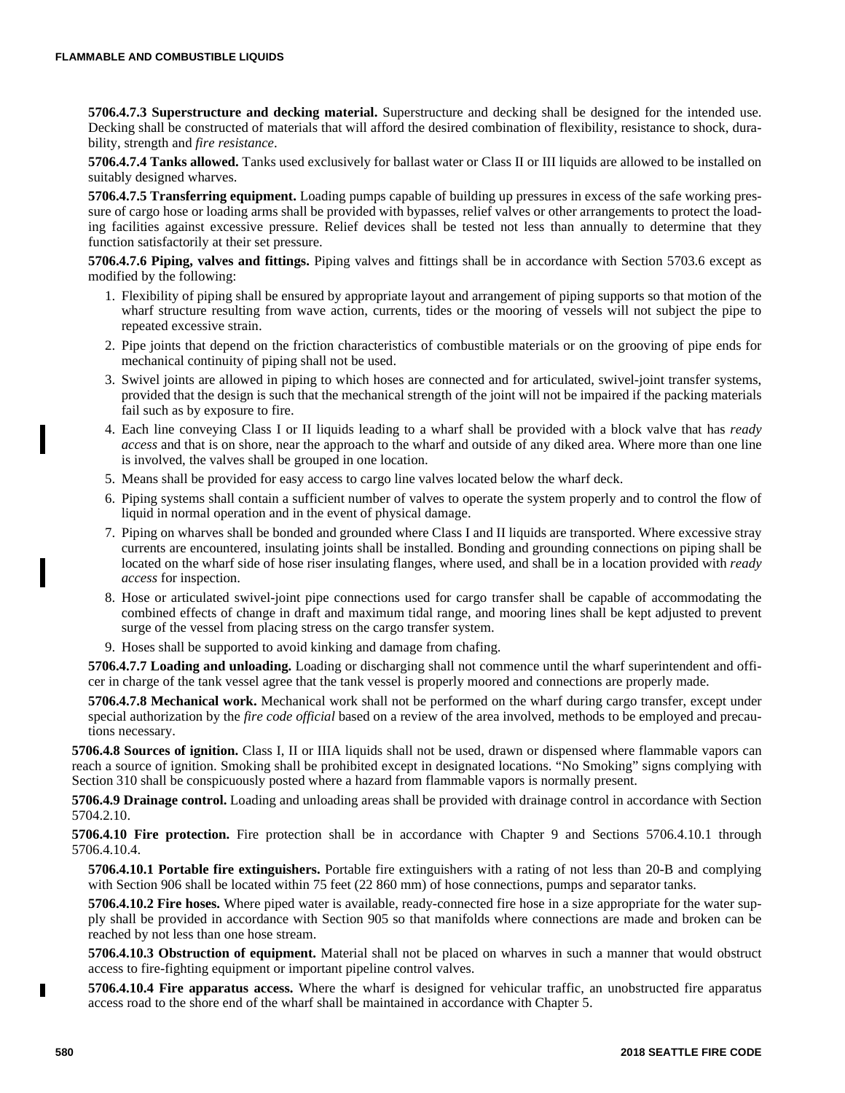**5706.4.7.3 Superstructure and decking material.** Superstructure and decking shall be designed for the intended use. Decking shall be constructed of materials that will afford the desired combination of flexibility, resistance to shock, durability, strength and *fire resistance*.

**5706.4.7.4 Tanks allowed.** Tanks used exclusively for ballast water or Class II or III liquids are allowed to be installed on suitably designed wharves.

**5706.4.7.5 Transferring equipment.** Loading pumps capable of building up pressures in excess of the safe working pressure of cargo hose or loading arms shall be provided with bypasses, relief valves or other arrangements to protect the loading facilities against excessive pressure. Relief devices shall be tested not less than annually to determine that they function satisfactorily at their set pressure.

**5706.4.7.6 Piping, valves and fittings.** Piping valves and fittings shall be in accordance with Section 5703.6 except as modified by the following:

- 1. Flexibility of piping shall be ensured by appropriate layout and arrangement of piping supports so that motion of the wharf structure resulting from wave action, currents, tides or the mooring of vessels will not subject the pipe to repeated excessive strain.
- 2. Pipe joints that depend on the friction characteristics of combustible materials or on the grooving of pipe ends for mechanical continuity of piping shall not be used.
- 3. Swivel joints are allowed in piping to which hoses are connected and for articulated, swivel-joint transfer systems, provided that the design is such that the mechanical strength of the joint will not be impaired if the packing materials fail such as by exposure to fire.
- 4. Each line conveying Class I or II liquids leading to a wharf shall be provided with a block valve that has *ready access* and that is on shore, near the approach to the wharf and outside of any diked area. Where more than one line is involved, the valves shall be grouped in one location.
- 5. Means shall be provided for easy access to cargo line valves located below the wharf deck.
- 6. Piping systems shall contain a sufficient number of valves to operate the system properly and to control the flow of liquid in normal operation and in the event of physical damage.
- 7. Piping on wharves shall be bonded and grounded where Class I and II liquids are transported. Where excessive stray currents are encountered, insulating joints shall be installed. Bonding and grounding connections on piping shall be located on the wharf side of hose riser insulating flanges, where used, and shall be in a location provided with *ready access* for inspection.
- 8. Hose or articulated swivel-joint pipe connections used for cargo transfer shall be capable of accommodating the combined effects of change in draft and maximum tidal range, and mooring lines shall be kept adjusted to prevent surge of the vessel from placing stress on the cargo transfer system.
- 9. Hoses shall be supported to avoid kinking and damage from chafing.

**5706.4.7.7 Loading and unloading.** Loading or discharging shall not commence until the wharf superintendent and officer in charge of the tank vessel agree that the tank vessel is properly moored and connections are properly made.

**5706.4.7.8 Mechanical work.** Mechanical work shall not be performed on the wharf during cargo transfer, except under special authorization by the *fire code official* based on a review of the area involved, methods to be employed and precautions necessary.

**5706.4.8 Sources of ignition.** Class I, II or IIIA liquids shall not be used, drawn or dispensed where flammable vapors can reach a source of ignition. Smoking shall be prohibited except in designated locations. "No Smoking" signs complying with Section 310 shall be conspicuously posted where a hazard from flammable vapors is normally present.

**5706.4.9 Drainage control.** Loading and unloading areas shall be provided with drainage control in accordance with Section 5704.2.10.

**5706.4.10 Fire protection.** Fire protection shall be in accordance with Chapter 9 and Sections 5706.4.10.1 through 5706.4.10.4.

**5706.4.10.1 Portable fire extinguishers.** Portable fire extinguishers with a rating of not less than 20-B and complying with Section 906 shall be located within 75 feet (22 860 mm) of hose connections, pumps and separator tanks.

**5706.4.10.2 Fire hoses.** Where piped water is available, ready-connected fire hose in a size appropriate for the water supply shall be provided in accordance with Section 905 so that manifolds where connections are made and broken can be reached by not less than one hose stream.

**5706.4.10.3 Obstruction of equipment.** Material shall not be placed on wharves in such a manner that would obstruct access to fire-fighting equipment or important pipeline control valves.

**5706.4.10.4 Fire apparatus access.** Where the wharf is designed for vehicular traffic, an unobstructed fire apparatus access road to the shore end of the wharf shall be maintained in accordance with Chapter 5.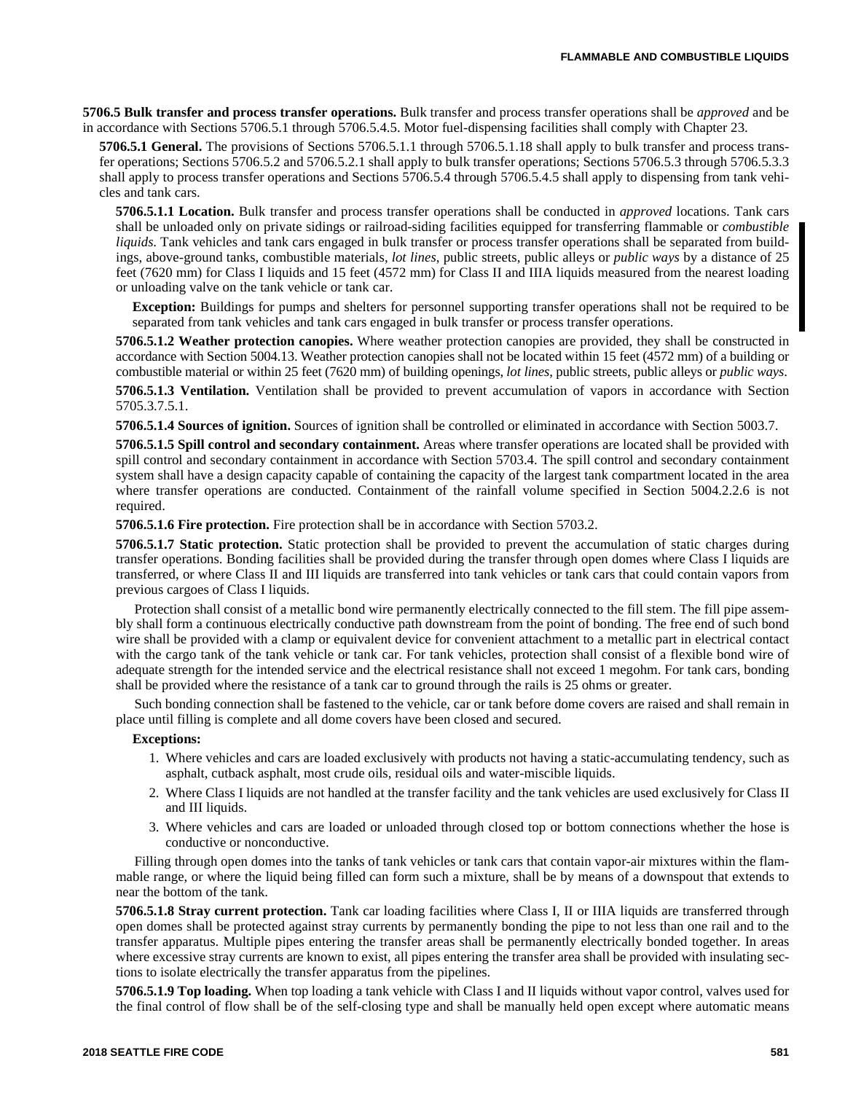**5706.5 Bulk transfer and process transfer operations.** Bulk transfer and process transfer operations shall be *approved* and be in accordance with Sections 5706.5.1 through 5706.5.4.5. Motor fuel-dispensing facilities shall comply with Chapter 23.

**5706.5.1 General.** The provisions of Sections 5706.5.1.1 through 5706.5.1.18 shall apply to bulk transfer and process transfer operations; Sections 5706.5.2 and 5706.5.2.1 shall apply to bulk transfer operations; Sections 5706.5.3 through 5706.5.3.3 shall apply to process transfer operations and Sections 5706.5.4 through 5706.5.4.5 shall apply to dispensing from tank vehicles and tank cars.

**5706.5.1.1 Location.** Bulk transfer and process transfer operations shall be conducted in *approved* locations. Tank cars shall be unloaded only on private sidings or railroad-siding facilities equipped for transferring flammable or *combustible liquids*. Tank vehicles and tank cars engaged in bulk transfer or process transfer operations shall be separated from buildings, above-ground tanks, combustible materials, *lot lines*, public streets, public alleys or *public ways* by a distance of 25 feet (7620 mm) for Class I liquids and 15 feet (4572 mm) for Class II and IIIA liquids measured from the nearest loading or unloading valve on the tank vehicle or tank car.

**Exception:** Buildings for pumps and shelters for personnel supporting transfer operations shall not be required to be separated from tank vehicles and tank cars engaged in bulk transfer or process transfer operations.

**5706.5.1.2 Weather protection canopies.** Where weather protection canopies are provided, they shall be constructed in accordance with Section 5004.13. Weather protection canopies shall not be located within 15 feet (4572 mm) of a building or combustible material or within 25 feet (7620 mm) of building openings, *lot lines*, public streets, public alleys or *public ways*. **5706.5.1.3 Ventilation.** Ventilation shall be provided to prevent accumulation of vapors in accordance with Section

5705.3.7.5.1.

**5706.5.1.4 Sources of ignition.** Sources of ignition shall be controlled or eliminated in accordance with Section 5003.7.

**5706.5.1.5 Spill control and secondary containment.** Areas where transfer operations are located shall be provided with spill control and secondary containment in accordance with Section 5703.4. The spill control and secondary containment system shall have a design capacity capable of containing the capacity of the largest tank compartment located in the area where transfer operations are conducted. Containment of the rainfall volume specified in Section 5004.2.2.6 is not required.

**5706.5.1.6 Fire protection.** Fire protection shall be in accordance with Section 5703.2.

**5706.5.1.7 Static protection.** Static protection shall be provided to prevent the accumulation of static charges during transfer operations. Bonding facilities shall be provided during the transfer through open domes where Class I liquids are transferred, or where Class II and III liquids are transferred into tank vehicles or tank cars that could contain vapors from previous cargoes of Class I liquids.

Protection shall consist of a metallic bond wire permanently electrically connected to the fill stem. The fill pipe assembly shall form a continuous electrically conductive path downstream from the point of bonding. The free end of such bond wire shall be provided with a clamp or equivalent device for convenient attachment to a metallic part in electrical contact with the cargo tank of the tank vehicle or tank car. For tank vehicles, protection shall consist of a flexible bond wire of adequate strength for the intended service and the electrical resistance shall not exceed 1 megohm. For tank cars, bonding shall be provided where the resistance of a tank car to ground through the rails is 25 ohms or greater.

Such bonding connection shall be fastened to the vehicle, car or tank before dome covers are raised and shall remain in place until filling is complete and all dome covers have been closed and secured.

### **Exceptions:**

- 1. Where vehicles and cars are loaded exclusively with products not having a static-accumulating tendency, such as asphalt, cutback asphalt, most crude oils, residual oils and water-miscible liquids.
- 2. Where Class I liquids are not handled at the transfer facility and the tank vehicles are used exclusively for Class II and III liquids.
- 3. Where vehicles and cars are loaded or unloaded through closed top or bottom connections whether the hose is conductive or nonconductive.

Filling through open domes into the tanks of tank vehicles or tank cars that contain vapor-air mixtures within the flammable range, or where the liquid being filled can form such a mixture, shall be by means of a downspout that extends to near the bottom of the tank.

**5706.5.1.8 Stray current protection.** Tank car loading facilities where Class I, II or IIIA liquids are transferred through open domes shall be protected against stray currents by permanently bonding the pipe to not less than one rail and to the transfer apparatus. Multiple pipes entering the transfer areas shall be permanently electrically bonded together. In areas where excessive stray currents are known to exist, all pipes entering the transfer area shall be provided with insulating sections to isolate electrically the transfer apparatus from the pipelines.

**5706.5.1.9 Top loading.** When top loading a tank vehicle with Class I and II liquids without vapor control, valves used for the final control of flow shall be of the self-closing type and shall be manually held open except where automatic means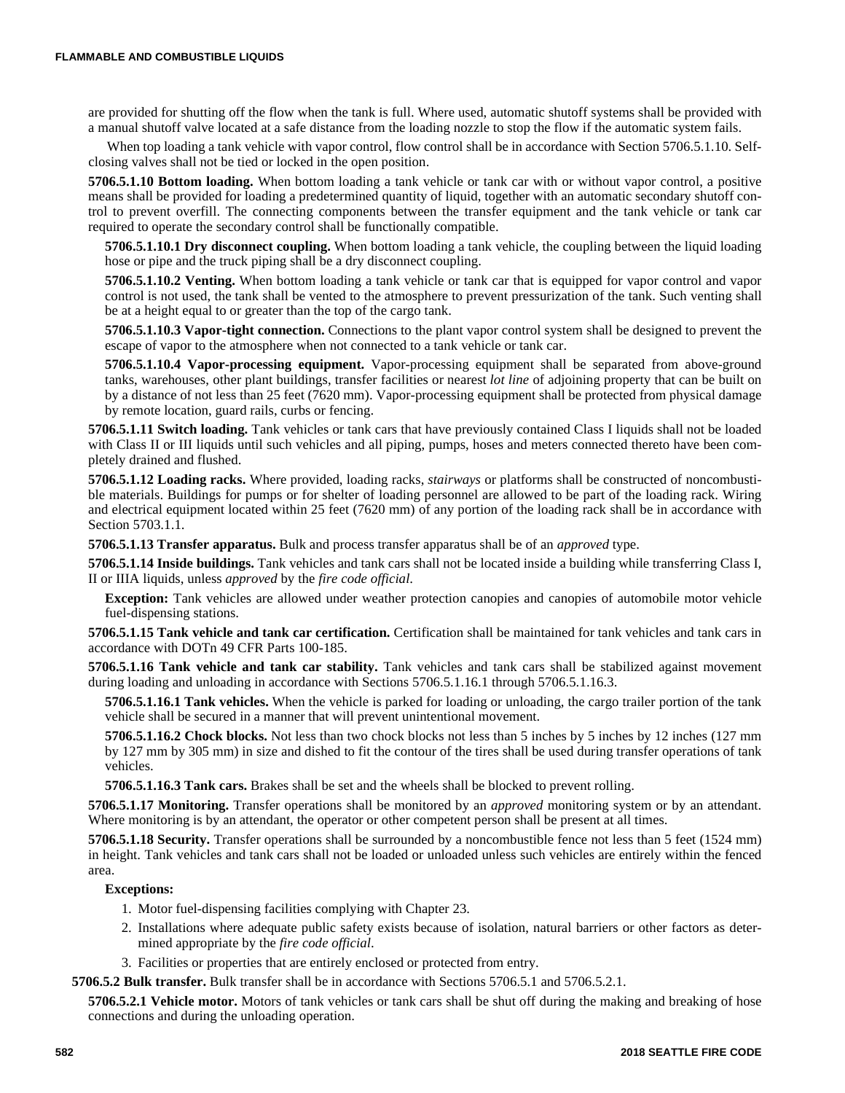are provided for shutting off the flow when the tank is full. Where used, automatic shutoff systems shall be provided with a manual shutoff valve located at a safe distance from the loading nozzle to stop the flow if the automatic system fails.

When top loading a tank vehicle with vapor control, flow control shall be in accordance with Section 5706.5.1.10. Selfclosing valves shall not be tied or locked in the open position.

**5706.5.1.10 Bottom loading.** When bottom loading a tank vehicle or tank car with or without vapor control, a positive means shall be provided for loading a predetermined quantity of liquid, together with an automatic secondary shutoff control to prevent overfill. The connecting components between the transfer equipment and the tank vehicle or tank car required to operate the secondary control shall be functionally compatible.

**5706.5.1.10.1 Dry disconnect coupling.** When bottom loading a tank vehicle, the coupling between the liquid loading hose or pipe and the truck piping shall be a dry disconnect coupling.

**5706.5.1.10.2 Venting.** When bottom loading a tank vehicle or tank car that is equipped for vapor control and vapor control is not used, the tank shall be vented to the atmosphere to prevent pressurization of the tank. Such venting shall be at a height equal to or greater than the top of the cargo tank.

**5706.5.1.10.3 Vapor-tight connection.** Connections to the plant vapor control system shall be designed to prevent the escape of vapor to the atmosphere when not connected to a tank vehicle or tank car.

**5706.5.1.10.4 Vapor-processing equipment.** Vapor-processing equipment shall be separated from above-ground tanks, warehouses, other plant buildings, transfer facilities or nearest *lot line* of adjoining property that can be built on by a distance of not less than 25 feet (7620 mm). Vapor-processing equipment shall be protected from physical damage by remote location, guard rails, curbs or fencing.

**5706.5.1.11 Switch loading.** Tank vehicles or tank cars that have previously contained Class I liquids shall not be loaded with Class II or III liquids until such vehicles and all piping, pumps, hoses and meters connected thereto have been completely drained and flushed.

**5706.5.1.12 Loading racks.** Where provided, loading racks, *stairways* or platforms shall be constructed of noncombustible materials. Buildings for pumps or for shelter of loading personnel are allowed to be part of the loading rack. Wiring and electrical equipment located within 25 feet (7620 mm) of any portion of the loading rack shall be in accordance with Section 5703.1.1.

**5706.5.1.13 Transfer apparatus.** Bulk and process transfer apparatus shall be of an *approved* type.

**5706.5.1.14 Inside buildings.** Tank vehicles and tank cars shall not be located inside a building while transferring Class I, II or IIIA liquids, unless *approved* by the *fire code official*.

**Exception:** Tank vehicles are allowed under weather protection canopies and canopies of automobile motor vehicle fuel-dispensing stations.

**5706.5.1.15 Tank vehicle and tank car certification.** Certification shall be maintained for tank vehicles and tank cars in accordance with DOTn 49 CFR Parts 100-185.

**5706.5.1.16 Tank vehicle and tank car stability.** Tank vehicles and tank cars shall be stabilized against movement during loading and unloading in accordance with Sections 5706.5.1.16.1 through 5706.5.1.16.3.

**5706.5.1.16.1 Tank vehicles.** When the vehicle is parked for loading or unloading, the cargo trailer portion of the tank vehicle shall be secured in a manner that will prevent unintentional movement.

**5706.5.1.16.2 Chock blocks.** Not less than two chock blocks not less than 5 inches by 5 inches by 12 inches (127 mm by 127 mm by 305 mm) in size and dished to fit the contour of the tires shall be used during transfer operations of tank vehicles.

**5706.5.1.16.3 Tank cars.** Brakes shall be set and the wheels shall be blocked to prevent rolling.

**5706.5.1.17 Monitoring.** Transfer operations shall be monitored by an *approved* monitoring system or by an attendant. Where monitoring is by an attendant, the operator or other competent person shall be present at all times.

**5706.5.1.18 Security.** Transfer operations shall be surrounded by a noncombustible fence not less than 5 feet (1524 mm) in height. Tank vehicles and tank cars shall not be loaded or unloaded unless such vehicles are entirely within the fenced area.

### **Exceptions:**

- 1. Motor fuel-dispensing facilities complying with Chapter 23.
- 2. Installations where adequate public safety exists because of isolation, natural barriers or other factors as determined appropriate by the *fire code official*.
- 3. Facilities or properties that are entirely enclosed or protected from entry.

**5706.5.2 Bulk transfer.** Bulk transfer shall be in accordance with Sections 5706.5.1 and 5706.5.2.1.

**5706.5.2.1 Vehicle motor.** Motors of tank vehicles or tank cars shall be shut off during the making and breaking of hose connections and during the unloading operation.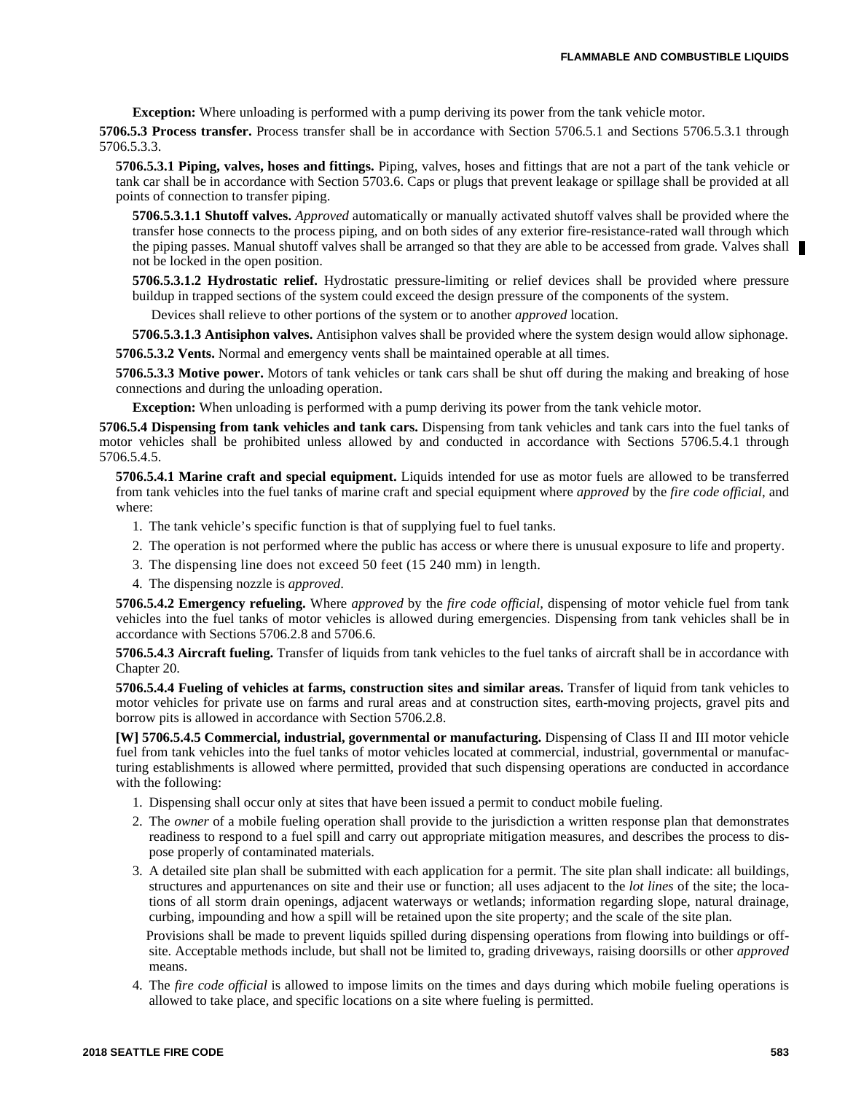**Exception:** Where unloading is performed with a pump deriving its power from the tank vehicle motor.

**5706.5.3 Process transfer.** Process transfer shall be in accordance with Section 5706.5.1 and Sections 5706.5.3.1 through 5706.5.3.3.

**5706.5.3.1 Piping, valves, hoses and fittings.** Piping, valves, hoses and fittings that are not a part of the tank vehicle or tank car shall be in accordance with Section 5703.6. Caps or plugs that prevent leakage or spillage shall be provided at all points of connection to transfer piping.

**5706.5.3.1.1 Shutoff valves.** *Approved* automatically or manually activated shutoff valves shall be provided where the transfer hose connects to the process piping, and on both sides of any exterior fire-resistance-rated wall through which the piping passes. Manual shutoff valves shall be arranged so that they are able to be accessed from grade. Valves shall not be locked in the open position.

**5706.5.3.1.2 Hydrostatic relief.** Hydrostatic pressure-limiting or relief devices shall be provided where pressure buildup in trapped sections of the system could exceed the design pressure of the components of the system.

Devices shall relieve to other portions of the system or to another *approved* location.

**5706.5.3.1.3 Antisiphon valves.** Antisiphon valves shall be provided where the system design would allow siphonage. **5706.5.3.2 Vents.** Normal and emergency vents shall be maintained operable at all times.

**5706.5.3.3 Motive power.** Motors of tank vehicles or tank cars shall be shut off during the making and breaking of hose connections and during the unloading operation.

**Exception:** When unloading is performed with a pump deriving its power from the tank vehicle motor.

**5706.5.4 Dispensing from tank vehicles and tank cars.** Dispensing from tank vehicles and tank cars into the fuel tanks of motor vehicles shall be prohibited unless allowed by and conducted in accordance with Sections 5706.5.4.1 through 5706.5.4.5.

**5706.5.4.1 Marine craft and special equipment.** Liquids intended for use as motor fuels are allowed to be transferred from tank vehicles into the fuel tanks of marine craft and special equipment where *approved* by the *fire code official*, and where:

- 1. The tank vehicle's specific function is that of supplying fuel to fuel tanks.
- 2. The operation is not performed where the public has access or where there is unusual exposure to life and property.
- 3. The dispensing line does not exceed 50 feet (15 240 mm) in length.
- 4. The dispensing nozzle is *approved*.

**5706.5.4.2 Emergency refueling.** Where *approved* by the *fire code official*, dispensing of motor vehicle fuel from tank vehicles into the fuel tanks of motor vehicles is allowed during emergencies. Dispensing from tank vehicles shall be in accordance with Sections 5706.2.8 and 5706.6.

**5706.5.4.3 Aircraft fueling.** Transfer of liquids from tank vehicles to the fuel tanks of aircraft shall be in accordance with Chapter 20.

**5706.5.4.4 Fueling of vehicles at farms, construction sites and similar areas.** Transfer of liquid from tank vehicles to motor vehicles for private use on farms and rural areas and at construction sites, earth-moving projects, gravel pits and borrow pits is allowed in accordance with Section 5706.2.8.

**[W] 5706.5.4.5 Commercial, industrial, governmental or manufacturing.** Dispensing of Class II and III motor vehicle fuel from tank vehicles into the fuel tanks of motor vehicles located at commercial, industrial, governmental or manufacturing establishments is allowed where permitted, provided that such dispensing operations are conducted in accordance with the following:

- 1. Dispensing shall occur only at sites that have been issued a permit to conduct mobile fueling.
- 2. The *owner* of a mobile fueling operation shall provide to the jurisdiction a written response plan that demonstrates readiness to respond to a fuel spill and carry out appropriate mitigation measures, and describes the process to dispose properly of contaminated materials.
- 3. A detailed site plan shall be submitted with each application for a permit. The site plan shall indicate: all buildings, structures and appurtenances on site and their use or function; all uses adjacent to the *lot lines* of the site; the locations of all storm drain openings, adjacent waterways or wetlands; information regarding slope, natural drainage, curbing, impounding and how a spill will be retained upon the site property; and the scale of the site plan.

Provisions shall be made to prevent liquids spilled during dispensing operations from flowing into buildings or offsite. Acceptable methods include, but shall not be limited to, grading driveways, raising doorsills or other *approved* means.

4. The *fire code official* is allowed to impose limits on the times and days during which mobile fueling operations is allowed to take place, and specific locations on a site where fueling is permitted.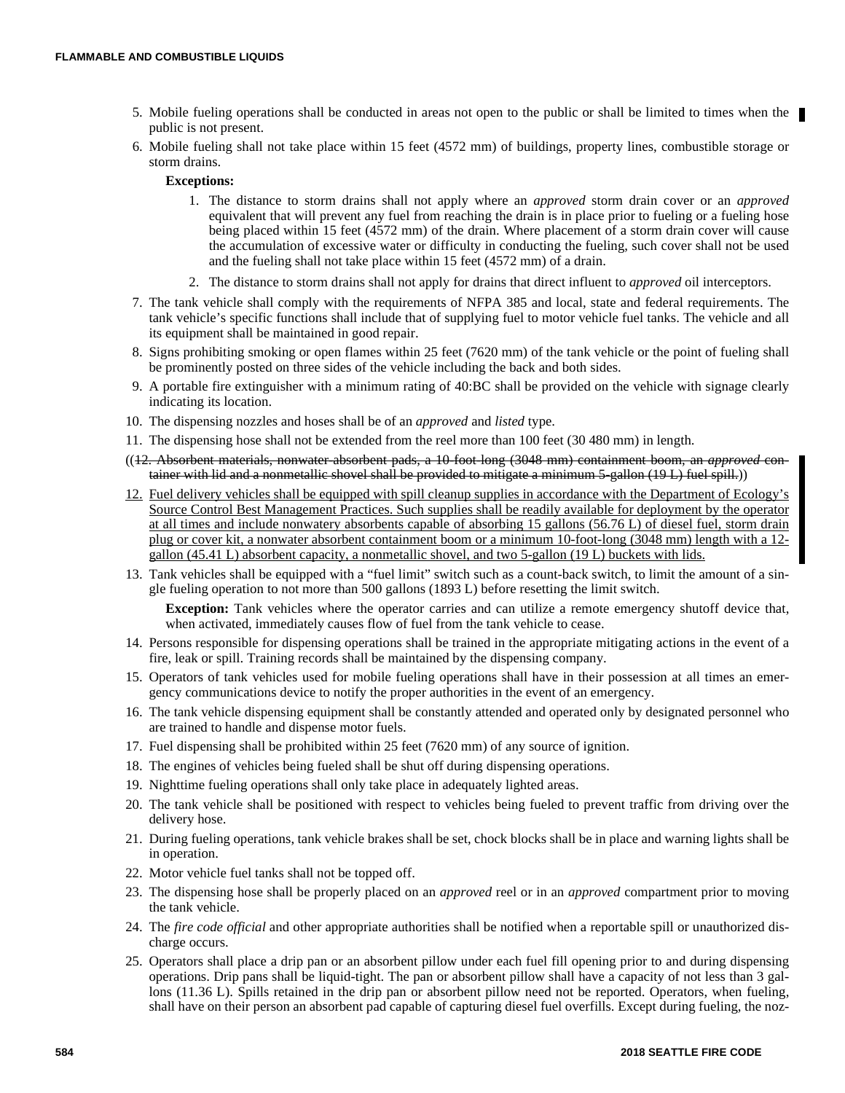- 5. Mobile fueling operations shall be conducted in areas not open to the public or shall be limited to times when the public is not present.
- 6. Mobile fueling shall not take place within 15 feet (4572 mm) of buildings, property lines, combustible storage or storm drains.

### **Exceptions:**

- 1. The distance to storm drains shall not apply where an *approved* storm drain cover or an *approved* equivalent that will prevent any fuel from reaching the drain is in place prior to fueling or a fueling hose being placed within 15 feet (4572 mm) of the drain. Where placement of a storm drain cover will cause the accumulation of excessive water or difficulty in conducting the fueling, such cover shall not be used and the fueling shall not take place within 15 feet (4572 mm) of a drain.
- 2. The distance to storm drains shall not apply for drains that direct influent to *approved* oil interceptors.
- 7. The tank vehicle shall comply with the requirements of NFPA 385 and local, state and federal requirements. The tank vehicle's specific functions shall include that of supplying fuel to motor vehicle fuel tanks. The vehicle and all its equipment shall be maintained in good repair.
- 8. Signs prohibiting smoking or open flames within 25 feet (7620 mm) of the tank vehicle or the point of fueling shall be prominently posted on three sides of the vehicle including the back and both sides.
- 9. A portable fire extinguisher with a minimum rating of 40:BC shall be provided on the vehicle with signage clearly indicating its location.
- 10. The dispensing nozzles and hoses shall be of an *approved* and *listed* type.
- 11. The dispensing hose shall not be extended from the reel more than 100 feet (30 480 mm) in length.
- ((12. Absorbent materials, nonwater-absorbent pads, a 10-foot-long (3048 mm) containment boom, an *approved* container with lid and a nonmetallic shovel shall be provided to mitigate a minimum 5-gallon (19 L) fuel spill.))
- 12. Fuel delivery vehicles shall be equipped with spill cleanup supplies in accordance with the Department of Ecology's Source Control Best Management Practices. Such supplies shall be readily available for deployment by the operator at all times and include nonwatery absorbents capable of absorbing 15 gallons (56.76 L) of diesel fuel, storm drain plug or cover kit, a nonwater absorbent containment boom or a minimum 10-foot-long (3048 mm) length with a 12 gallon (45.41 L) absorbent capacity, a nonmetallic shovel, and two 5-gallon (19 L) buckets with lids.
- 13. Tank vehicles shall be equipped with a "fuel limit" switch such as a count-back switch, to limit the amount of a single fueling operation to not more than 500 gallons (1893 L) before resetting the limit switch.

**Exception:** Tank vehicles where the operator carries and can utilize a remote emergency shutoff device that, when activated, immediately causes flow of fuel from the tank vehicle to cease.

- 14. Persons responsible for dispensing operations shall be trained in the appropriate mitigating actions in the event of a fire, leak or spill. Training records shall be maintained by the dispensing company.
- 15. Operators of tank vehicles used for mobile fueling operations shall have in their possession at all times an emergency communications device to notify the proper authorities in the event of an emergency.
- 16. The tank vehicle dispensing equipment shall be constantly attended and operated only by designated personnel who are trained to handle and dispense motor fuels.
- 17. Fuel dispensing shall be prohibited within 25 feet (7620 mm) of any source of ignition.
- 18. The engines of vehicles being fueled shall be shut off during dispensing operations.
- 19. Nighttime fueling operations shall only take place in adequately lighted areas.
- 20. The tank vehicle shall be positioned with respect to vehicles being fueled to prevent traffic from driving over the delivery hose.
- 21. During fueling operations, tank vehicle brakes shall be set, chock blocks shall be in place and warning lights shall be in operation.
- 22. Motor vehicle fuel tanks shall not be topped off.
- 23. The dispensing hose shall be properly placed on an *approved* reel or in an *approved* compartment prior to moving the tank vehicle.
- 24. The *fire code official* and other appropriate authorities shall be notified when a reportable spill or unauthorized discharge occurs.
- 25. Operators shall place a drip pan or an absorbent pillow under each fuel fill opening prior to and during dispensing operations. Drip pans shall be liquid-tight. The pan or absorbent pillow shall have a capacity of not less than 3 gallons (11.36 L). Spills retained in the drip pan or absorbent pillow need not be reported. Operators, when fueling, shall have on their person an absorbent pad capable of capturing diesel fuel overfills. Except during fueling, the noz-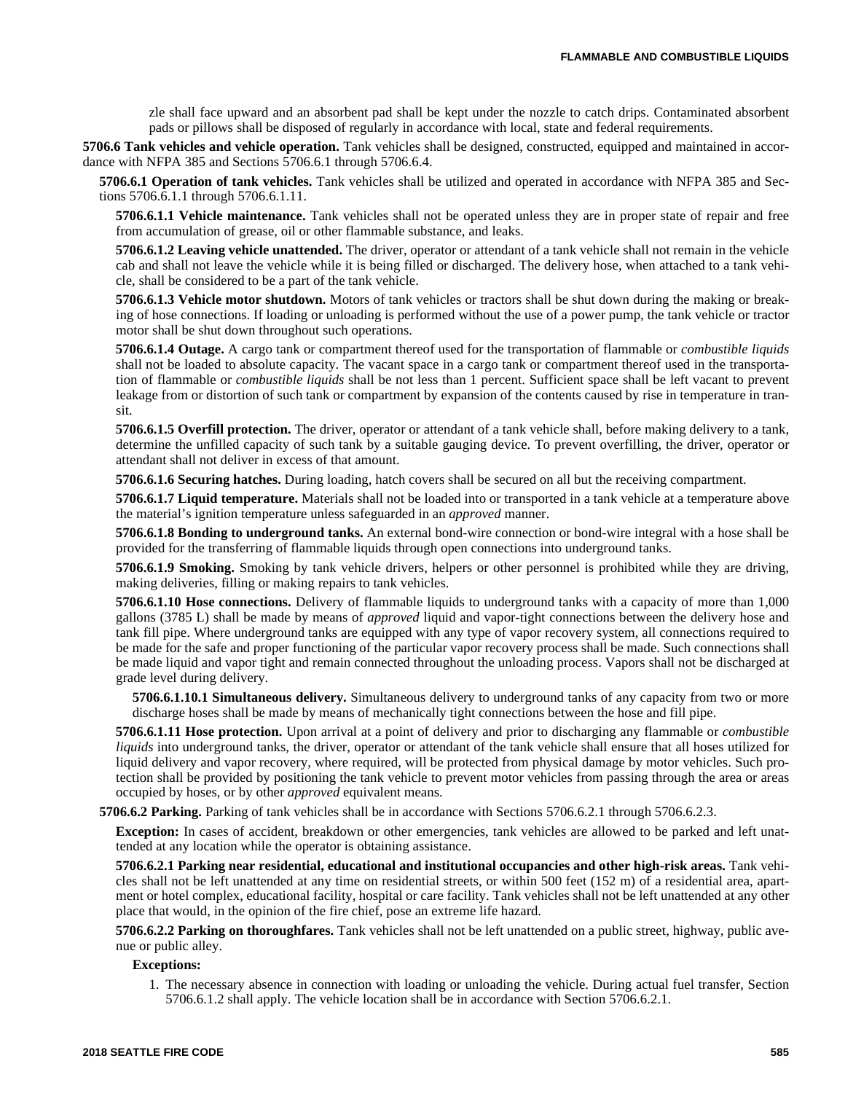zle shall face upward and an absorbent pad shall be kept under the nozzle to catch drips. Contaminated absorbent pads or pillows shall be disposed of regularly in accordance with local, state and federal requirements.

**5706.6 Tank vehicles and vehicle operation.** Tank vehicles shall be designed, constructed, equipped and maintained in accordance with NFPA 385 and Sections 5706.6.1 through 5706.6.4.

**5706.6.1 Operation of tank vehicles.** Tank vehicles shall be utilized and operated in accordance with NFPA 385 and Sections 5706.6.1.1 through 5706.6.1.11.

**5706.6.1.1 Vehicle maintenance.** Tank vehicles shall not be operated unless they are in proper state of repair and free from accumulation of grease, oil or other flammable substance, and leaks.

**5706.6.1.2 Leaving vehicle unattended.** The driver, operator or attendant of a tank vehicle shall not remain in the vehicle cab and shall not leave the vehicle while it is being filled or discharged. The delivery hose, when attached to a tank vehicle, shall be considered to be a part of the tank vehicle.

**5706.6.1.3 Vehicle motor shutdown.** Motors of tank vehicles or tractors shall be shut down during the making or breaking of hose connections. If loading or unloading is performed without the use of a power pump, the tank vehicle or tractor motor shall be shut down throughout such operations.

**5706.6.1.4 Outage.** A cargo tank or compartment thereof used for the transportation of flammable or *combustible liquids* shall not be loaded to absolute capacity. The vacant space in a cargo tank or compartment thereof used in the transportation of flammable or *combustible liquids* shall be not less than 1 percent. Sufficient space shall be left vacant to prevent leakage from or distortion of such tank or compartment by expansion of the contents caused by rise in temperature in transit.

**5706.6.1.5 Overfill protection.** The driver, operator or attendant of a tank vehicle shall, before making delivery to a tank, determine the unfilled capacity of such tank by a suitable gauging device. To prevent overfilling, the driver, operator or attendant shall not deliver in excess of that amount.

**5706.6.1.6 Securing hatches.** During loading, hatch covers shall be secured on all but the receiving compartment.

**5706.6.1.7 Liquid temperature.** Materials shall not be loaded into or transported in a tank vehicle at a temperature above the material's ignition temperature unless safeguarded in an *approved* manner.

**5706.6.1.8 Bonding to underground tanks.** An external bond-wire connection or bond-wire integral with a hose shall be provided for the transferring of flammable liquids through open connections into underground tanks.

**5706.6.1.9 Smoking.** Smoking by tank vehicle drivers, helpers or other personnel is prohibited while they are driving, making deliveries, filling or making repairs to tank vehicles.

**5706.6.1.10 Hose connections.** Delivery of flammable liquids to underground tanks with a capacity of more than 1,000 gallons (3785 L) shall be made by means of *approved* liquid and vapor-tight connections between the delivery hose and tank fill pipe. Where underground tanks are equipped with any type of vapor recovery system, all connections required to be made for the safe and proper functioning of the particular vapor recovery process shall be made. Such connections shall be made liquid and vapor tight and remain connected throughout the unloading process. Vapors shall not be discharged at grade level during delivery.

**5706.6.1.10.1 Simultaneous delivery.** Simultaneous delivery to underground tanks of any capacity from two or more discharge hoses shall be made by means of mechanically tight connections between the hose and fill pipe.

**5706.6.1.11 Hose protection.** Upon arrival at a point of delivery and prior to discharging any flammable or *combustible liquids* into underground tanks, the driver, operator or attendant of the tank vehicle shall ensure that all hoses utilized for liquid delivery and vapor recovery, where required, will be protected from physical damage by motor vehicles. Such protection shall be provided by positioning the tank vehicle to prevent motor vehicles from passing through the area or areas occupied by hoses, or by other *approved* equivalent means.

**5706.6.2 Parking.** Parking of tank vehicles shall be in accordance with Sections 5706.6.2.1 through 5706.6.2.3.

**Exception:** In cases of accident, breakdown or other emergencies, tank vehicles are allowed to be parked and left unattended at any location while the operator is obtaining assistance.

**5706.6.2.1 Parking near residential, educational and institutional occupancies and other high-risk areas.** Tank vehicles shall not be left unattended at any time on residential streets, or within 500 feet (152 m) of a residential area, apartment or hotel complex, educational facility, hospital or care facility. Tank vehicles shall not be left unattended at any other place that would, in the opinion of the fire chief, pose an extreme life hazard.

**5706.6.2.2 Parking on thoroughfares.** Tank vehicles shall not be left unattended on a public street, highway, public avenue or public alley.

### **Exceptions:**

1. The necessary absence in connection with loading or unloading the vehicle. During actual fuel transfer, Section 5706.6.1.2 shall apply. The vehicle location shall be in accordance with Section 5706.6.2.1.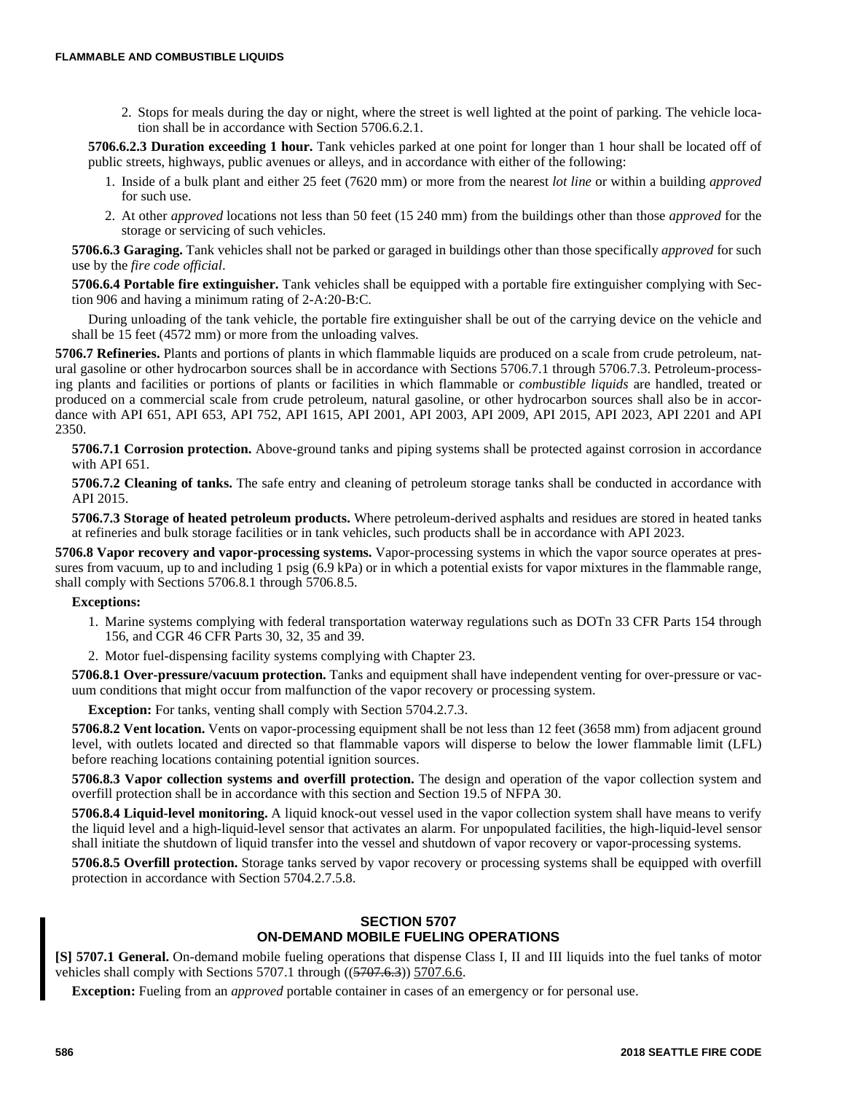2. Stops for meals during the day or night, where the street is well lighted at the point of parking. The vehicle location shall be in accordance with Section 5706.6.2.1.

**5706.6.2.3 Duration exceeding 1 hour.** Tank vehicles parked at one point for longer than 1 hour shall be located off of public streets, highways, public avenues or alleys, and in accordance with either of the following:

- 1. Inside of a bulk plant and either 25 feet (7620 mm) or more from the nearest *lot line* or within a building *approved* for such use.
- 2. At other *approved* locations not less than 50 feet (15 240 mm) from the buildings other than those *approved* for the storage or servicing of such vehicles.

**5706.6.3 Garaging.** Tank vehicles shall not be parked or garaged in buildings other than those specifically *approved* for such use by the *fire code official*.

**5706.6.4 Portable fire extinguisher.** Tank vehicles shall be equipped with a portable fire extinguisher complying with Section 906 and having a minimum rating of 2-A:20-B:C.

During unloading of the tank vehicle, the portable fire extinguisher shall be out of the carrying device on the vehicle and shall be 15 feet (4572 mm) or more from the unloading valves.

**5706.7 Refineries.** Plants and portions of plants in which flammable liquids are produced on a scale from crude petroleum, natural gasoline or other hydrocarbon sources shall be in accordance with Sections 5706.7.1 through 5706.7.3. Petroleum-processing plants and facilities or portions of plants or facilities in which flammable or *combustible liquids* are handled, treated or produced on a commercial scale from crude petroleum, natural gasoline, or other hydrocarbon sources shall also be in accordance with API 651, API 653, API 752, API 1615, API 2001, API 2003, API 2009, API 2015, API 2023, API 2201 and API 2350.

**5706.7.1 Corrosion protection.** Above-ground tanks and piping systems shall be protected against corrosion in accordance with API 651.

**5706.7.2 Cleaning of tanks.** The safe entry and cleaning of petroleum storage tanks shall be conducted in accordance with API 2015.

**5706.7.3 Storage of heated petroleum products.** Where petroleum-derived asphalts and residues are stored in heated tanks at refineries and bulk storage facilities or in tank vehicles, such products shall be in accordance with API 2023.

**5706.8 Vapor recovery and vapor-processing systems.** Vapor-processing systems in which the vapor source operates at pressures from vacuum, up to and including 1 psig (6.9 kPa) or in which a potential exists for vapor mixtures in the flammable range, shall comply with Sections 5706.8.1 through 5706.8.5.

### **Exceptions:**

- 1. Marine systems complying with federal transportation waterway regulations such as DOTn 33 CFR Parts 154 through 156, and CGR 46 CFR Parts 30, 32, 35 and 39.
- 2. Motor fuel-dispensing facility systems complying with Chapter 23.

**5706.8.1 Over-pressure/vacuum protection.** Tanks and equipment shall have independent venting for over-pressure or vacuum conditions that might occur from malfunction of the vapor recovery or processing system.

**Exception:** For tanks, venting shall comply with Section 5704.2.7.3.

**5706.8.2 Vent location.** Vents on vapor-processing equipment shall be not less than 12 feet (3658 mm) from adjacent ground level, with outlets located and directed so that flammable vapors will disperse to below the lower flammable limit (LFL) before reaching locations containing potential ignition sources.

**5706.8.3 Vapor collection systems and overfill protection.** The design and operation of the vapor collection system and overfill protection shall be in accordance with this section and Section 19.5 of NFPA 30.

**5706.8.4 Liquid-level monitoring.** A liquid knock-out vessel used in the vapor collection system shall have means to verify the liquid level and a high-liquid-level sensor that activates an alarm. For unpopulated facilities, the high-liquid-level sensor shall initiate the shutdown of liquid transfer into the vessel and shutdown of vapor recovery or vapor-processing systems.

**5706.8.5 Overfill protection.** Storage tanks served by vapor recovery or processing systems shall be equipped with overfill protection in accordance with Section 5704.2.7.5.8.

### **SECTION 5707 ON-DEMAND MOBILE FUELING OPERATIONS**

**[S] 5707.1 General.** On-demand mobile fueling operations that dispense Class I, II and III liquids into the fuel tanks of motor vehicles shall comply with Sections 5707.1 through  $((5707.6.3))$  5707.6.6.

**Exception:** Fueling from an *approved* portable container in cases of an emergency or for personal use.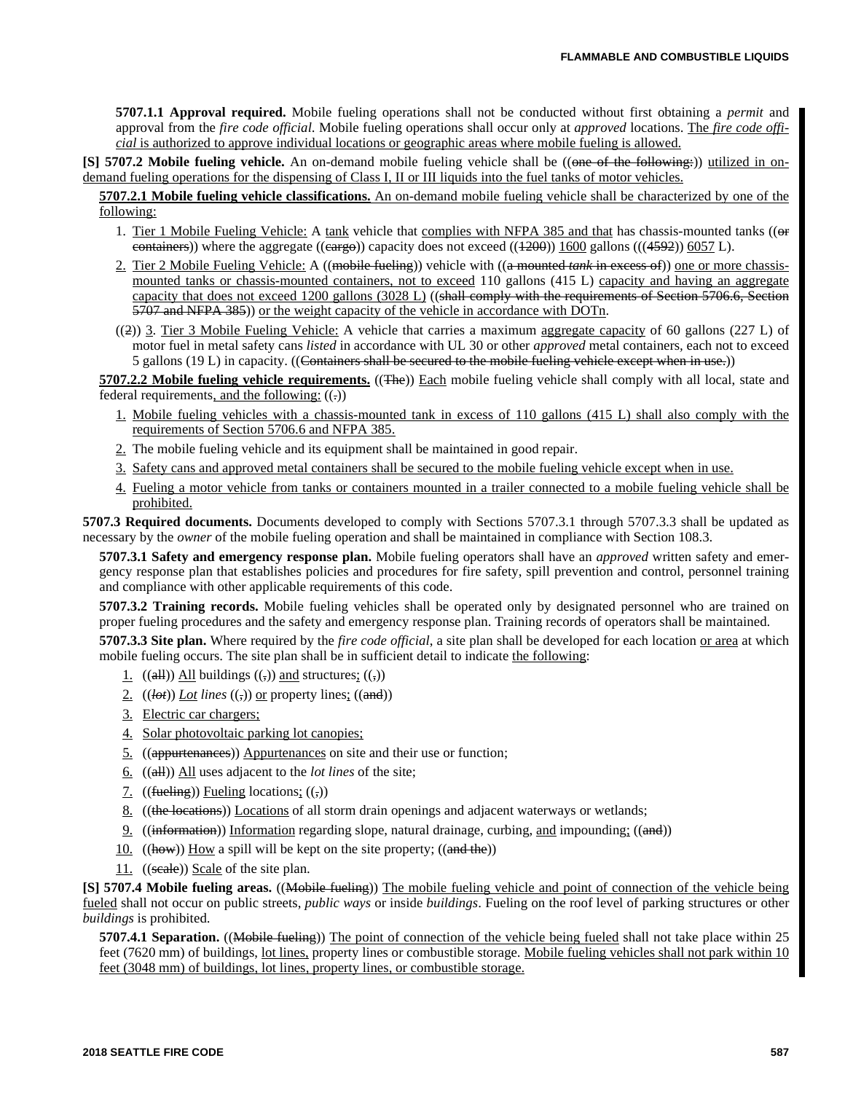**5707.1.1 Approval required.** Mobile fueling operations shall not be conducted without first obtaining a *permit* and approval from the *fire code official*. Mobile fueling operations shall occur only at *approved* locations. The *fire code official* is authorized to approve individual locations or geographic areas where mobile fueling is allowed.

**[S] 5707.2 Mobile fueling vehicle.** An on-demand mobile fueling vehicle shall be ((one of the following:)) utilized in ondemand fueling operations for the dispensing of Class I, II or III liquids into the fuel tanks of motor vehicles.

**5707.2.1 Mobile fueling vehicle classifications.** An on-demand mobile fueling vehicle shall be characterized by one of the following:

- 1. Tier 1 Mobile Fueling Vehicle: A tank vehicle that complies with NFPA 385 and that has chassis-mounted tanks (( $\theta$ r eontainers)) where the aggregate ((eargo)) capacity does not exceed ((4200)) 1600 gallons (((4592)) 6057 L).
- 2. Tier 2 Mobile Fueling Vehicle: A ((mobile fueling)) vehicle with ((a mounted *tank* in excess of)) one or more chassismounted tanks or chassis-mounted containers, not to exceed 110 gallons (415 L) capacity and having an aggregate capacity that does not exceed 1200 gallons (3028 L) ((shall comply with the requirements of Section 5706.6, Section 5707 and NFPA 385)) or the weight capacity of the vehicle in accordance with DOTn.
- ((2)) 3. Tier 3 Mobile Fueling Vehicle: A vehicle that carries a maximum aggregate capacity of 60 gallons (227 L) of motor fuel in metal safety cans *listed* in accordance with UL 30 or other *approved* metal containers*,* each not to exceed 5 gallons (19 L) in capacity. ((Containers shall be secured to the mobile fueling vehicle except when in use.))

**5707.2.2 Mobile fueling vehicle requirements.** ((The)) Each mobile fueling vehicle shall comply with all local, state and federal requirements, and the following:  $((.)$ 

- 1. Mobile fueling vehicles with a chassis-mounted tank in excess of 110 gallons (415 L) shall also comply with the requirements of Section 5706.6 and NFPA 385.
- 2. The mobile fueling vehicle and its equipment shall be maintained in good repair.
- 3. Safety cans and approved metal containers shall be secured to the mobile fueling vehicle except when in use.
- 4. Fueling a motor vehicle from tanks or containers mounted in a trailer connected to a mobile fueling vehicle shall be prohibited.

**5707.3 Required documents.** Documents developed to comply with Sections 5707.3.1 through 5707.3.3 shall be updated as necessary by the *owner* of the mobile fueling operation and shall be maintained in compliance with Section 108.3.

**5707.3.1 Safety and emergency response plan.** Mobile fueling operators shall have an *approved* written safety and emergency response plan that establishes policies and procedures for fire safety, spill prevention and control, personnel training and compliance with other applicable requirements of this code.

**5707.3.2 Training records.** Mobile fueling vehicles shall be operated only by designated personnel who are trained on proper fueling procedures and the safety and emergency response plan. Training records of operators shall be maintained.

**5707.3.3 Site plan.** Where required by the *fire code official*, a site plan shall be developed for each location or area at which mobile fueling occurs. The site plan shall be in sufficient detail to indicate the following:

- 1.  $((\text{all}))$  All buildings  $((,))$  and structures;  $((,))$
- 2.  $((\omega t))$  *Lot lines*  $((,))$  or property lines;  $((\omega t))$
- 3. Electric car chargers;
- 4. Solar photovoltaic parking lot canopies;
- 5. ((appurtenances)) Appurtenances on site and their use or function;
- 6. ((all)) All uses adjacent to the *lot lines* of the site;
- 7.  $((\text{fueling}))$  Fueling locations;  $((,))$
- 8. ((the locations)) Locations of all storm drain openings and adjacent waterways or wetlands;
- 9. ((information)) Information regarding slope, natural drainage, curbing, and impounding; ((and))
- 10.  $((how))$  How a spill will be kept on the site property;  $((and the))$
- 11. ((seale)) Scale of the site plan.

**[S] 5707.4 Mobile fueling areas.** ((Mobile fueling)) The mobile fueling vehicle and point of connection of the vehicle being fueled shall not occur on public streets, *public ways* or inside *buildings*. Fueling on the roof level of parking structures or other *buildings* is prohibited.

**5707.4.1 Separation.** ((Mobile fueling)) The point of connection of the vehicle being fueled shall not take place within 25 feet (7620 mm) of buildings, lot lines, property lines or combustible storage. Mobile fueling vehicles shall not park within 10 feet (3048 mm) of buildings, lot lines, property lines, or combustible storage.